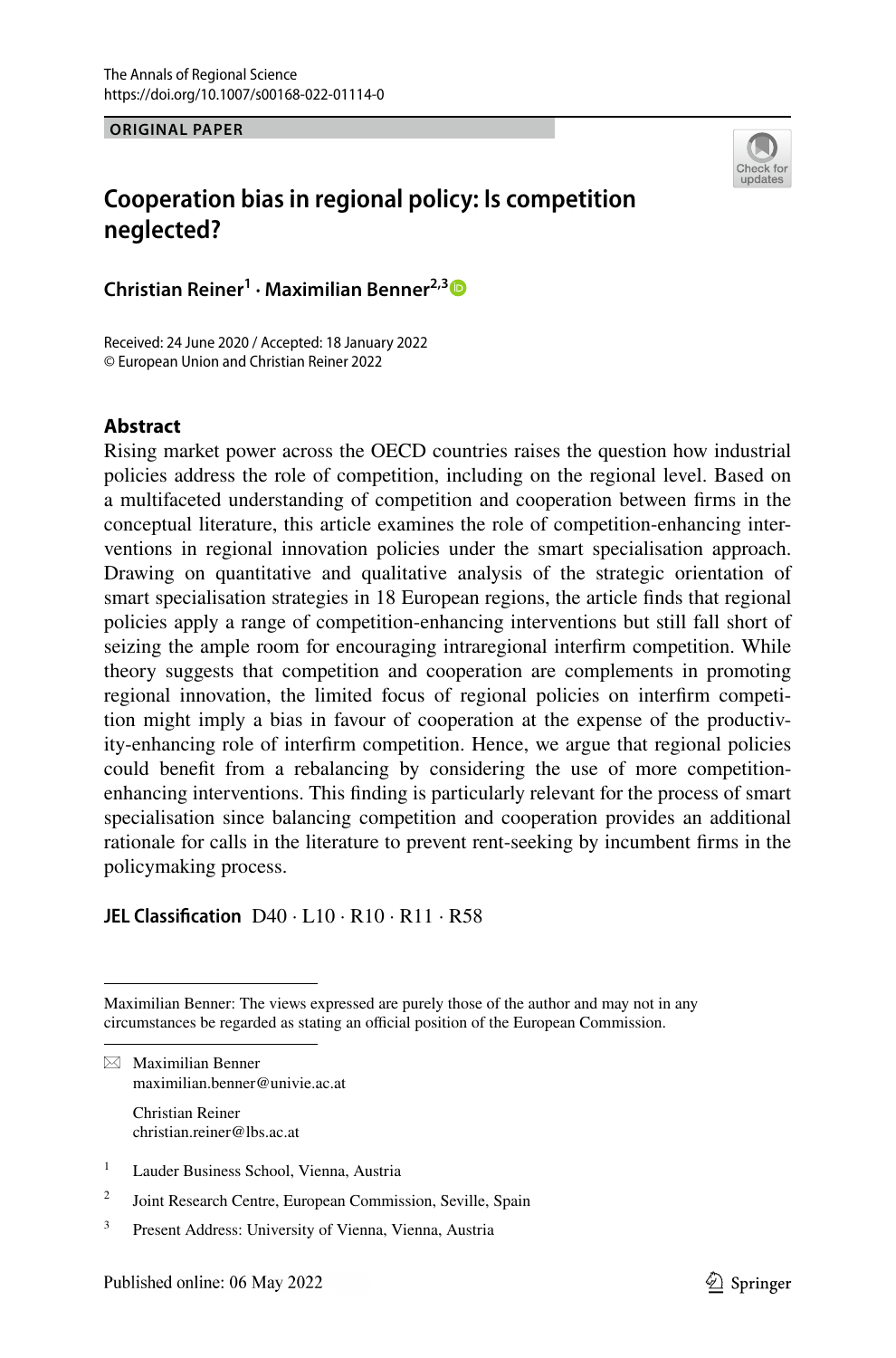**ORIGINAL PAPER**



# **Cooperation bias in regional policy: Is competition neglected?**

**Christian Reiner1 · Maximilian Benner2,[3](http://orcid.org/0000-0003-1386-808X)**

Received: 24 June 2020 / Accepted: 18 January 2022 © European Union and Christian Reiner 2022

### **Abstract**

Rising market power across the OECD countries raises the question how industrial policies address the role of competition, including on the regional level. Based on a multifaceted understanding of competition and cooperation between frms in the conceptual literature, this article examines the role of competition-enhancing interventions in regional innovation policies under the smart specialisation approach. Drawing on quantitative and qualitative analysis of the strategic orientation of smart specialisation strategies in 18 European regions, the article fnds that regional policies apply a range of competition-enhancing interventions but still fall short of seizing the ample room for encouraging intraregional interfrm competition. While theory suggests that competition and cooperation are complements in promoting regional innovation, the limited focus of regional policies on interfrm competition might imply a bias in favour of cooperation at the expense of the productivity-enhancing role of interfrm competition. Hence, we argue that regional policies could beneft from a rebalancing by considering the use of more competitionenhancing interventions. This fnding is particularly relevant for the process of smart specialisation since balancing competition and cooperation provides an additional rationale for calls in the literature to prevent rent-seeking by incumbent frms in the policymaking process.

**JEL Classifcation** D40 · L10 · R10 · R11 · R58

Maximilian Benner: The views expressed are purely those of the author and may not in any circumstances be regarded as stating an official position of the European Commission.

 $\boxtimes$  Maximilian Benner maximilian.benner@univie.ac.at

> Christian Reiner christian.reiner@lbs.ac.at

- <sup>1</sup> Lauder Business School, Vienna, Austria
- <sup>2</sup> Joint Research Centre, European Commission, Seville, Spain
- <sup>3</sup> Present Address: University of Vienna, Vienna, Austria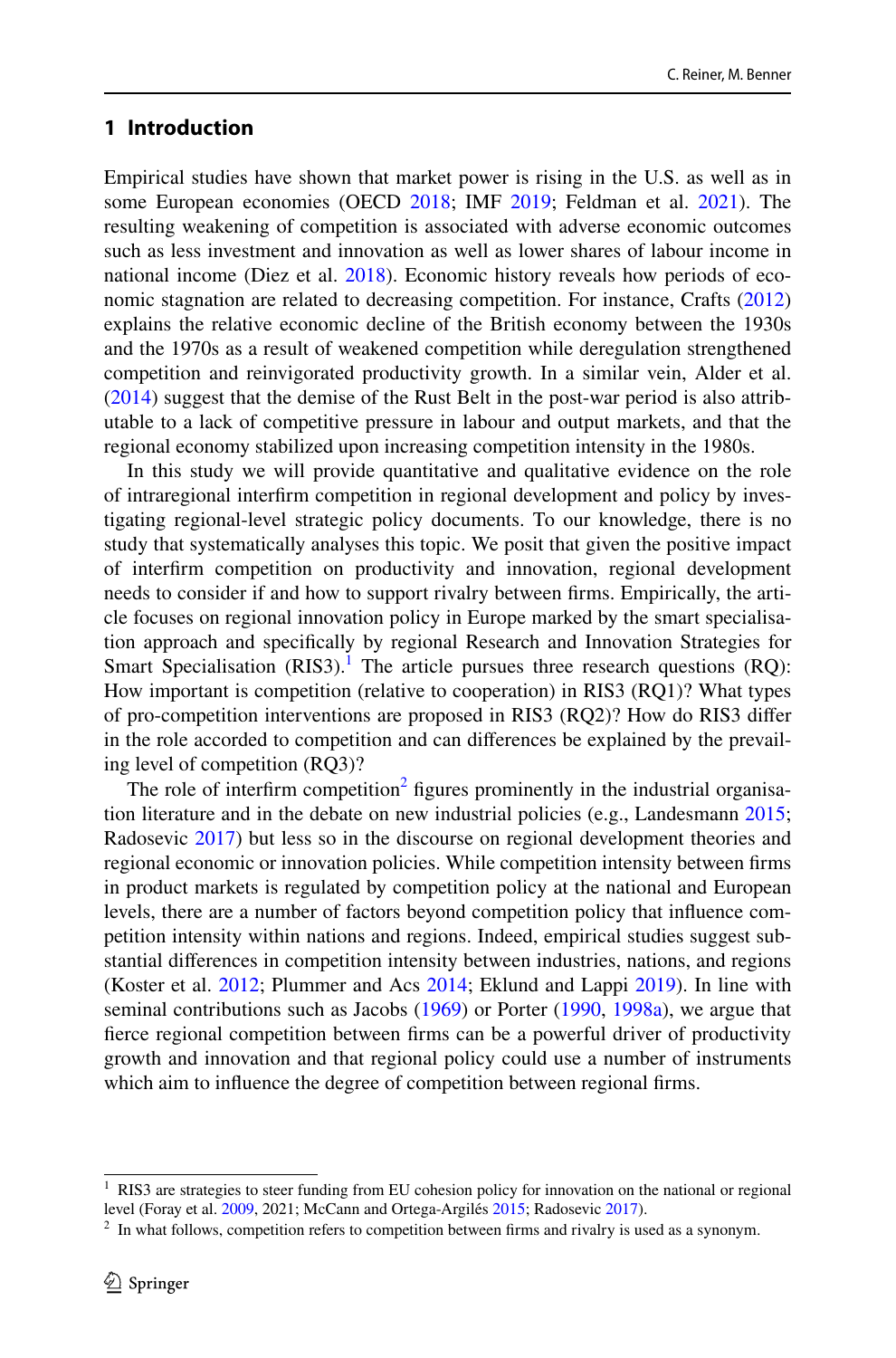## **1 Introduction**

Empirical studies have shown that market power is rising in the U.S. as well as in some European economies (OECD [2018](#page-32-0); IMF [2019;](#page-31-0) Feldman et al. [2021\)](#page-31-1). The resulting weakening of competition is associated with adverse economic outcomes such as less investment and innovation as well as lower shares of labour income in national income (Diez et al. [2018](#page-30-0)). Economic history reveals how periods of economic stagnation are related to decreasing competition. For instance, Crafts [\(2012](#page-30-1)) explains the relative economic decline of the British economy between the 1930s and the 1970s as a result of weakened competition while deregulation strengthened competition and reinvigorated productivity growth. In a similar vein, Alder et al. [\(2014](#page-30-2)) suggest that the demise of the Rust Belt in the post-war period is also attributable to a lack of competitive pressure in labour and output markets, and that the regional economy stabilized upon increasing competition intensity in the 1980s.

In this study we will provide quantitative and qualitative evidence on the role of intraregional interfrm competition in regional development and policy by investigating regional-level strategic policy documents. To our knowledge, there is no study that systematically analyses this topic. We posit that given the positive impact of interfrm competition on productivity and innovation, regional development needs to consider if and how to support rivalry between frms. Empirically, the article focuses on regional innovation policy in Europe marked by the smart specialisation approach and specifcally by regional Research and Innovation Strategies for Smart Specialisation  $(RIS3)$ .<sup>[1](#page-1-0)</sup> The article pursues three research questions  $(RQ)$ : How important is competition (relative to cooperation) in RIS3 (RQ1)? What types of pro-competition interventions are proposed in RIS3 (RQ2)? How do RIS3 difer in the role accorded to competition and can diferences be explained by the prevailing level of competition (RQ3)?

The role of interfirm competition<sup>2</sup> figures prominently in the industrial organisation literature and in the debate on new industrial policies (e.g., Landesmann [2015;](#page-31-2) Radosevic [2017\)](#page-33-0) but less so in the discourse on regional development theories and regional economic or innovation policies. While competition intensity between frms in product markets is regulated by competition policy at the national and European levels, there are a number of factors beyond competition policy that infuence competition intensity within nations and regions. Indeed, empirical studies suggest substantial diferences in competition intensity between industries, nations, and regions (Koster et al. [2012](#page-31-3); Plummer and Acs [2014](#page-33-1); Eklund and Lappi [2019\)](#page-30-3). In line with seminal contributions such as Jacobs [\(1969](#page-31-4)) or Porter ([1990,](#page-33-2) [1998a\)](#page-33-3), we argue that ferce regional competition between frms can be a powerful driver of productivity growth and innovation and that regional policy could use a number of instruments which aim to infuence the degree of competition between regional frms.

<span id="page-1-0"></span><sup>&</sup>lt;sup>1</sup> RIS3 are strategies to steer funding from EU cohesion policy for innovation on the national or regional level (Foray et al. [2009,](#page-31-5) 2021; McCann and Ortega-Argilés [2015;](#page-32-1) Radosevic [2017](#page-33-0)).

<span id="page-1-1"></span> $2\;\text{In what follows, competition refers to competition between firms and rivalry is used as a synonym.}$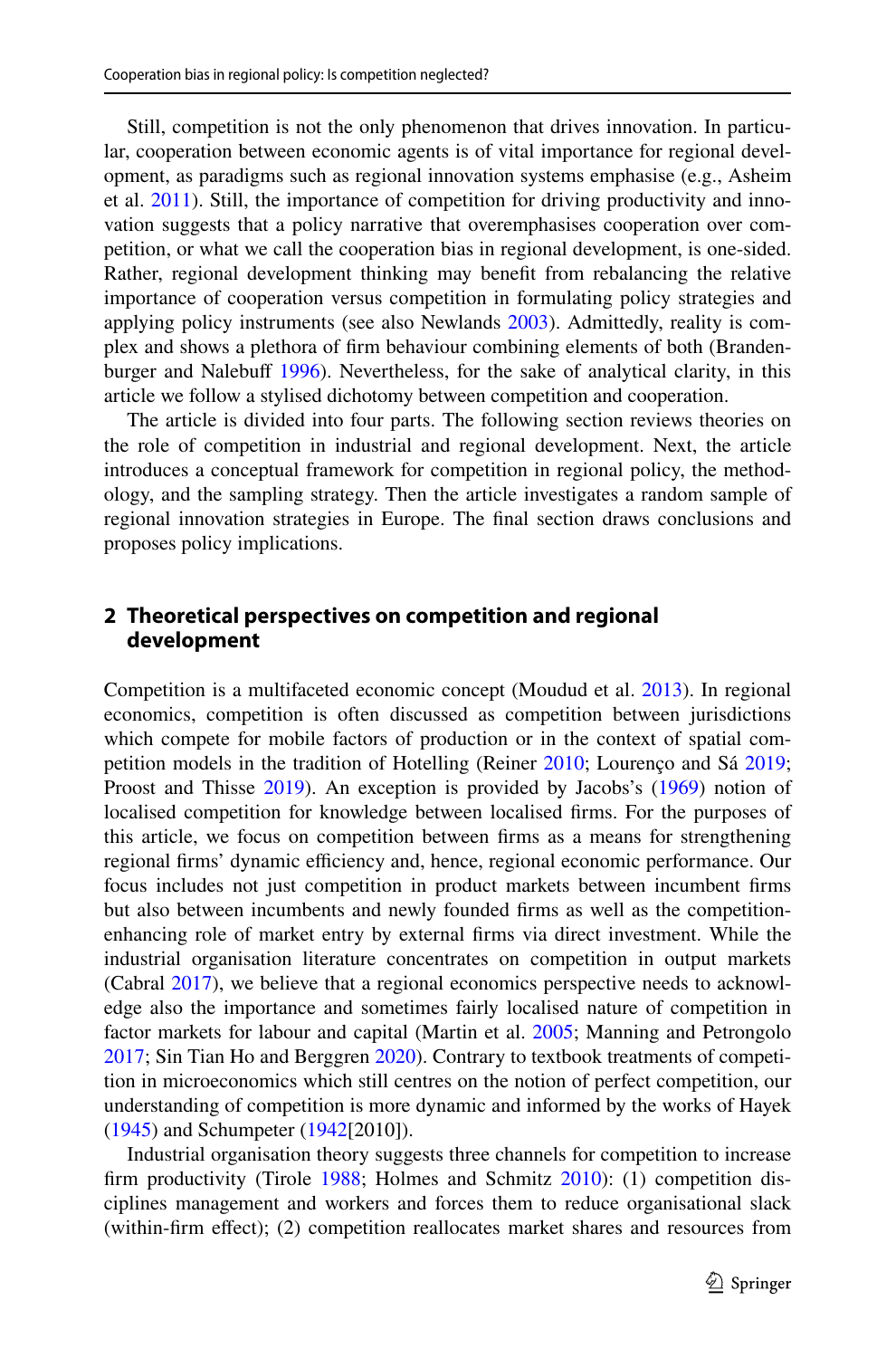Still, competition is not the only phenomenon that drives innovation. In particular, cooperation between economic agents is of vital importance for regional development, as paradigms such as regional innovation systems emphasise (e.g., Asheim et al. [2011](#page-30-4)). Still, the importance of competition for driving productivity and innovation suggests that a policy narrative that overemphasises cooperation over competition, or what we call the cooperation bias in regional development, is one-sided. Rather, regional development thinking may beneft from rebalancing the relative importance of cooperation versus competition in formulating policy strategies and applying policy instruments (see also Newlands [2003](#page-32-2)). Admittedly, reality is complex and shows a plethora of frm behaviour combining elements of both (Branden-burger and Nalebuff [1996](#page-30-5)). Nevertheless, for the sake of analytical clarity, in this article we follow a stylised dichotomy between competition and cooperation.

The article is divided into four parts. The following section reviews theories on the role of competition in industrial and regional development. Next, the article introduces a conceptual framework for competition in regional policy, the methodology, and the sampling strategy. Then the article investigates a random sample of regional innovation strategies in Europe. The fnal section draws conclusions and proposes policy implications.

# **2 Theoretical perspectives on competition and regional development**

Competition is a multifaceted economic concept (Moudud et al. [2013\)](#page-32-3). In regional economics, competition is often discussed as competition between jurisdictions which compete for mobile factors of production or in the context of spatial competition models in the tradition of Hotelling (Reiner [2010;](#page-33-4) Lourenço and Sá [2019;](#page-32-4) Proost and Thisse [2019](#page-33-5)). An exception is provided by Jacobs's ([1969\)](#page-31-4) notion of localised competition for knowledge between localised frms. For the purposes of this article, we focus on competition between frms as a means for strengthening regional firms' dynamic efficiency and, hence, regional economic performance. Our focus includes not just competition in product markets between incumbent frms but also between incumbents and newly founded frms as well as the competitionenhancing role of market entry by external frms via direct investment. While the industrial organisation literature concentrates on competition in output markets (Cabral [2017](#page-30-6)), we believe that a regional economics perspective needs to acknowledge also the importance and sometimes fairly localised nature of competition in factor markets for labour and capital (Martin et al. [2005](#page-32-5); Manning and Petrongolo [2017](#page-32-6); Sin Tian Ho and Berggren [2020\)](#page-33-6). Contrary to textbook treatments of competition in microeconomics which still centres on the notion of perfect competition, our understanding of competition is more dynamic and informed by the works of Hayek [\(1945](#page-31-6)) and Schumpeter [\(1942](#page-33-7)[2010]).

Industrial organisation theory suggests three channels for competition to increase frm productivity (Tirole [1988](#page-33-8); Holmes and Schmitz [2010](#page-31-7)): (1) competition disciplines management and workers and forces them to reduce organisational slack (within-frm efect); (2) competition reallocates market shares and resources from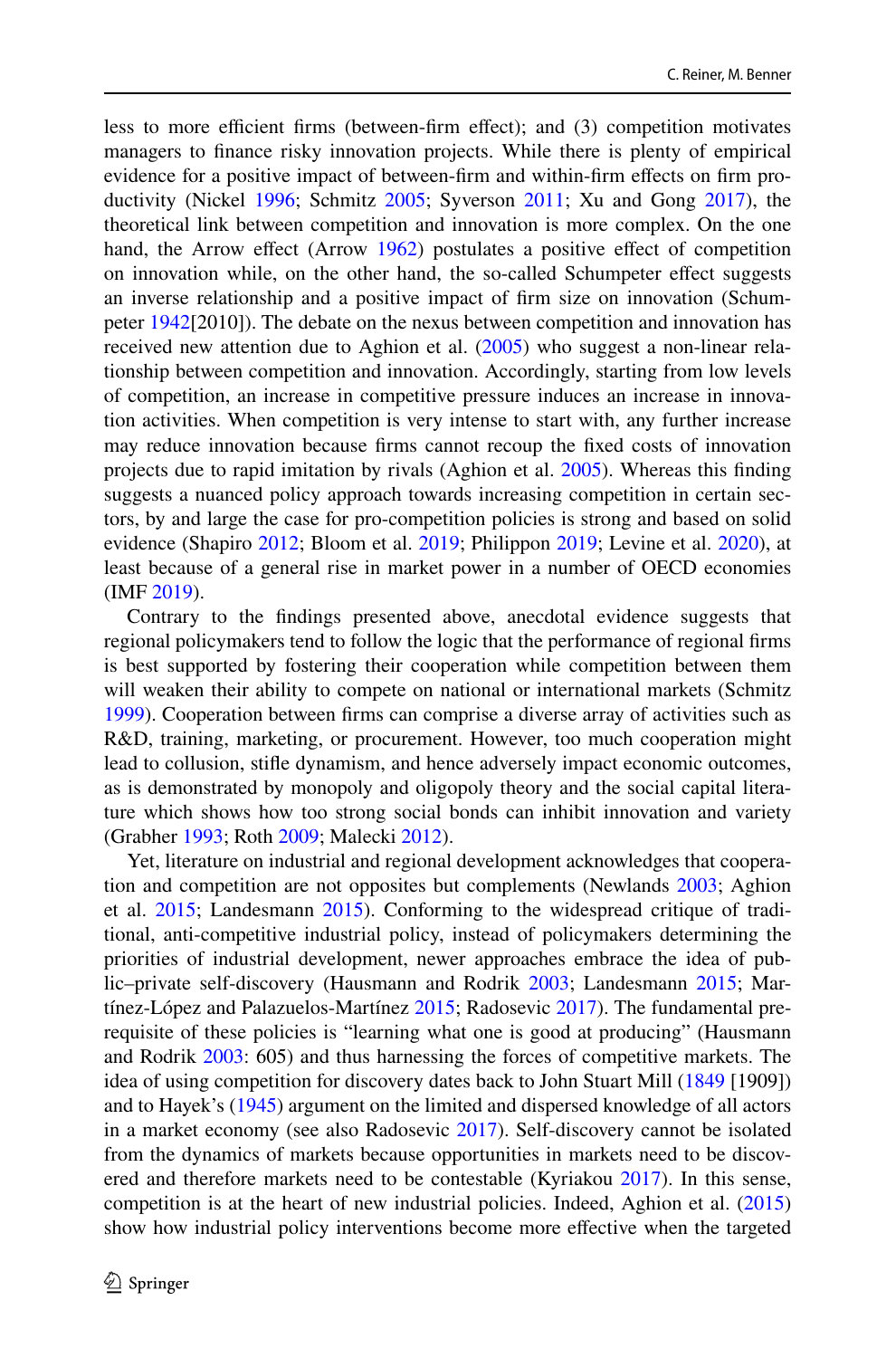less to more efficient firms (between-firm effect); and (3) competition motivates managers to fnance risky innovation projects. While there is plenty of empirical evidence for a positive impact of between-frm and within-frm efects on frm productivity (Nickel [1996;](#page-32-7) Schmitz [2005;](#page-33-9) Syverson [2011](#page-33-10); Xu and Gong [2017\)](#page-34-0), the theoretical link between competition and innovation is more complex. On the one hand, the Arrow effect (Arrow [1962\)](#page-30-7) postulates a positive effect of competition on innovation while, on the other hand, the so-called Schumpeter efect suggests an inverse relationship and a positive impact of frm size on innovation (Schumpeter [1942](#page-33-7)[2010]). The debate on the nexus between competition and innovation has received new attention due to Aghion et al. ([2005\)](#page-30-8) who suggest a non-linear relationship between competition and innovation. Accordingly, starting from low levels of competition, an increase in competitive pressure induces an increase in innovation activities. When competition is very intense to start with, any further increase may reduce innovation because frms cannot recoup the fxed costs of innovation projects due to rapid imitation by rivals (Aghion et al. [2005](#page-30-8)). Whereas this fnding suggests a nuanced policy approach towards increasing competition in certain sectors, by and large the case for pro-competition policies is strong and based on solid evidence (Shapiro [2012;](#page-33-11) Bloom et al. [2019;](#page-30-9) Philippon [2019](#page-32-8); Levine et al. [2020](#page-32-9)), at least because of a general rise in market power in a number of OECD economies (IMF [2019\)](#page-31-0).

Contrary to the fndings presented above, anecdotal evidence suggests that regional policymakers tend to follow the logic that the performance of regional frms is best supported by fostering their cooperation while competition between them will weaken their ability to compete on national or international markets (Schmitz [1999](#page-33-12)). Cooperation between frms can comprise a diverse array of activities such as R&D, training, marketing, or procurement. However, too much cooperation might lead to collusion, stife dynamism, and hence adversely impact economic outcomes, as is demonstrated by monopoly and oligopoly theory and the social capital literature which shows how too strong social bonds can inhibit innovation and variety (Grabher [1993;](#page-31-8) Roth [2009;](#page-33-13) Malecki [2012\)](#page-32-10).

Yet, literature on industrial and regional development acknowledges that cooperation and competition are not opposites but complements (Newlands [2003](#page-32-2); Aghion et al. [2015](#page-30-10); Landesmann [2015](#page-31-2)). Conforming to the widespread critique of traditional, anti-competitive industrial policy, instead of policymakers determining the priorities of industrial development, newer approaches embrace the idea of public–private self-discovery (Hausmann and Rodrik [2003](#page-31-9); Landesmann [2015;](#page-31-2) Martínez-López and Palazuelos-Martínez [2015](#page-32-11); Radosevic [2017\)](#page-33-0). The fundamental prerequisite of these policies is "learning what one is good at producing" (Hausmann and Rodrik [2003:](#page-31-9) 605) and thus harnessing the forces of competitive markets. The idea of using competition for discovery dates back to John Stuart Mill ([1849](#page-32-12) [1909]) and to Hayek's ([1945\)](#page-31-6) argument on the limited and dispersed knowledge of all actors in a market economy (see also Radosevic [2017](#page-33-0)). Self-discovery cannot be isolated from the dynamics of markets because opportunities in markets need to be discovered and therefore markets need to be contestable (Kyriakou [2017\)](#page-31-10). In this sense, competition is at the heart of new industrial policies. Indeed, Aghion et al. ([2015\)](#page-30-10) show how industrial policy interventions become more effective when the targeted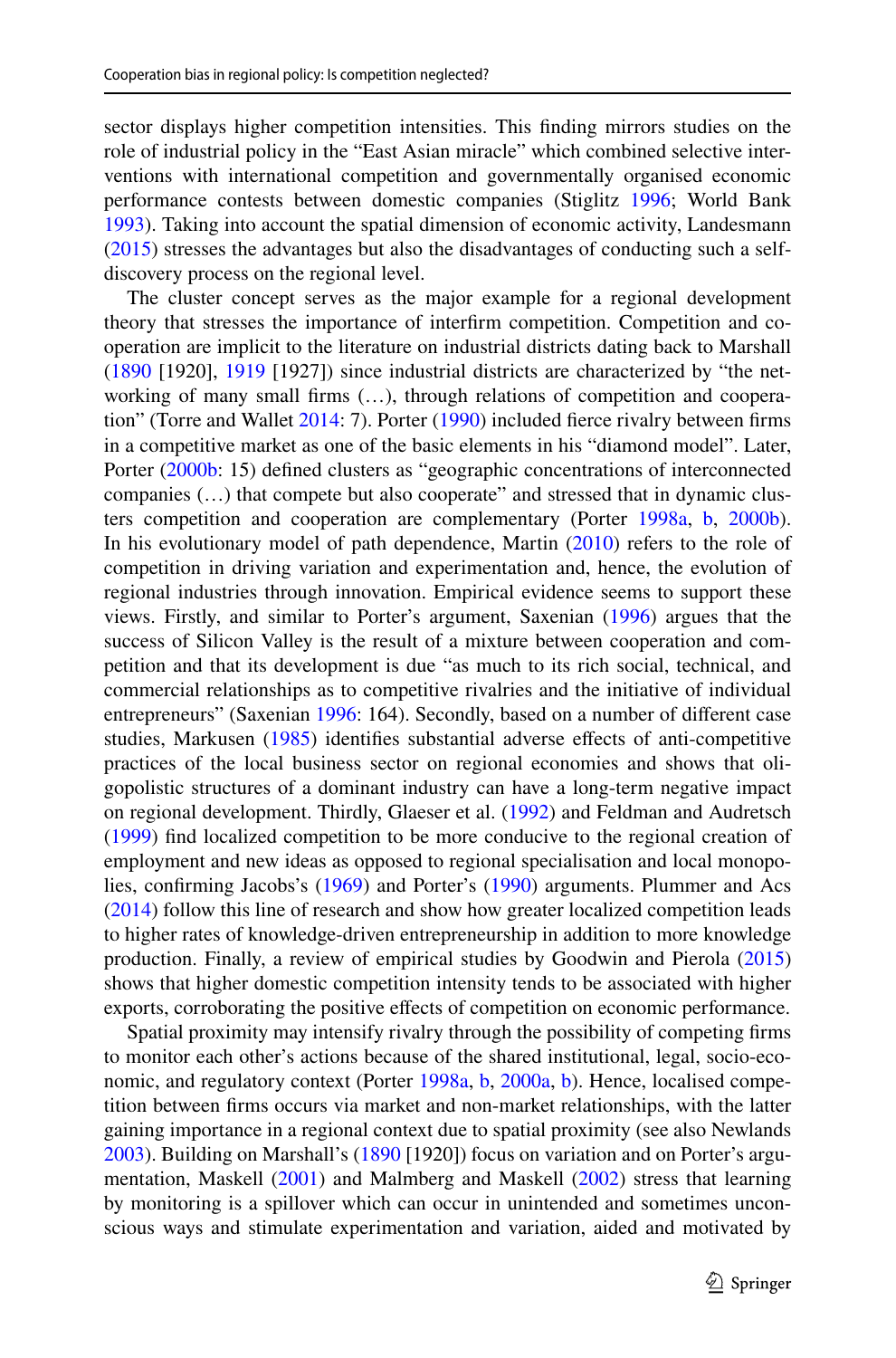sector displays higher competition intensities. This fnding mirrors studies on the role of industrial policy in the "East Asian miracle" which combined selective interventions with international competition and governmentally organised economic performance contests between domestic companies (Stiglitz [1996](#page-33-14); World Bank [1993](#page-33-15)). Taking into account the spatial dimension of economic activity, Landesmann [\(2015](#page-31-2)) stresses the advantages but also the disadvantages of conducting such a selfdiscovery process on the regional level.

The cluster concept serves as the major example for a regional development theory that stresses the importance of interfrm competition. Competition and cooperation are implicit to the literature on industrial districts dating back to Marshall [\(1890](#page-32-13) [1920], [1919](#page-32-14) [1927]) since industrial districts are characterized by "the networking of many small firms (...), through relations of competition and cooperation" (Torre and Wallet [2014:](#page-33-16) 7). Porter [\(1990](#page-33-2)) included ferce rivalry between frms in a competitive market as one of the basic elements in his "diamond model". Later, Porter ([2000b:](#page-33-17) 15) defined clusters as "geographic concentrations of interconnected companies (…) that compete but also cooperate" and stressed that in dynamic clusters competition and cooperation are complementary (Porter [1998a](#page-33-3), [b,](#page-33-18) [2000b\)](#page-33-17). In his evolutionary model of path dependence, Martin ([2010\)](#page-32-15) refers to the role of competition in driving variation and experimentation and, hence, the evolution of regional industries through innovation. Empirical evidence seems to support these views. Firstly, and similar to Porter's argument, Saxenian [\(1996](#page-33-19)) argues that the success of Silicon Valley is the result of a mixture between cooperation and competition and that its development is due "as much to its rich social, technical, and commercial relationships as to competitive rivalries and the initiative of individual entrepreneurs" (Saxenian [1996:](#page-33-19) 164). Secondly, based on a number of different case studies, Markusen [\(1985](#page-32-16)) identifes substantial adverse efects of anti-competitive practices of the local business sector on regional economies and shows that oligopolistic structures of a dominant industry can have a long-term negative impact on regional development. Thirdly, Glaeser et al. [\(1992](#page-31-11)) and Feldman and Audretsch [\(1999](#page-31-12)) fnd localized competition to be more conducive to the regional creation of employment and new ideas as opposed to regional specialisation and local monopolies, confrming Jacobs's [\(1969](#page-31-4)) and Porter's ([1990\)](#page-33-2) arguments. Plummer and Acs [\(2014](#page-33-1)) follow this line of research and show how greater localized competition leads to higher rates of knowledge-driven entrepreneurship in addition to more knowledge production. Finally, a review of empirical studies by Goodwin and Pierola [\(2015](#page-31-13)) shows that higher domestic competition intensity tends to be associated with higher exports, corroborating the positive efects of competition on economic performance.

Spatial proximity may intensify rivalry through the possibility of competing frms to monitor each other's actions because of the shared institutional, legal, socio-eco-nomic, and regulatory context (Porter [1998a,](#page-33-3) [b](#page-33-18), [2000a](#page-33-20), [b](#page-33-17)). Hence, localised competition between frms occurs via market and non-market relationships, with the latter gaining importance in a regional context due to spatial proximity (see also Newlands [2003](#page-32-2)). Building on Marshall's ([1890](#page-32-13) [1920]) focus on variation and on Porter's argumentation, Maskell [\(2001](#page-32-17)) and Malmberg and Maskell ([2002\)](#page-32-18) stress that learning by monitoring is a spillover which can occur in unintended and sometimes unconscious ways and stimulate experimentation and variation, aided and motivated by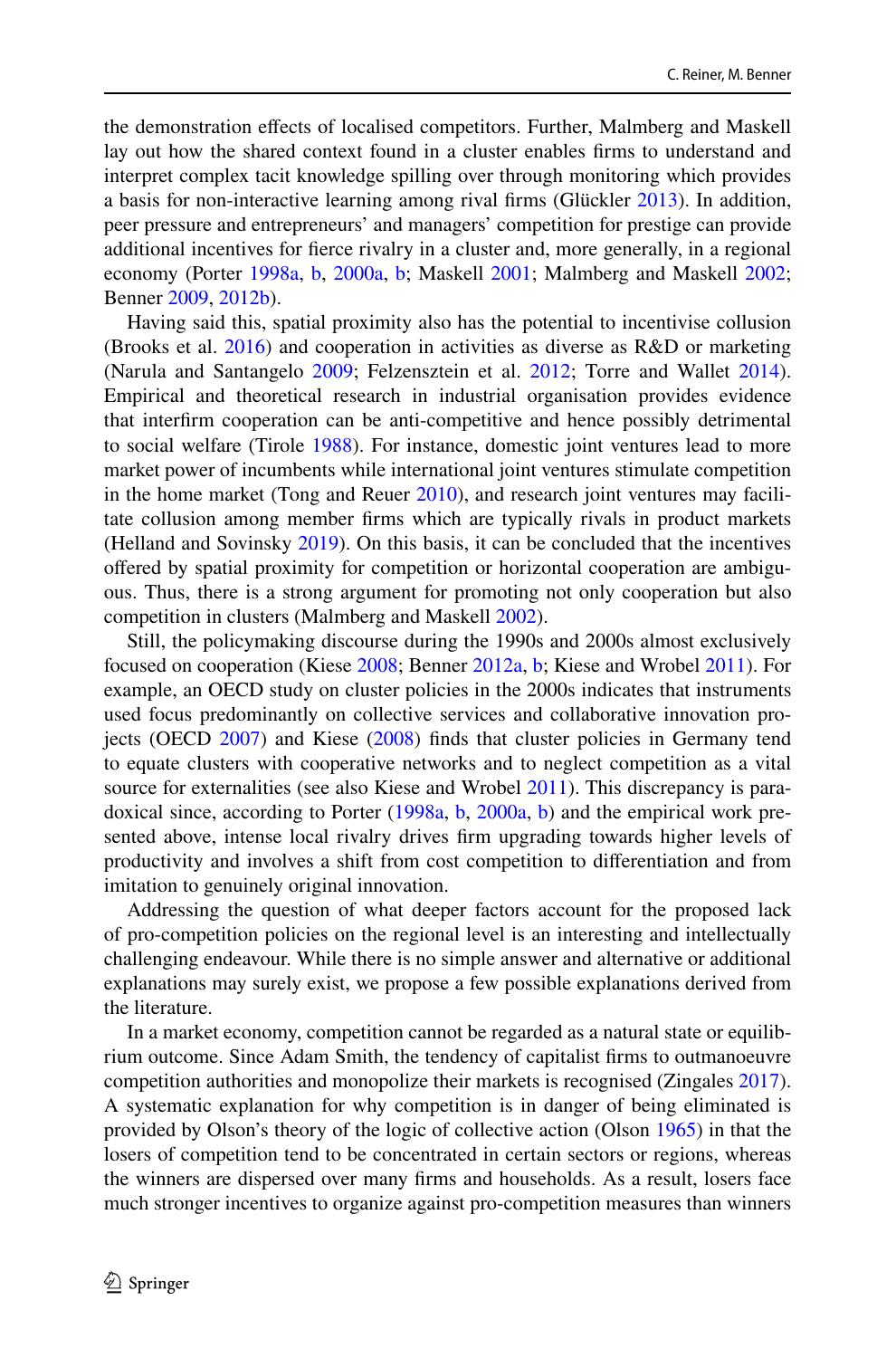the demonstration efects of localised competitors. Further, Malmberg and Maskell lay out how the shared context found in a cluster enables frms to understand and interpret complex tacit knowledge spilling over through monitoring which provides a basis for non-interactive learning among rival frms (Glückler [2013\)](#page-31-14). In addition, peer pressure and entrepreneurs' and managers' competition for prestige can provide additional incentives for ferce rivalry in a cluster and, more generally, in a regional economy (Porter [1998a,](#page-33-3) [b,](#page-33-18) [2000a](#page-33-20), [b](#page-33-17); Maskell [2001;](#page-32-17) Malmberg and Maskell [2002;](#page-32-18) Benner [2009](#page-30-11), [2012b](#page-30-12)).

Having said this, spatial proximity also has the potential to incentivise collusion (Brooks et al. [2016](#page-30-13)) and cooperation in activities as diverse as R&D or marketing (Narula and Santangelo [2009](#page-32-19); Felzensztein et al. [2012](#page-31-15); Torre and Wallet [2014\)](#page-33-16). Empirical and theoretical research in industrial organisation provides evidence that interfrm cooperation can be anti-competitive and hence possibly detrimental to social welfare (Tirole [1988\)](#page-33-8). For instance, domestic joint ventures lead to more market power of incumbents while international joint ventures stimulate competition in the home market (Tong and Reuer [2010](#page-33-21)), and research joint ventures may facilitate collusion among member frms which are typically rivals in product markets (Helland and Sovinsky [2019](#page-31-16)). On this basis, it can be concluded that the incentives ofered by spatial proximity for competition or horizontal cooperation are ambiguous. Thus, there is a strong argument for promoting not only cooperation but also competition in clusters (Malmberg and Maskell [2002](#page-32-18)).

Still, the policymaking discourse during the 1990s and 2000s almost exclusively focused on cooperation (Kiese [2008](#page-31-17); Benner [2012a](#page-30-14), [b](#page-30-12); Kiese and Wrobel [2011](#page-31-18)). For example, an OECD study on cluster policies in the 2000s indicates that instruments used focus predominantly on collective services and collaborative innovation projects (OECD [2007\)](#page-32-20) and Kiese [\(2008](#page-31-17)) fnds that cluster policies in Germany tend to equate clusters with cooperative networks and to neglect competition as a vital source for externalities (see also Kiese and Wrobel [2011\)](#page-31-18). This discrepancy is paradoxical since, according to Porter [\(1998a,](#page-33-3) [b](#page-33-18), [2000a](#page-33-20), [b\)](#page-33-17) and the empirical work presented above, intense local rivalry drives frm upgrading towards higher levels of productivity and involves a shift from cost competition to diferentiation and from imitation to genuinely original innovation.

Addressing the question of what deeper factors account for the proposed lack of pro-competition policies on the regional level is an interesting and intellectually challenging endeavour. While there is no simple answer and alternative or additional explanations may surely exist, we propose a few possible explanations derived from the literature.

In a market economy, competition cannot be regarded as a natural state or equilibrium outcome. Since Adam Smith, the tendency of capitalist frms to outmanoeuvre competition authorities and monopolize their markets is recognised (Zingales [2017\)](#page-34-1). A systematic explanation for why competition is in danger of being eliminated is provided by Olson's theory of the logic of collective action (Olson [1965\)](#page-32-21) in that the losers of competition tend to be concentrated in certain sectors or regions, whereas the winners are dispersed over many frms and households. As a result, losers face much stronger incentives to organize against pro-competition measures than winners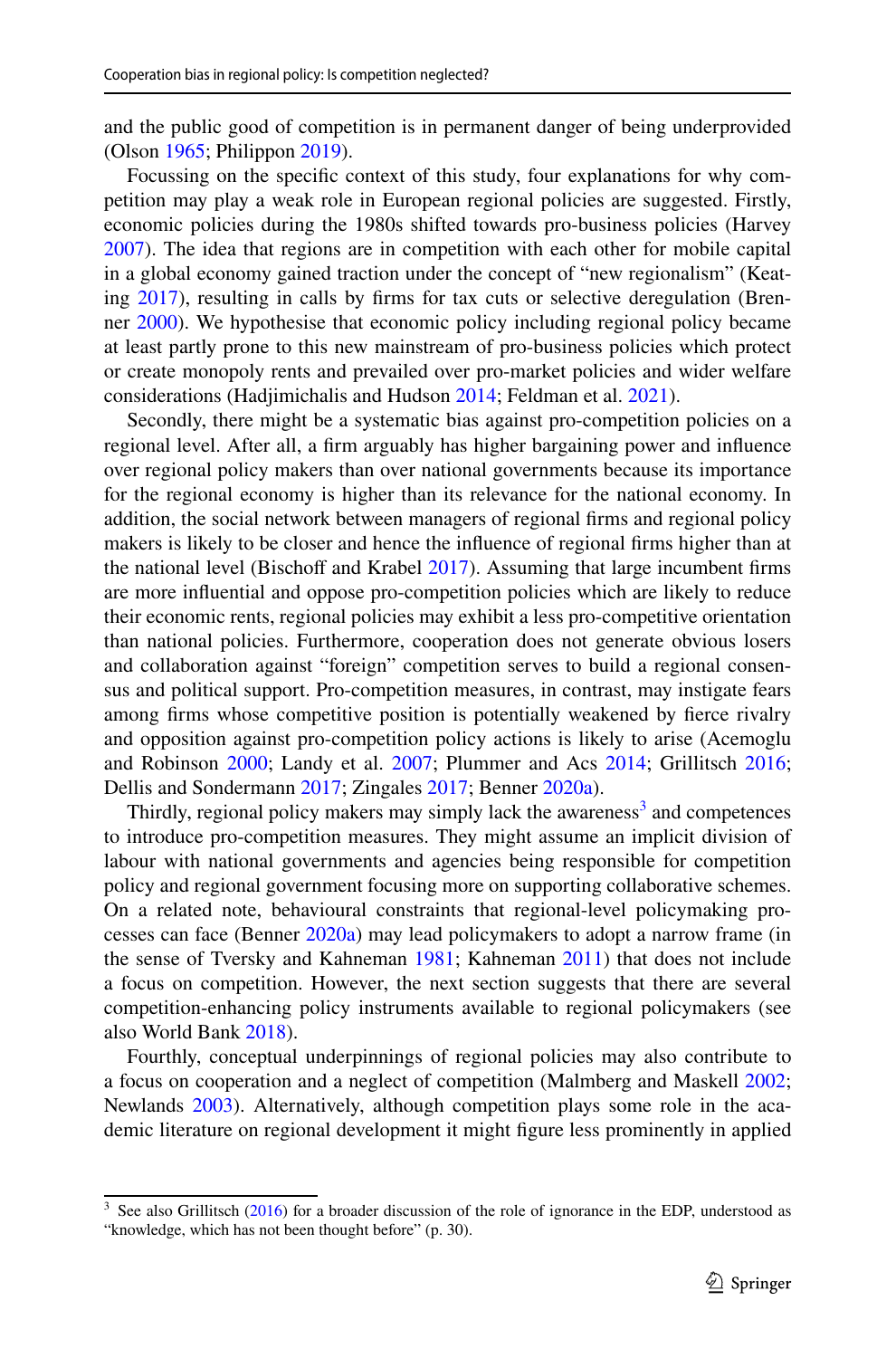and the public good of competition is in permanent danger of being underprovided (Olson [1965;](#page-32-21) Philippon [2019](#page-32-8)).

Focussing on the specifc context of this study, four explanations for why competition may play a weak role in European regional policies are suggested. Firstly, economic policies during the 1980s shifted towards pro-business policies (Harvey [2007](#page-31-19)). The idea that regions are in competition with each other for mobile capital in a global economy gained traction under the concept of "new regionalism" (Keating [2017\)](#page-31-20), resulting in calls by frms for tax cuts or selective deregulation (Brenner [2000](#page-30-15)). We hypothesise that economic policy including regional policy became at least partly prone to this new mainstream of pro-business policies which protect or create monopoly rents and prevailed over pro-market policies and wider welfare considerations (Hadjimichalis and Hudson [2014;](#page-31-21) Feldman et al. [2021](#page-31-1)).

Secondly, there might be a systematic bias against pro-competition policies on a regional level. After all, a frm arguably has higher bargaining power and infuence over regional policy makers than over national governments because its importance for the regional economy is higher than its relevance for the national economy. In addition, the social network between managers of regional frms and regional policy makers is likely to be closer and hence the infuence of regional frms higher than at the national level (Bischoff and Krabel  $2017$ ). Assuming that large incumbent firms are more infuential and oppose pro-competition policies which are likely to reduce their economic rents, regional policies may exhibit a less pro-competitive orientation than national policies. Furthermore, cooperation does not generate obvious losers and collaboration against "foreign" competition serves to build a regional consensus and political support. Pro-competition measures, in contrast, may instigate fears among frms whose competitive position is potentially weakened by ferce rivalry and opposition against pro-competition policy actions is likely to arise (Acemoglu and Robinson [2000](#page-30-17); Landy et al. [2007](#page-32-22); Plummer and Acs [2014](#page-33-1); Grillitsch [2016;](#page-31-22) Dellis and Sondermann [2017;](#page-30-18) Zingales [2017;](#page-34-1) Benner [2020a\)](#page-30-19).

Thirdly, regional policy makers may simply lack the awareness<sup>[3](#page-6-0)</sup> and competences to introduce pro-competition measures. They might assume an implicit division of labour with national governments and agencies being responsible for competition policy and regional government focusing more on supporting collaborative schemes. On a related note, behavioural constraints that regional-level policymaking processes can face (Benner [2020a\)](#page-30-19) may lead policymakers to adopt a narrow frame (in the sense of Tversky and Kahneman [1981](#page-33-22); Kahneman [2011](#page-31-23)) that does not include a focus on competition. However, the next section suggests that there are several competition-enhancing policy instruments available to regional policymakers (see also World Bank [2018\)](#page-33-23).

Fourthly, conceptual underpinnings of regional policies may also contribute to a focus on cooperation and a neglect of competition (Malmberg and Maskell [2002;](#page-32-18) Newlands [2003](#page-32-2)). Alternatively, although competition plays some role in the academic literature on regional development it might fgure less prominently in applied

<span id="page-6-0"></span><sup>&</sup>lt;sup>3</sup> See also Grillitsch ([2016\)](#page-31-22) for a broader discussion of the role of ignorance in the EDP, understood as "knowledge, which has not been thought before" (p. 30).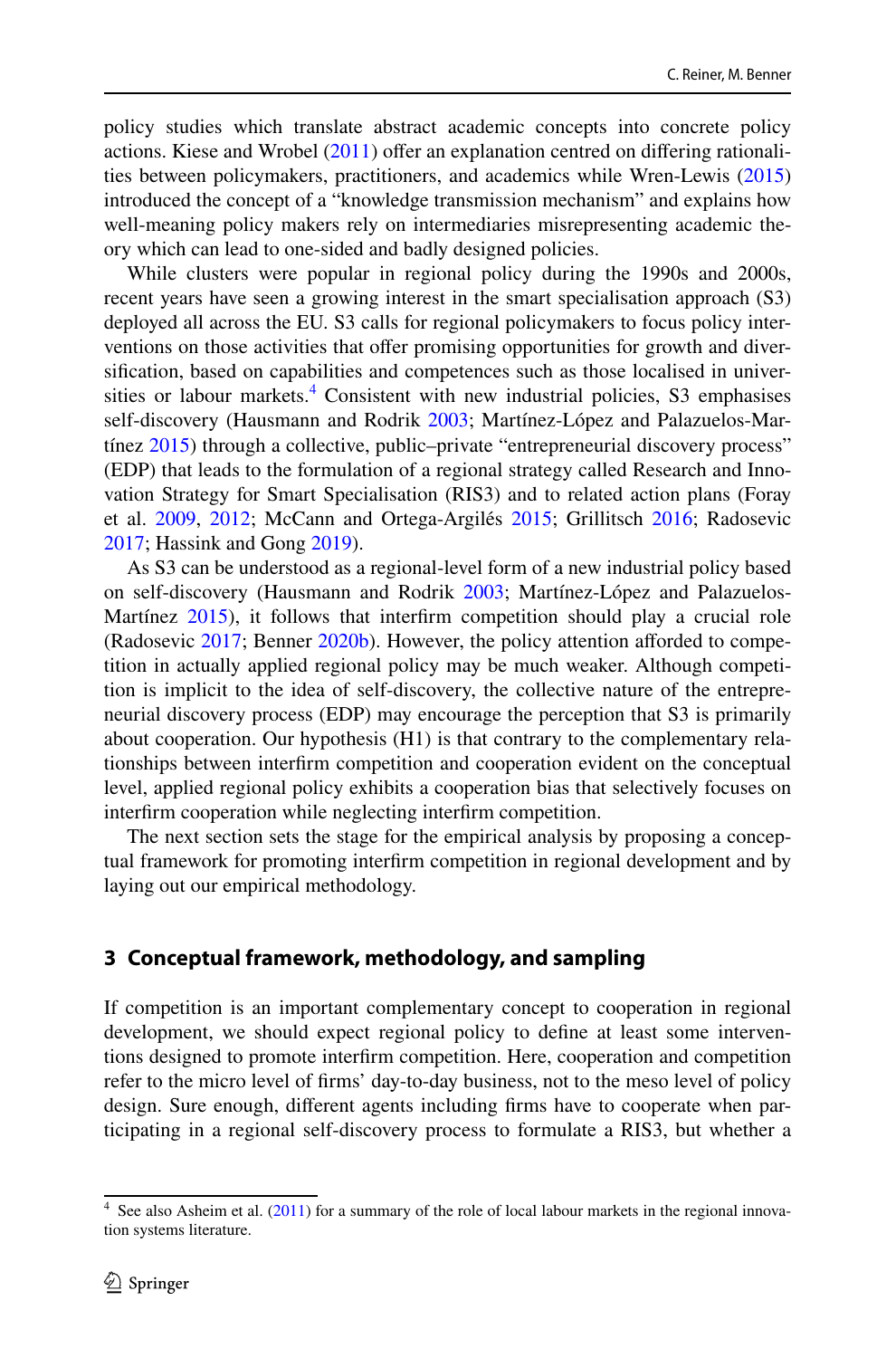policy studies which translate abstract academic concepts into concrete policy actions. Kiese and Wrobel  $(2011)$  $(2011)$  offer an explanation centred on differing rationalities between policymakers, practitioners, and academics while Wren-Lewis ([2015\)](#page-33-24) introduced the concept of a "knowledge transmission mechanism" and explains how well-meaning policy makers rely on intermediaries misrepresenting academic theory which can lead to one-sided and badly designed policies.

While clusters were popular in regional policy during the 1990s and 2000s, recent years have seen a growing interest in the smart specialisation approach (S3) deployed all across the EU. S3 calls for regional policymakers to focus policy interventions on those activities that offer promising opportunities for growth and diversifcation, based on capabilities and competences such as those localised in universities or labour markets. $4$  Consistent with new industrial policies, S3 emphasises self-discovery (Hausmann and Rodrik [2003](#page-31-9); Martínez-López and Palazuelos-Martínez [2015](#page-32-11)) through a collective, public–private "entrepreneurial discovery process" (EDP) that leads to the formulation of a regional strategy called Research and Innovation Strategy for Smart Specialisation (RIS3) and to related action plans (Foray et al. [2009](#page-31-5), [2012;](#page-31-24) McCann and Ortega-Argilés [2015;](#page-32-1) Grillitsch [2016;](#page-31-22) Radosevic [2017](#page-33-0); Hassink and Gong [2019\)](#page-31-25).

As S3 can be understood as a regional-level form of a new industrial policy based on self-discovery (Hausmann and Rodrik [2003](#page-31-9); Martínez-López and Palazuelos-Martínez [2015](#page-32-11)), it follows that interfrm competition should play a crucial role (Radosevic [2017;](#page-33-0) Benner [2020b](#page-30-20)). However, the policy attention aforded to competition in actually applied regional policy may be much weaker. Although competition is implicit to the idea of self-discovery, the collective nature of the entrepreneurial discovery process (EDP) may encourage the perception that S3 is primarily about cooperation. Our hypothesis (H1) is that contrary to the complementary relationships between interfrm competition and cooperation evident on the conceptual level, applied regional policy exhibits a cooperation bias that selectively focuses on interfrm cooperation while neglecting interfrm competition.

The next section sets the stage for the empirical analysis by proposing a conceptual framework for promoting interfrm competition in regional development and by laying out our empirical methodology.

# **3 Conceptual framework, methodology, and sampling**

If competition is an important complementary concept to cooperation in regional development, we should expect regional policy to defne at least some interventions designed to promote interfrm competition. Here, cooperation and competition refer to the micro level of frms' day-to-day business, not to the meso level of policy design. Sure enough, diferent agents including frms have to cooperate when participating in a regional self-discovery process to formulate a RIS3, but whether a

<span id="page-7-0"></span><sup>&</sup>lt;sup>4</sup> See also Asheim et al. [\(2011](#page-30-4)) for a summary of the role of local labour markets in the regional innovation systems literature.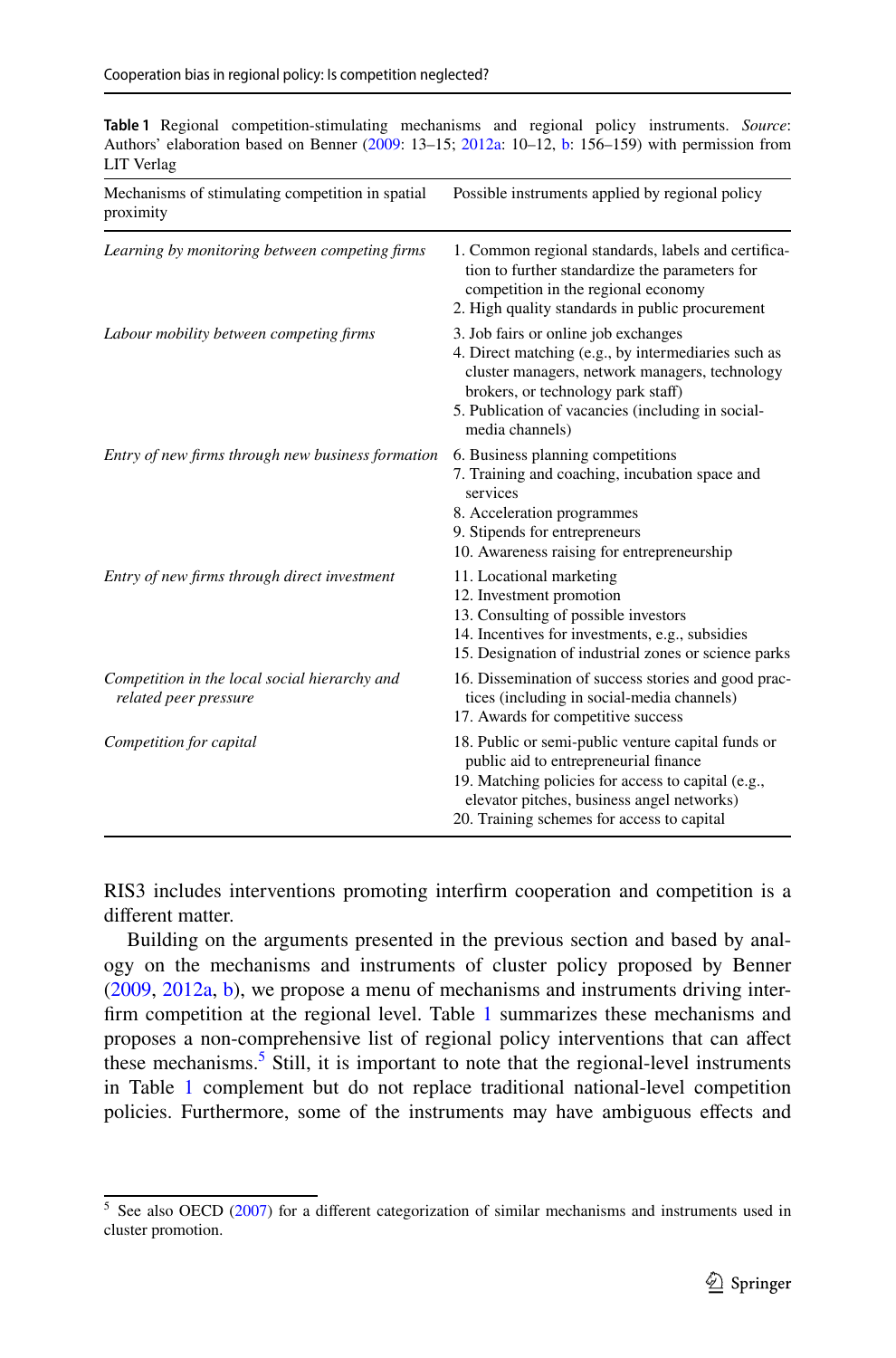<span id="page-8-0"></span>**Table 1** Regional competition-stimulating mechanisms and regional policy instruments. *Source*: Authors' elaboration based on Benner ([2009:](#page-30-11) 13–15; [2012a:](#page-30-14) 10–12, [b:](#page-30-12) 156–159) with permission from LIT Verlag

| Mechanisms of stimulating competition in spatial<br>proximity          | Possible instruments applied by regional policy                                                                                                                                                                                                             |
|------------------------------------------------------------------------|-------------------------------------------------------------------------------------------------------------------------------------------------------------------------------------------------------------------------------------------------------------|
| Learning by monitoring between competing firms                         | 1. Common regional standards, labels and certifica-<br>tion to further standardize the parameters for<br>competition in the regional economy<br>2. High quality standards in public procurement                                                             |
| Labour mobility between competing firms                                | 3. Job fairs or online job exchanges<br>4. Direct matching (e.g., by intermediaries such as<br>cluster managers, network managers, technology<br>brokers, or technology park staff)<br>5. Publication of vacancies (including in social-<br>media channels) |
| Entry of new firms through new business formation                      | 6. Business planning competitions<br>7. Training and coaching, incubation space and<br>services<br>8. Acceleration programmes<br>9. Stipends for entrepreneurs<br>10. Awareness raising for entrepreneurship                                                |
| Entry of new firms through direct investment                           | 11. Locational marketing<br>12. Investment promotion<br>13. Consulting of possible investors<br>14. Incentives for investments, e.g., subsidies<br>15. Designation of industrial zones or science parks                                                     |
| Competition in the local social hierarchy and<br>related peer pressure | 16. Dissemination of success stories and good prac-<br>tices (including in social-media channels)<br>17. Awards for competitive success                                                                                                                     |
| Competition for capital                                                | 18. Public or semi-public venture capital funds or<br>public aid to entrepreneurial finance<br>19. Matching policies for access to capital (e.g.,<br>elevator pitches, business angel networks)<br>20. Training schemes for access to capital               |

RIS3 includes interventions promoting interfrm cooperation and competition is a diferent matter.

Building on the arguments presented in the previous section and based by analogy on the mechanisms and instruments of cluster policy proposed by Benner [\(2009](#page-30-11), [2012a](#page-30-14), [b\)](#page-30-12), we propose a menu of mechanisms and instruments driving interfrm competition at the regional level. Table [1](#page-8-0) summarizes these mechanisms and proposes a non-comprehensive list of regional policy interventions that can afect these mechanisms.<sup>[5](#page-8-1)</sup> Still, it is important to note that the regional-level instruments in Table [1](#page-8-0) complement but do not replace traditional national-level competition policies. Furthermore, some of the instruments may have ambiguous efects and

<span id="page-8-1"></span> $5$  See also OECD [\(2007](#page-32-20)) for a different categorization of similar mechanisms and instruments used in cluster promotion.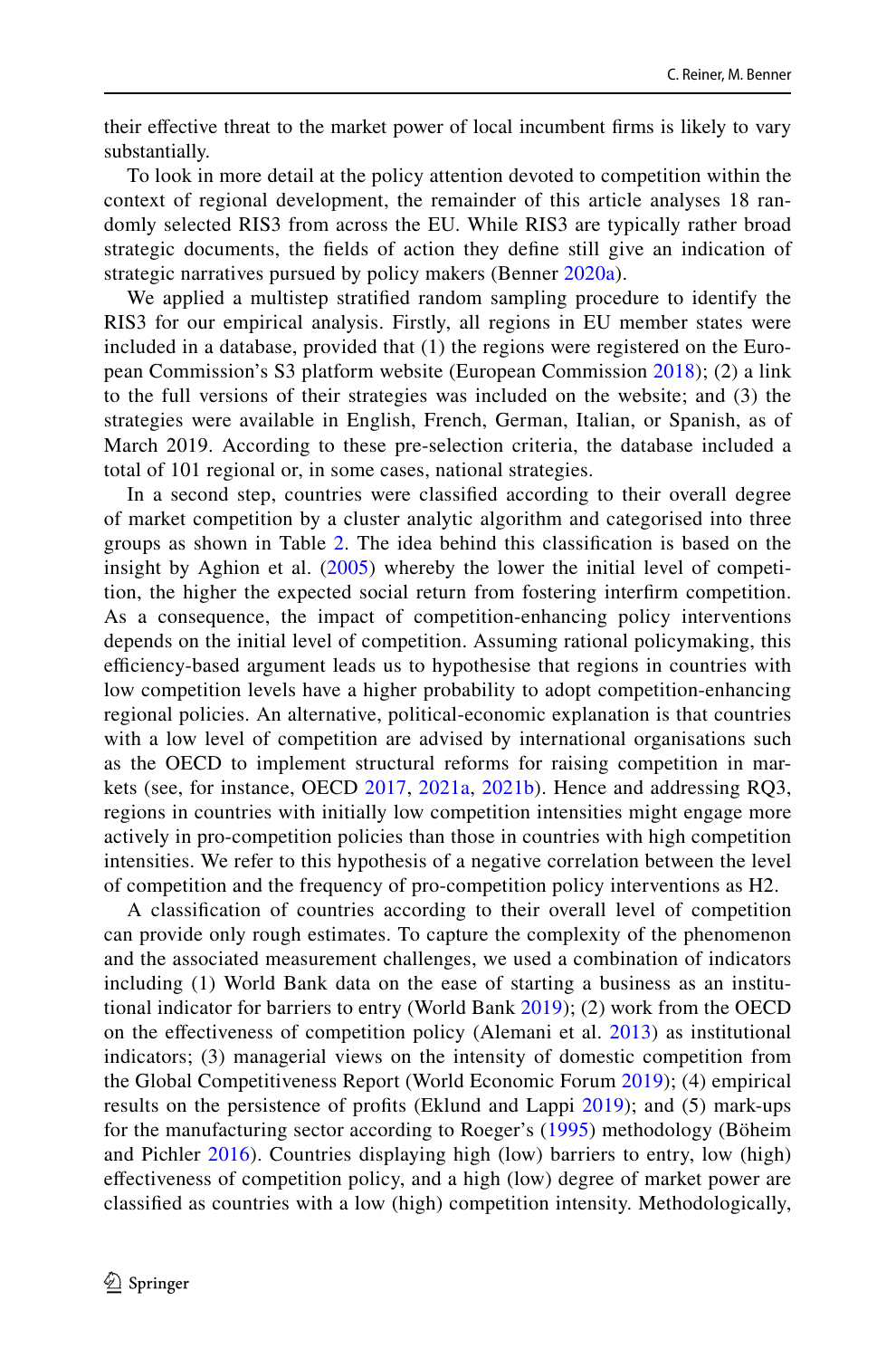their efective threat to the market power of local incumbent frms is likely to vary substantially.

To look in more detail at the policy attention devoted to competition within the context of regional development, the remainder of this article analyses 18 randomly selected RIS3 from across the EU. While RIS3 are typically rather broad strategic documents, the felds of action they defne still give an indication of strategic narratives pursued by policy makers (Benner [2020a\)](#page-30-19).

We applied a multistep stratifed random sampling procedure to identify the RIS3 for our empirical analysis. Firstly, all regions in EU member states were included in a database, provided that (1) the regions were registered on the European Commission's S3 platform website (European Commission [2018](#page-31-26)); (2) a link to the full versions of their strategies was included on the website; and (3) the strategies were available in English, French, German, Italian, or Spanish, as of March 2019. According to these pre-selection criteria, the database included a total of 101 regional or, in some cases, national strategies.

In a second step, countries were classifed according to their overall degree of market competition by a cluster analytic algorithm and categorised into three groups as shown in Table [2.](#page-10-0) The idea behind this classifcation is based on the insight by Aghion et al.  $(2005)$  $(2005)$  whereby the lower the initial level of competition, the higher the expected social return from fostering interfrm competition. As a consequence, the impact of competition-enhancing policy interventions depends on the initial level of competition. Assuming rational policymaking, this efficiency-based argument leads us to hypothesise that regions in countries with low competition levels have a higher probability to adopt competition-enhancing regional policies. An alternative, political-economic explanation is that countries with a low level of competition are advised by international organisations such as the OECD to implement structural reforms for raising competition in markets (see, for instance, OECD [2017,](#page-32-23) [2021a,](#page-32-24) [2021b](#page-32-25)). Hence and addressing RQ3, regions in countries with initially low competition intensities might engage more actively in pro-competition policies than those in countries with high competition intensities. We refer to this hypothesis of a negative correlation between the level of competition and the frequency of pro-competition policy interventions as H2.

A classifcation of countries according to their overall level of competition can provide only rough estimates. To capture the complexity of the phenomenon and the associated measurement challenges, we used a combination of indicators including (1) World Bank data on the ease of starting a business as an institutional indicator for barriers to entry (World Bank  $2019$ ); (2) work from the OECD on the efectiveness of competition policy (Alemani et al. [2013\)](#page-30-21) as institutional indicators; (3) managerial views on the intensity of domestic competition from the Global Competitiveness Report (World Economic Forum [2019\)](#page-33-26); (4) empirical results on the persistence of profits (Eklund and Lappi [2019](#page-30-3)); and (5) mark-ups for the manufacturing sector according to Roeger's [\(1995](#page-33-27)) methodology (Böheim and Pichler [2016\)](#page-30-22). Countries displaying high (low) barriers to entry, low (high) efectiveness of competition policy, and a high (low) degree of market power are classifed as countries with a low (high) competition intensity. Methodologically,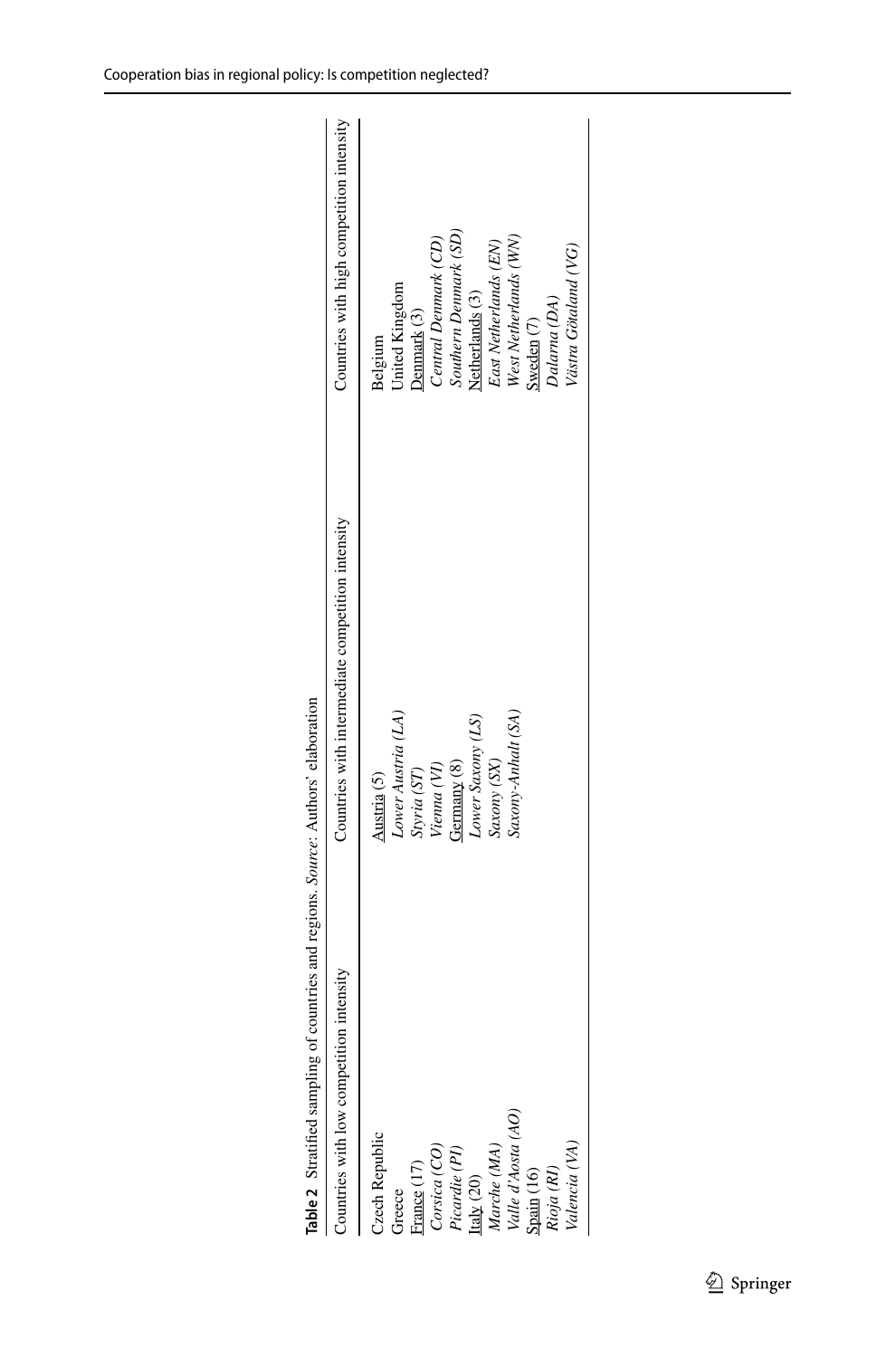| Table 2 Stratified sampling of countries and regions. Source: Authors' elaboration |                                                   |                                           |
|------------------------------------------------------------------------------------|---------------------------------------------------|-------------------------------------------|
| intensity<br>Countries with low competition                                        | Countries with intermediate competition intensity | Countries with high competition intensity |
| <b>Zech Republic</b>                                                               | Austria (5)                                       | Belgium                                   |
| Greece                                                                             | Lower Austria (LA)                                | United Kingdom                            |
| rance (17)                                                                         |                                                   | Denmark (3)                               |
| Corsica (CO)                                                                       | Styria (ST)<br>Vienna (VI)                        | Central Denmark (CD)                      |
| Picardie (PI)                                                                      | Germany (8)                                       | Southern Denmark (SD)                     |
| Italy $(20)$                                                                       | Lower Saxony (LS)                                 | Netherlands <sup>(3)</sup>                |
| Marche (MA)                                                                        | Saxony (SX)                                       | East Netherlands (EN)                     |
| Valle d'Aosta (AO)                                                                 | Saxony-Anhalt (SA                                 | West Netherlands (WN)                     |
|                                                                                    |                                                   | Sweden $(7)$                              |
| Spain (16)<br>Rioja (RI)                                                           |                                                   | Dalarna (DA)                              |
| Valencia (VA)                                                                      |                                                   | Västra Götaland (VG)                      |
|                                                                                    |                                                   |                                           |

<span id="page-10-0"></span>

| ۱                                                                        |
|--------------------------------------------------------------------------|
| ١<br>l<br>l                                                              |
| j                                                                        |
| <b>CONTRACTOR</b><br>l<br>۱<br>֖֖֖֖ׅ֖֪ׅ֚֚֚֚֚֚֚֚֚֚֚֚֚֚֚֚֚֚֚֚֚֚֡֝֝֝֝֝֝֝֝֝֝ |
| i                                                                        |
|                                                                          |
|                                                                          |
| I                                                                        |
|                                                                          |
| l                                                                        |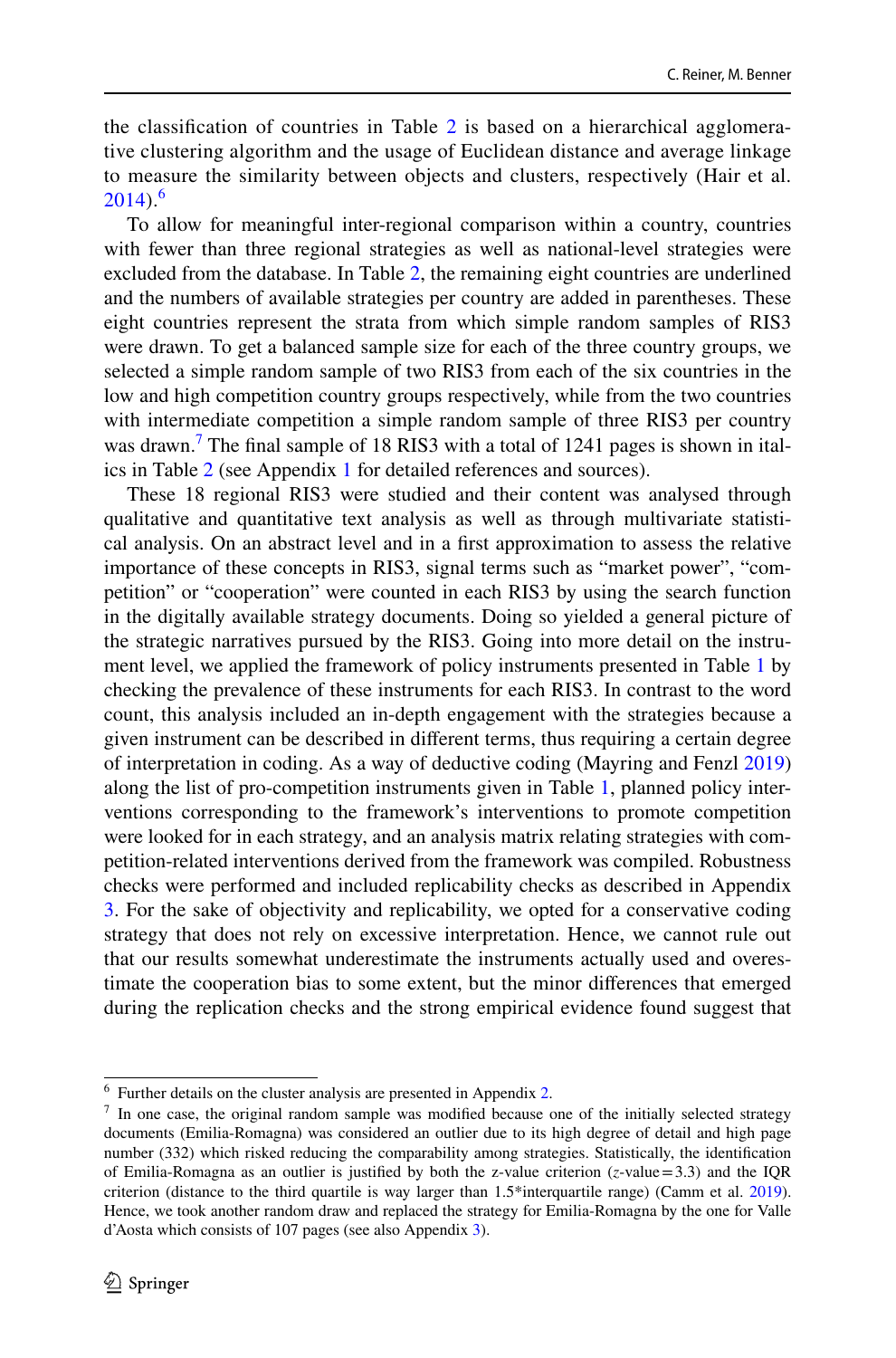the classifcation of countries in Table [2](#page-10-0) is based on a hierarchical agglomerative clustering algorithm and the usage of Euclidean distance and average linkage to measure the similarity between objects and clusters, respectively (Hair et al.  $2014$ .<sup>[6](#page-11-0)</sup>

To allow for meaningful inter-regional comparison within a country, countries with fewer than three regional strategies as well as national-level strategies were excluded from the database. In Table [2](#page-10-0), the remaining eight countries are underlined and the numbers of available strategies per country are added in parentheses. These eight countries represent the strata from which simple random samples of RIS3 were drawn. To get a balanced sample size for each of the three country groups, we selected a simple random sample of two RIS3 from each of the six countries in the low and high competition country groups respectively, while from the two countries with intermediate competition a simple random sample of three RIS3 per country was drawn.<sup>[7](#page-11-1)</sup> The final sample of 18 RIS3 with a total of 1241 pages is shown in italics in Table [2](#page-10-0) (see Appendix [1](#page-19-0) for detailed references and sources).

These 18 regional RIS3 were studied and their content was analysed through qualitative and quantitative text analysis as well as through multivariate statistical analysis. On an abstract level and in a frst approximation to assess the relative importance of these concepts in RIS3, signal terms such as "market power", "competition" or "cooperation" were counted in each RIS3 by using the search function in the digitally available strategy documents. Doing so yielded a general picture of the strategic narratives pursued by the RIS3. Going into more detail on the instrument level, we applied the framework of policy instruments presented in Table [1](#page-8-0) by checking the prevalence of these instruments for each RIS3. In contrast to the word count, this analysis included an in-depth engagement with the strategies because a given instrument can be described in diferent terms, thus requiring a certain degree of interpretation in coding. As a way of deductive coding (Mayring and Fenzl [2019](#page-32-26)) along the list of pro-competition instruments given in Table [1](#page-8-0), planned policy interventions corresponding to the framework's interventions to promote competition were looked for in each strategy, and an analysis matrix relating strategies with competition-related interventions derived from the framework was compiled. Robustness checks were performed and included replicability checks as described in Appendix [3](#page-24-0). For the sake of objectivity and replicability, we opted for a conservative coding strategy that does not rely on excessive interpretation. Hence, we cannot rule out that our results somewhat underestimate the instruments actually used and overestimate the cooperation bias to some extent, but the minor diferences that emerged during the replication checks and the strong empirical evidence found suggest that

<span id="page-11-0"></span><sup>6</sup> Further details on the cluster analysis are presented in Appendix [2](#page-21-0).

<span id="page-11-1"></span> $<sup>7</sup>$  In one case, the original random sample was modified because one of the initially selected strategy</sup> documents (Emilia-Romagna) was considered an outlier due to its high degree of detail and high page number (332) which risked reducing the comparability among strategies. Statistically, the identifcation of Emilia-Romagna as an outlier is justified by both the z-value criterion  $(z$ -value=3.3) and the IQR criterion (distance to the third quartile is way larger than 1.5\*interquartile range) (Camm et al. [2019\)](#page-30-23). Hence, we took another random draw and replaced the strategy for Emilia-Romagna by the one for Valle d'Aosta which consists of 107 pages (see also Appendix [3\)](#page-24-0).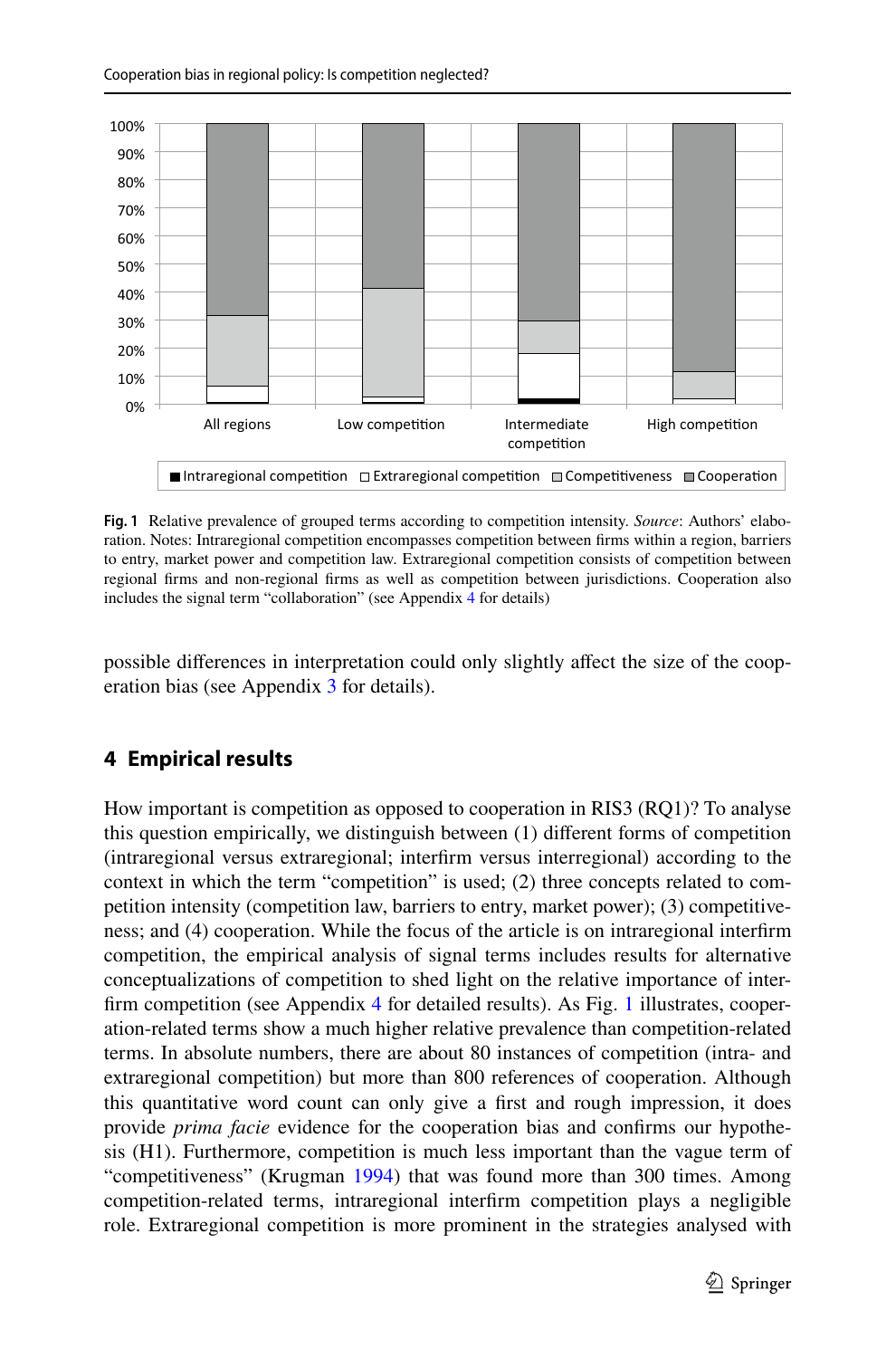

<span id="page-12-0"></span>**Fig. 1** Relative prevalence of grouped terms according to competition intensity. *Source*: Authors' elaboration. Notes: Intraregional competition encompasses competition between frms within a region, barriers to entry, market power and competition law. Extraregional competition consists of competition between regional frms and non-regional frms as well as competition between jurisdictions. Cooperation also includes the signal term "collaboration" (see Appendix [4](#page-26-0) for details)

possible diferences in interpretation could only slightly afect the size of the cooperation bias (see Appendix [3](#page-24-0) for details).

# **4 Empirical results**

How important is competition as opposed to cooperation in RIS3 (RQ1)? To analyse this question empirically, we distinguish between (1) diferent forms of competition (intraregional versus extraregional; interfrm versus interregional) according to the context in which the term "competition" is used; (2) three concepts related to competition intensity (competition law, barriers to entry, market power); (3) competitiveness; and (4) cooperation. While the focus of the article is on intraregional interfrm competition, the empirical analysis of signal terms includes results for alternative conceptualizations of competition to shed light on the relative importance of interfrm competition (see Appendix [4](#page-26-0) for detailed results). As Fig. [1](#page-12-0) illustrates, cooperation-related terms show a much higher relative prevalence than competition-related terms. In absolute numbers, there are about 80 instances of competition (intra- and extraregional competition) but more than 800 references of cooperation. Although this quantitative word count can only give a frst and rough impression, it does provide *prima facie* evidence for the cooperation bias and confrms our hypothesis (H1). Furthermore, competition is much less important than the vague term of "competitiveness" (Krugman [1994](#page-31-28)) that was found more than 300 times. Among competition-related terms, intraregional interfrm competition plays a negligible role. Extraregional competition is more prominent in the strategies analysed with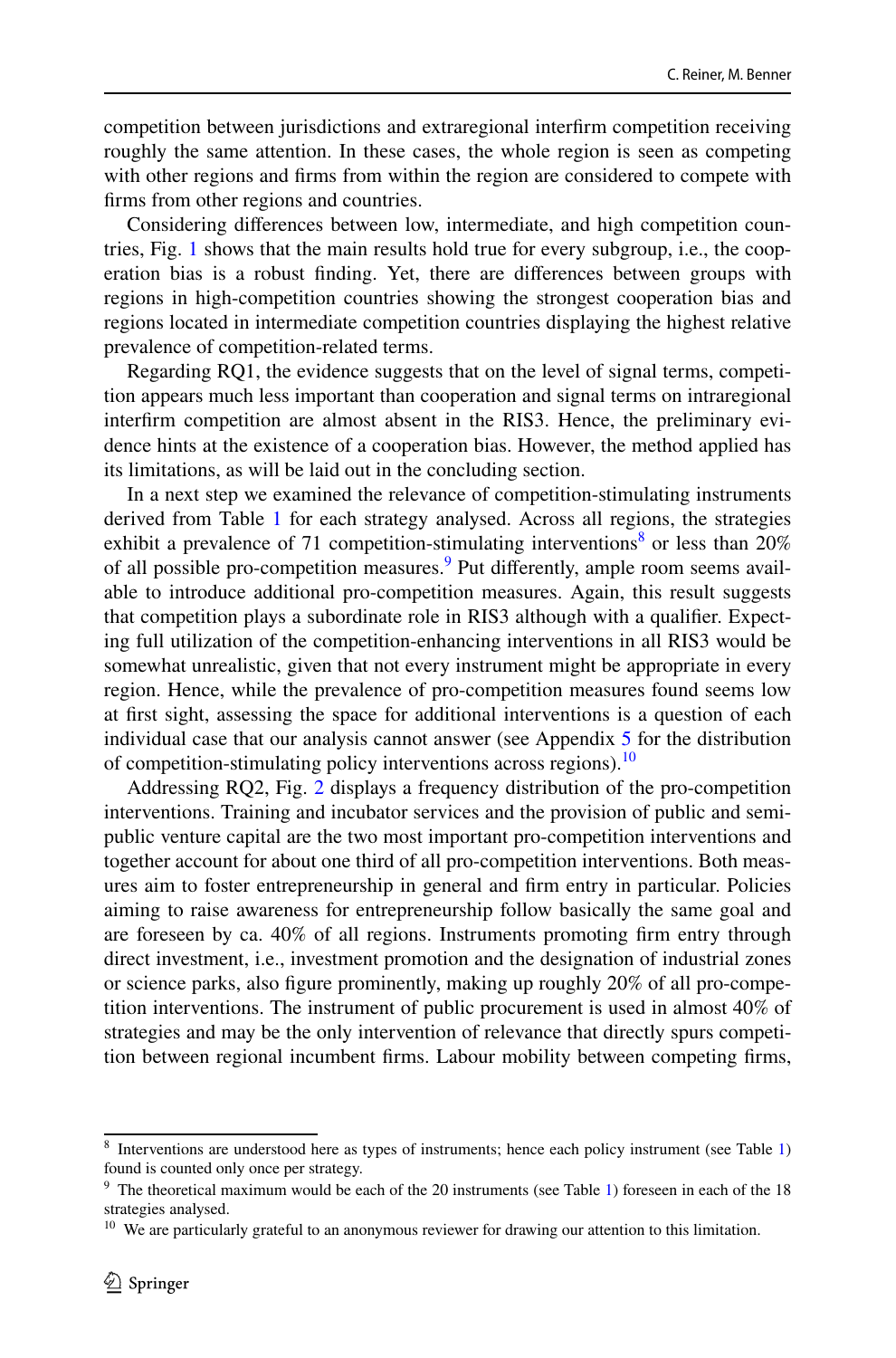competition between jurisdictions and extraregional interfrm competition receiving roughly the same attention. In these cases, the whole region is seen as competing with other regions and frms from within the region are considered to compete with frms from other regions and countries.

Considering diferences between low, intermediate, and high competition countries, Fig. [1](#page-12-0) shows that the main results hold true for every subgroup, i.e., the cooperation bias is a robust fnding. Yet, there are diferences between groups with regions in high-competition countries showing the strongest cooperation bias and regions located in intermediate competition countries displaying the highest relative prevalence of competition-related terms.

Regarding RQ1, the evidence suggests that on the level of signal terms, competition appears much less important than cooperation and signal terms on intraregional interfrm competition are almost absent in the RIS3. Hence, the preliminary evidence hints at the existence of a cooperation bias. However, the method applied has its limitations, as will be laid out in the concluding section.

In a next step we examined the relevance of competition-stimulating instruments derived from Table [1](#page-8-0) for each strategy analysed. Across all regions, the strategies exhibit a prevalence of 71 competition-stimulating interventions<sup>8</sup> or less than  $20\%$ of all possible pro-competition measures.<sup>[9](#page-13-1)</sup> Put differently, ample room seems available to introduce additional pro-competition measures. Again, this result suggests that competition plays a subordinate role in RIS3 although with a qualifer. Expecting full utilization of the competition-enhancing interventions in all RIS3 would be somewhat unrealistic, given that not every instrument might be appropriate in every region. Hence, while the prevalence of pro-competition measures found seems low at frst sight, assessing the space for additional interventions is a question of each individual case that our analysis cannot answer (see Appendix [5](#page-29-0) for the distribution of competition-stimulating policy interventions across regions).<sup>[10](#page-13-2)</sup>

Addressing RQ2, Fig. [2](#page-14-0) displays a frequency distribution of the pro-competition interventions. Training and incubator services and the provision of public and semipublic venture capital are the two most important pro-competition interventions and together account for about one third of all pro-competition interventions. Both measures aim to foster entrepreneurship in general and frm entry in particular. Policies aiming to raise awareness for entrepreneurship follow basically the same goal and are foreseen by ca. 40% of all regions. Instruments promoting frm entry through direct investment, i.e., investment promotion and the designation of industrial zones or science parks, also fgure prominently, making up roughly 20% of all pro-competition interventions. The instrument of public procurement is used in almost 40% of strategies and may be the only intervention of relevance that directly spurs competition between regional incumbent frms. Labour mobility between competing frms,

<span id="page-13-0"></span><sup>8</sup> Interventions are understood here as types of instruments; hence each policy instrument (see Table [1\)](#page-8-0) found is counted only once per strategy.

<span id="page-13-1"></span><sup>&</sup>lt;sup>9</sup> The theoretical maximum would be each of the 20 instruments (see Table [1\)](#page-8-0) foreseen in each of the 18 strategies analysed.

<span id="page-13-2"></span><sup>&</sup>lt;sup>10</sup> We are particularly grateful to an anonymous reviewer for drawing our attention to this limitation.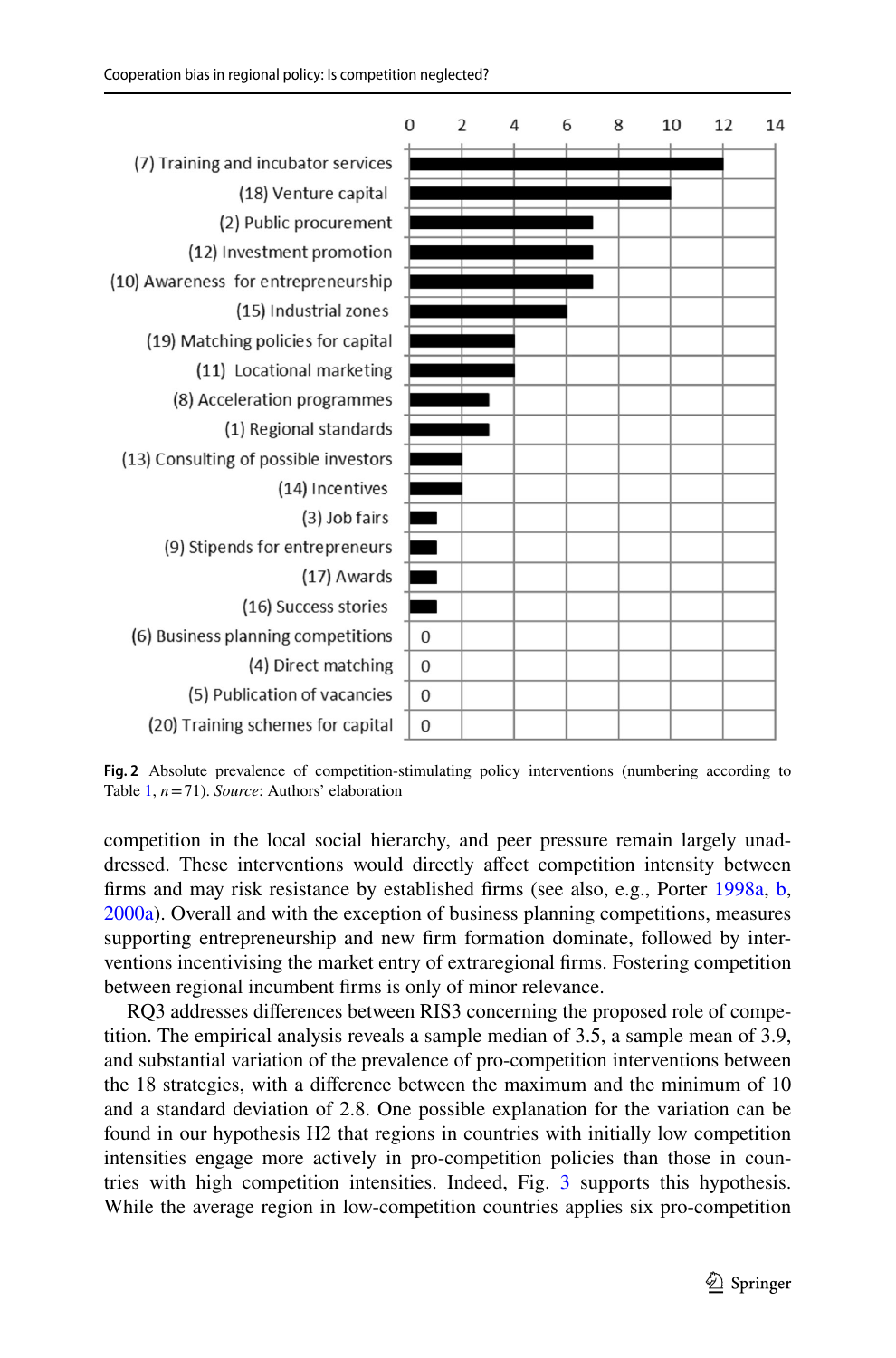

<span id="page-14-0"></span>**Fig. 2** Absolute prevalence of competition-stimulating policy interventions (numbering according to Table [1,](#page-8-0) *n*=71). *Source*: Authors' elaboration

competition in the local social hierarchy, and peer pressure remain largely unaddressed. These interventions would directly afect competition intensity between frms and may risk resistance by established frms (see also, e.g., Porter [1998a,](#page-33-3) [b,](#page-33-18) [2000a](#page-33-20)). Overall and with the exception of business planning competitions, measures supporting entrepreneurship and new frm formation dominate, followed by interventions incentivising the market entry of extraregional frms. Fostering competition between regional incumbent frms is only of minor relevance.

RQ3 addresses diferences between RIS3 concerning the proposed role of competition. The empirical analysis reveals a sample median of 3.5, a sample mean of 3.9, and substantial variation of the prevalence of pro-competition interventions between the 18 strategies, with a diference between the maximum and the minimum of 10 and a standard deviation of 2.8. One possible explanation for the variation can be found in our hypothesis H2 that regions in countries with initially low competition intensities engage more actively in pro-competition policies than those in countries with high competition intensities. Indeed, Fig. [3](#page-15-0) supports this hypothesis. While the average region in low-competition countries applies six pro-competition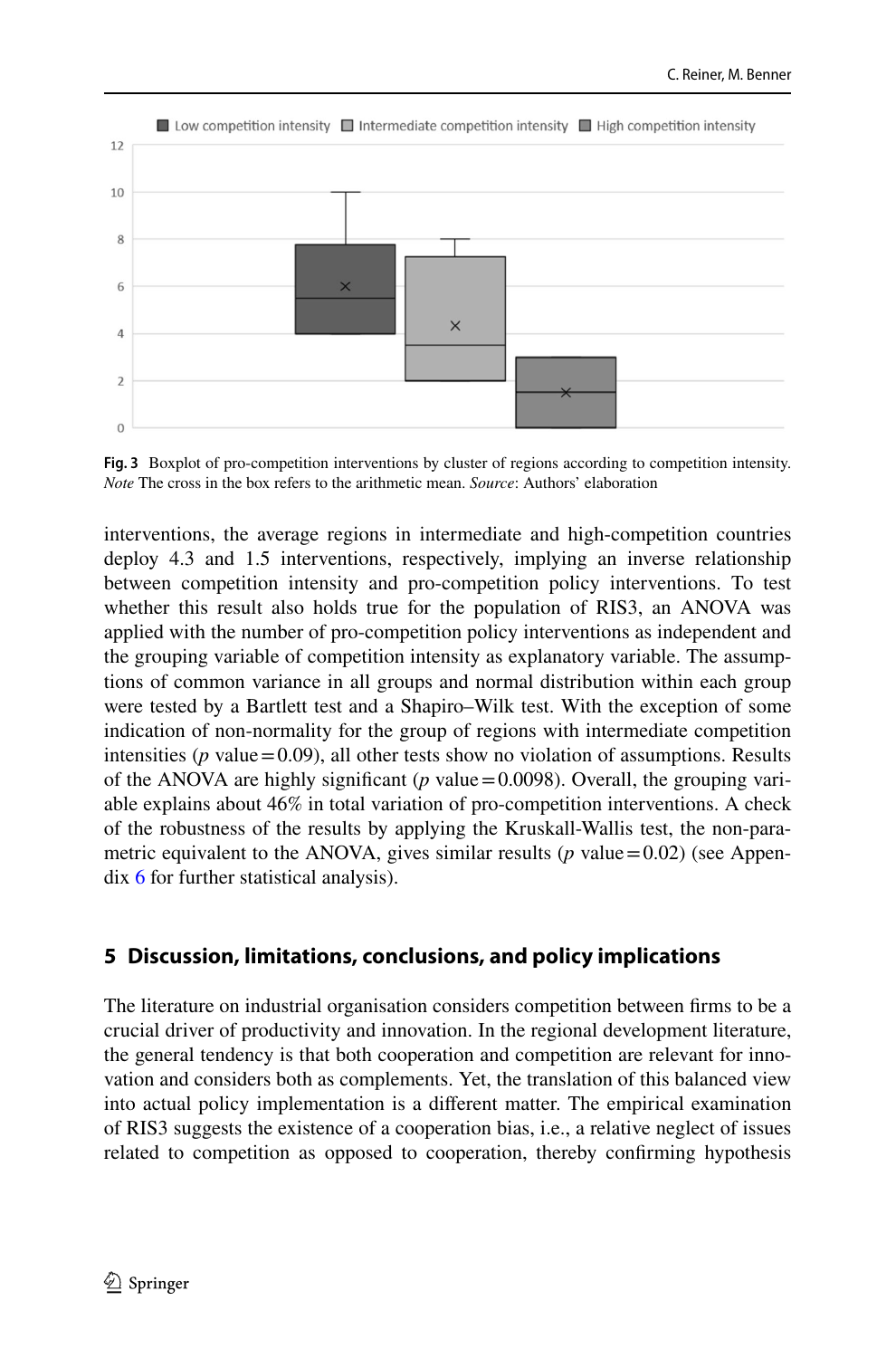

<span id="page-15-0"></span>**Fig. 3** Boxplot of pro-competition interventions by cluster of regions according to competition intensity. *Note* The cross in the box refers to the arithmetic mean. *Source*: Authors' elaboration

interventions, the average regions in intermediate and high-competition countries deploy 4.3 and 1.5 interventions, respectively, implying an inverse relationship between competition intensity and pro-competition policy interventions. To test whether this result also holds true for the population of RIS3, an ANOVA was applied with the number of pro-competition policy interventions as independent and the grouping variable of competition intensity as explanatory variable. The assumptions of common variance in all groups and normal distribution within each group were tested by a Bartlett test and a Shapiro–Wilk test. With the exception of some indication of non-normality for the group of regions with intermediate competition intensities ( $p$  value = 0.09), all other tests show no violation of assumptions. Results of the ANOVA are highly significant ( $p$  value = 0.0098). Overall, the grouping variable explains about 46% in total variation of pro-competition interventions. A check of the robustness of the results by applying the Kruskall-Wallis test, the non-parametric equivalent to the ANOVA, gives similar results ( $p$  value = 0.02) (see Appendix [6](#page-29-1) for further statistical analysis).

### **5 Discussion, limitations, conclusions, and policy implications**

The literature on industrial organisation considers competition between frms to be a crucial driver of productivity and innovation. In the regional development literature, the general tendency is that both cooperation and competition are relevant for innovation and considers both as complements. Yet, the translation of this balanced view into actual policy implementation is a diferent matter. The empirical examination of RIS3 suggests the existence of a cooperation bias, i.e., a relative neglect of issues related to competition as opposed to cooperation, thereby confrming hypothesis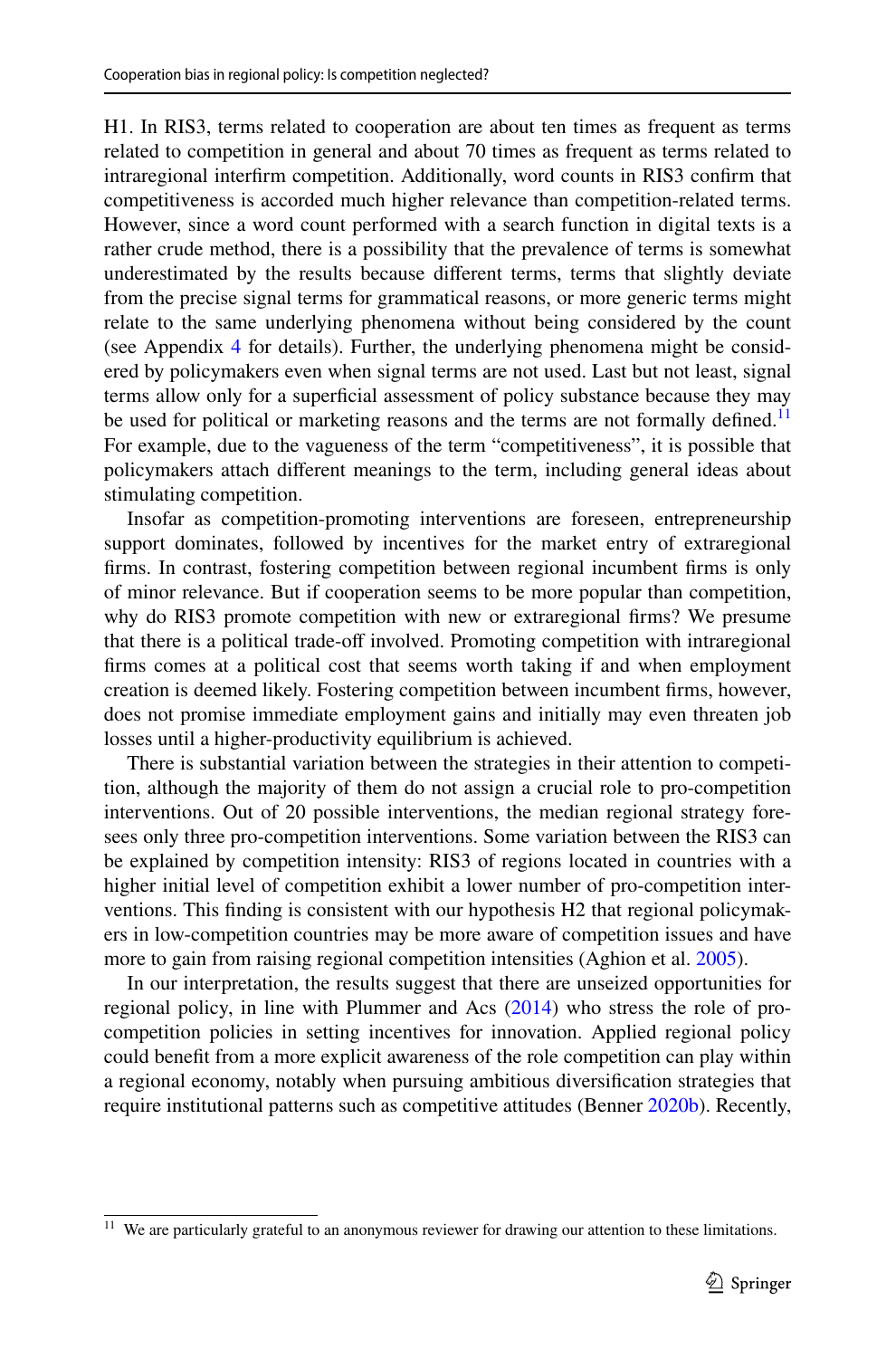H1. In RIS3, terms related to cooperation are about ten times as frequent as terms related to competition in general and about 70 times as frequent as terms related to intraregional interfrm competition. Additionally, word counts in RIS3 confrm that competitiveness is accorded much higher relevance than competition-related terms. However, since a word count performed with a search function in digital texts is a rather crude method, there is a possibility that the prevalence of terms is somewhat underestimated by the results because diferent terms, terms that slightly deviate from the precise signal terms for grammatical reasons, or more generic terms might relate to the same underlying phenomena without being considered by the count (see Appendix [4](#page-26-0) for details). Further, the underlying phenomena might be considered by policymakers even when signal terms are not used. Last but not least, signal terms allow only for a superfcial assessment of policy substance because they may be used for political or marketing reasons and the terms are not formally defined.<sup>11</sup> For example, due to the vagueness of the term "competitiveness", it is possible that policymakers attach diferent meanings to the term, including general ideas about stimulating competition.

Insofar as competition-promoting interventions are foreseen, entrepreneurship support dominates, followed by incentives for the market entry of extraregional frms. In contrast, fostering competition between regional incumbent frms is only of minor relevance. But if cooperation seems to be more popular than competition, why do RIS3 promote competition with new or extraregional frms? We presume that there is a political trade-off involved. Promoting competition with intraregional frms comes at a political cost that seems worth taking if and when employment creation is deemed likely. Fostering competition between incumbent frms, however, does not promise immediate employment gains and initially may even threaten job losses until a higher-productivity equilibrium is achieved.

There is substantial variation between the strategies in their attention to competition, although the majority of them do not assign a crucial role to pro-competition interventions. Out of 20 possible interventions, the median regional strategy foresees only three pro-competition interventions. Some variation between the RIS3 can be explained by competition intensity: RIS3 of regions located in countries with a higher initial level of competition exhibit a lower number of pro-competition interventions. This fnding is consistent with our hypothesis H2 that regional policymakers in low-competition countries may be more aware of competition issues and have more to gain from raising regional competition intensities (Aghion et al. [2005\)](#page-30-8).

In our interpretation, the results suggest that there are unseized opportunities for regional policy, in line with Plummer and Acs ([2014\)](#page-33-1) who stress the role of procompetition policies in setting incentives for innovation. Applied regional policy could beneft from a more explicit awareness of the role competition can play within a regional economy, notably when pursuing ambitious diversifcation strategies that require institutional patterns such as competitive attitudes (Benner [2020b\)](#page-30-20). Recently,

<span id="page-16-0"></span><sup>&</sup>lt;sup>11</sup> We are particularly grateful to an anonymous reviewer for drawing our attention to these limitations.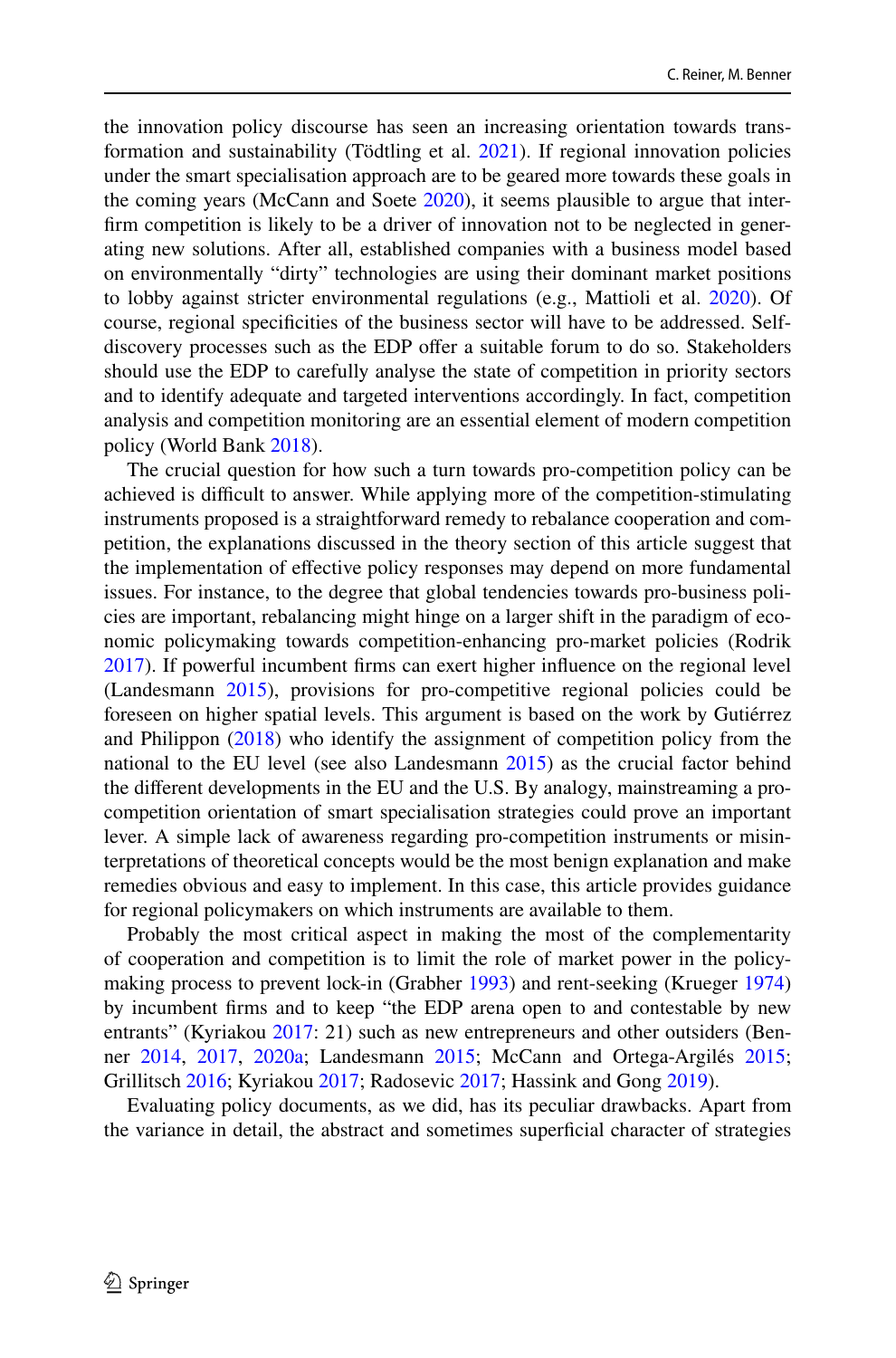the innovation policy discourse has seen an increasing orientation towards transformation and sustainability (Tödtling et al. [2021\)](#page-33-28). If regional innovation policies under the smart specialisation approach are to be geared more towards these goals in the coming years (McCann and Soete [2020\)](#page-32-27), it seems plausible to argue that interfrm competition is likely to be a driver of innovation not to be neglected in generating new solutions. After all, established companies with a business model based on environmentally "dirty" technologies are using their dominant market positions to lobby against stricter environmental regulations (e.g., Mattioli et al. [2020](#page-32-28)). Of course, regional specifcities of the business sector will have to be addressed. Selfdiscovery processes such as the EDP offer a suitable forum to do so. Stakeholders should use the EDP to carefully analyse the state of competition in priority sectors and to identify adequate and targeted interventions accordingly. In fact, competition analysis and competition monitoring are an essential element of modern competition policy (World Bank [2018\)](#page-33-23).

The crucial question for how such a turn towards pro-competition policy can be achieved is difficult to answer. While applying more of the competition-stimulating instruments proposed is a straightforward remedy to rebalance cooperation and competition, the explanations discussed in the theory section of this article suggest that the implementation of efective policy responses may depend on more fundamental issues. For instance, to the degree that global tendencies towards pro-business policies are important, rebalancing might hinge on a larger shift in the paradigm of economic policymaking towards competition-enhancing pro-market policies (Rodrik [2017](#page-33-29)). If powerful incumbent frms can exert higher infuence on the regional level (Landesmann [2015](#page-31-2)), provisions for pro-competitive regional policies could be foreseen on higher spatial levels. This argument is based on the work by Gutiérrez and Philippon ([2018\)](#page-31-29) who identify the assignment of competition policy from the national to the EU level (see also Landesmann [2015](#page-31-2)) as the crucial factor behind the diferent developments in the EU and the U.S. By analogy, mainstreaming a procompetition orientation of smart specialisation strategies could prove an important lever. A simple lack of awareness regarding pro-competition instruments or misinterpretations of theoretical concepts would be the most benign explanation and make remedies obvious and easy to implement. In this case, this article provides guidance for regional policymakers on which instruments are available to them.

Probably the most critical aspect in making the most of the complementarity of cooperation and competition is to limit the role of market power in the policymaking process to prevent lock-in (Grabher [1993\)](#page-31-8) and rent-seeking (Krueger [1974](#page-31-30)) by incumbent frms and to keep "the EDP arena open to and contestable by new entrants" (Kyriakou [2017:](#page-31-10) 21) such as new entrepreneurs and other outsiders (Benner [2014](#page-30-24), [2017,](#page-30-25) [2020a;](#page-30-19) Landesmann [2015](#page-31-2); McCann and Ortega-Argilés [2015;](#page-32-1) Grillitsch [2016](#page-31-22); Kyriakou [2017](#page-31-10); Radosevic [2017;](#page-33-0) Hassink and Gong [2019](#page-31-25)).

Evaluating policy documents, as we did, has its peculiar drawbacks. Apart from the variance in detail, the abstract and sometimes superfcial character of strategies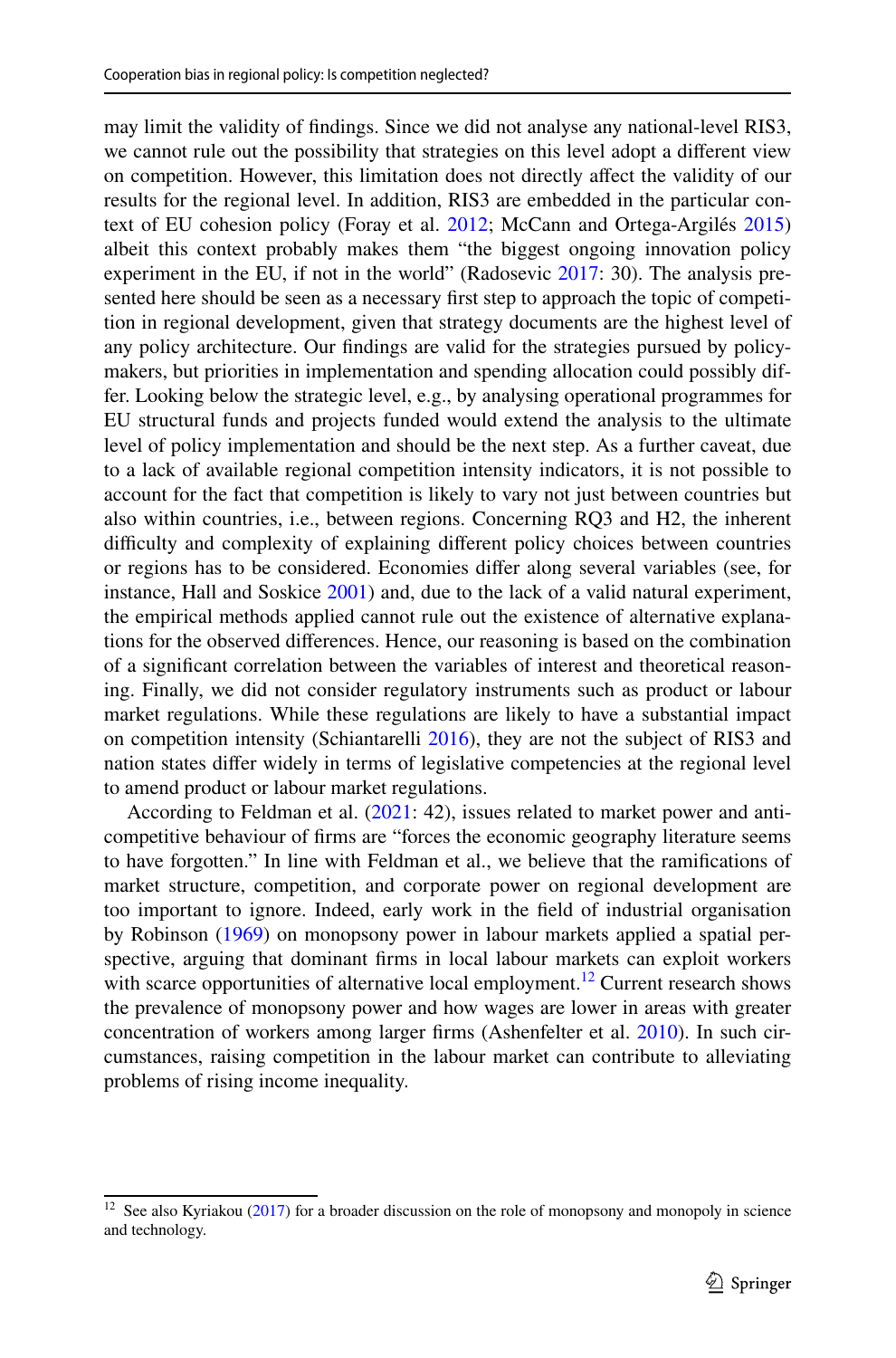may limit the validity of fndings. Since we did not analyse any national-level RIS3, we cannot rule out the possibility that strategies on this level adopt a diferent view on competition. However, this limitation does not directly afect the validity of our results for the regional level. In addition, RIS3 are embedded in the particular context of EU cohesion policy (Foray et al. [2012;](#page-31-24) McCann and Ortega-Argilés [2015\)](#page-32-1) albeit this context probably makes them "the biggest ongoing innovation policy experiment in the EU, if not in the world" (Radosevic [2017:](#page-33-0) 30). The analysis presented here should be seen as a necessary frst step to approach the topic of competition in regional development, given that strategy documents are the highest level of any policy architecture. Our fndings are valid for the strategies pursued by policymakers, but priorities in implementation and spending allocation could possibly differ. Looking below the strategic level, e.g., by analysing operational programmes for EU structural funds and projects funded would extend the analysis to the ultimate level of policy implementation and should be the next step. As a further caveat, due to a lack of available regional competition intensity indicators, it is not possible to account for the fact that competition is likely to vary not just between countries but also within countries, i.e., between regions. Concerning RQ3 and H2, the inherent difficulty and complexity of explaining different policy choices between countries or regions has to be considered. Economies difer along several variables (see, for instance, Hall and Soskice [2001\)](#page-31-31) and, due to the lack of a valid natural experiment, the empirical methods applied cannot rule out the existence of alternative explanations for the observed diferences. Hence, our reasoning is based on the combination of a signifcant correlation between the variables of interest and theoretical reasoning. Finally, we did not consider regulatory instruments such as product or labour market regulations. While these regulations are likely to have a substantial impact on competition intensity (Schiantarelli [2016](#page-33-30)), they are not the subject of RIS3 and nation states difer widely in terms of legislative competencies at the regional level to amend product or labour market regulations.

According to Feldman et al. [\(2021](#page-31-1): 42), issues related to market power and anticompetitive behaviour of frms are "forces the economic geography literature seems to have forgotten." In line with Feldman et al., we believe that the ramifcations of market structure, competition, and corporate power on regional development are too important to ignore. Indeed, early work in the feld of industrial organisation by Robinson [\(1969](#page-33-31)) on monopsony power in labour markets applied a spatial perspective, arguing that dominant frms in local labour markets can exploit workers with scarce opportunities of alternative local employment.<sup>12</sup> Current research shows the prevalence of monopsony power and how wages are lower in areas with greater concentration of workers among larger frms (Ashenfelter et al. [2010\)](#page-30-26). In such circumstances, raising competition in the labour market can contribute to alleviating problems of rising income inequality.

<span id="page-18-0"></span> $12$  See also Kyriakou ([2017\)](#page-31-10) for a broader discussion on the role of monopsony and monopoly in science and technology.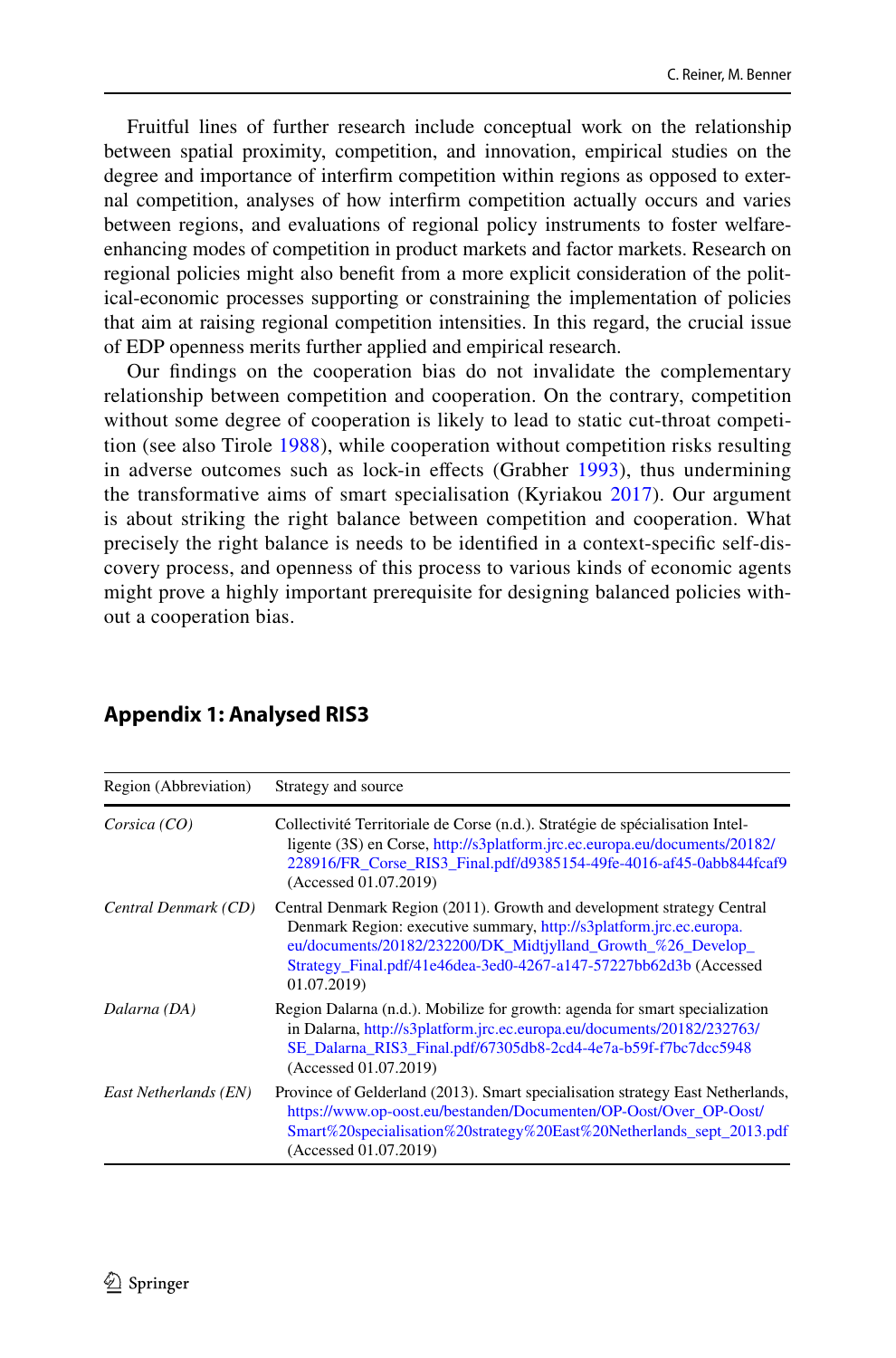Fruitful lines of further research include conceptual work on the relationship between spatial proximity, competition, and innovation, empirical studies on the degree and importance of interfrm competition within regions as opposed to external competition, analyses of how interfrm competition actually occurs and varies between regions, and evaluations of regional policy instruments to foster welfareenhancing modes of competition in product markets and factor markets. Research on regional policies might also beneft from a more explicit consideration of the political-economic processes supporting or constraining the implementation of policies that aim at raising regional competition intensities. In this regard, the crucial issue of EDP openness merits further applied and empirical research.

Our fndings on the cooperation bias do not invalidate the complementary relationship between competition and cooperation. On the contrary, competition without some degree of cooperation is likely to lead to static cut-throat competition (see also Tirole [1988](#page-33-8)), while cooperation without competition risks resulting in adverse outcomes such as lock-in effects (Grabher [1993\)](#page-31-8), thus undermining the transformative aims of smart specialisation (Kyriakou [2017](#page-31-10)). Our argument is about striking the right balance between competition and cooperation. What precisely the right balance is needs to be identifed in a context-specifc self-discovery process, and openness of this process to various kinds of economic agents might prove a highly important prerequisite for designing balanced policies without a cooperation bias.

| Region (Abbreviation) | Strategy and source                                                                                                                                                                                                                                                                               |
|-----------------------|---------------------------------------------------------------------------------------------------------------------------------------------------------------------------------------------------------------------------------------------------------------------------------------------------|
| Corsica (CO)          | Collectivité Territoriale de Corse (n.d.). Stratégie de spécialisation Intel-<br>ligente (3S) en Corse, http://s3platform.jrc.ec.europa.eu/documents/20182/<br>228916/FR_Corse_RIS3_Final.pdf/d9385154-49fe-4016-af45-0abb844fcaf9<br>(Accessed 01.07.2019)                                       |
| Central Denmark (CD)  | Central Denmark Region (2011). Growth and development strategy Central<br>Denmark Region: executive summary, http://s3platform.jrc.ec.europa.<br>eu/documents/20182/232200/DK_Midtjylland_Growth_%26_Develop_<br>Strategy_Final.pdf/41e46dea-3ed0-4267-a147-57227bb62d3b (Accessed<br>01.07.2019) |
| Dalarna (DA)          | Region Dalarna (n.d.). Mobilize for growth: agenda for smart specialization<br>in Dalarna, http://s3platform.jrc.ec.europa.eu/documents/20182/232763/<br>SE_Dalarna_RIS3_Final.pdf/67305db8-2cd4-4e7a-b59f-f7bc7dcc5948<br>(Accessed 01.07.2019)                                                  |
| East Netherlands (EN) | Province of Gelderland (2013). Smart specialisation strategy East Netherlands,<br>https://www.op-oost.eu/bestanden/Documenten/OP-Oost/Over_OP-Oost/<br>Smart%20specialisation%20strategy%20East%20Netherlands_sept_2013.pdf<br>(Accessed 01.07.2019)                                              |

# <span id="page-19-0"></span>**Appendix 1: Analysed RIS3**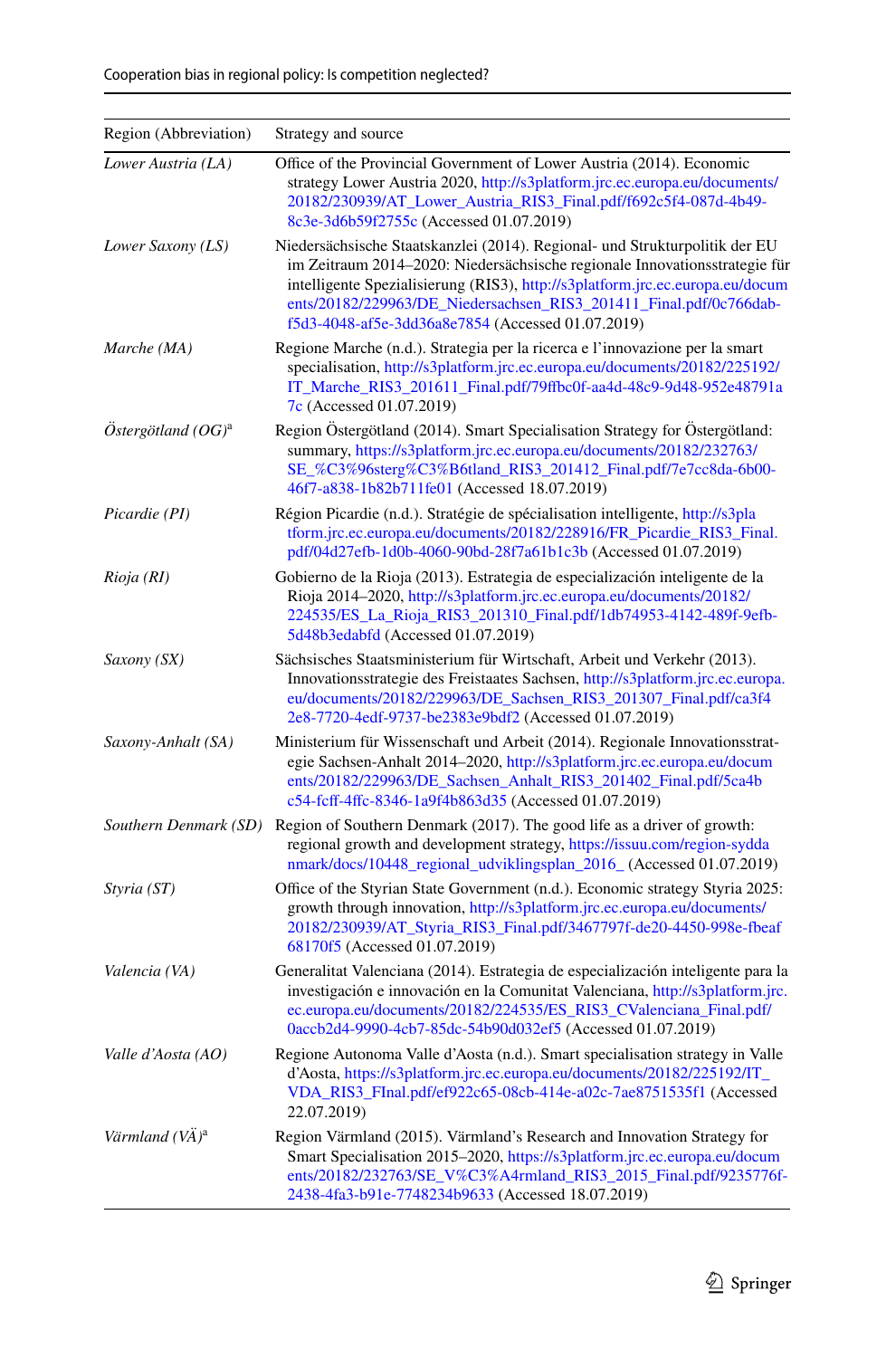| Region (Abbreviation)      | Strategy and source                                                                                                                                                                                                                                                                                                                                                   |
|----------------------------|-----------------------------------------------------------------------------------------------------------------------------------------------------------------------------------------------------------------------------------------------------------------------------------------------------------------------------------------------------------------------|
| Lower Austria (LA)         | Office of the Provincial Government of Lower Austria (2014). Economic<br>strategy Lower Austria 2020, http://s3platform.jrc.ec.europa.eu/documents/<br>20182/230939/AT_Lower_Austria_RIS3_Final.pdf/f692c5f4-087d-4b49-<br>8c3e-3d6b59f2755c (Accessed 01.07.2019)                                                                                                    |
| Lower Saxony (LS)          | Niedersächsische Staatskanzlei (2014). Regional- und Strukturpolitik der EU<br>im Zeitraum 2014-2020: Niedersächsische regionale Innovationsstrategie für<br>intelligente Spezialisierung (RIS3), http://s3platform.jrc.ec.europa.eu/docum<br>ents/20182/229963/DE_Niedersachsen_RIS3_201411_Final.pdf/0c766dab-<br>f5d3-4048-af5e-3dd36a8e7854 (Accessed 01.07.2019) |
| Marche (MA)                | Regione Marche (n.d.). Strategia per la ricerca e l'innovazione per la smart<br>specialisation, http://s3platform.jrc.ec.europa.eu/documents/20182/225192/<br>IT_Marche_RIS3_201611_Final.pdf/79ffbc0f-aa4d-48c9-9d48-952e48791a<br>7c (Accessed 01.07.2019)                                                                                                          |
| $Östergötland (OG)^{a}$    | Region Östergötland (2014). Smart Specialisation Strategy for Östergötland:<br>summary, https://s3platform.jrc.ec.europa.eu/documents/20182/232763/<br>SE_%C3%96sterg%C3%B6tland_RIS3_201412_Final.pdf/7e7cc8da-6b00-<br>46f7-a838-1b82b711fe01 (Accessed 18.07.2019)                                                                                                 |
| Picardie (PI)              | Région Picardie (n.d.). Stratégie de spécialisation intelligente, http://s3pla<br>tform.jrc.ec.europa.eu/documents/20182/228916/FR_Picardie_RIS3_Final.<br>pdf/04d27efb-1d0b-4060-90bd-28f7a61b1c3b (Accessed 01.07.2019)                                                                                                                                             |
| Rioja (RI)                 | Gobierno de la Rioja (2013). Estrategia de especialización inteligente de la<br>Rioja 2014-2020, http://s3platform.jrc.ec.europa.eu/documents/20182/<br>224535/ES_La_Rioja_RIS3_201310_Final.pdf/1db74953-4142-489f-9efb-<br>5d48b3edabfd (Accessed 01.07.2019)                                                                                                       |
| Saxony (SX)                | Sächsisches Staatsministerium für Wirtschaft, Arbeit und Verkehr (2013).<br>Innovationsstrategie des Freistaates Sachsen, http://s3platform.jrc.ec.europa.<br>eu/documents/20182/229963/DE_Sachsen_RIS3_201307_Final.pdf/ca3f4<br>2e8-7720-4edf-9737-be2383e9bdf2 (Accessed 01.07.2019)                                                                               |
| Saxony-Anhalt (SA)         | Ministerium für Wissenschaft und Arbeit (2014). Regionale Innovationsstrat-<br>egie Sachsen-Anhalt 2014-2020, http://s3platform.jrc.ec.europa.eu/docum<br>ents/20182/229963/DE_Sachsen_Anhalt_RIS3_201402_Final.pdf/5ca4b<br>e54-feff-4ffe-8346-1a9f4b863d35 (Accessed 01.07.2019)                                                                                    |
| Southern Denmark (SD)      | Region of Southern Denmark (2017). The good life as a driver of growth:<br>regional growth and development strategy, https://issuu.com/region-sydda<br>nmark/docs/10448_regional_udviklingsplan_2016_ (Accessed 01.07.2019)                                                                                                                                           |
| Styria (ST)                | Office of the Styrian State Government (n.d.). Economic strategy Styria 2025:<br>growth through innovation, http://s3platform.jrc.ec.europa.eu/documents/<br>20182/230939/AT_Styria_RIS3_Final.pdf/3467797f-de20-4450-998e-fbeaf<br>68170f5 (Accessed 01.07.2019)                                                                                                     |
| Valencia (VA)              | Generalitat Valenciana (2014). Estrategia de especialización inteligente para la<br>investigación e innovación en la Comunitat Valenciana, http://s3platform.jrc.<br>ec.europa.eu/documents/20182/224535/ES_RIS3_CValenciana_Final.pdf/<br>0accb2d4-9990-4cb7-85dc-54b90d032ef5 (Accessed 01.07.2019)                                                                 |
| Valle d'Aosta (AO)         | Regione Autonoma Valle d'Aosta (n.d.). Smart specialisation strategy in Valle<br>d'Aosta, https://s3platform.jrc.ec.europa.eu/documents/20182/225192/IT_<br>VDA_RIS3_FInal.pdf/ef922c65-08cb-414e-a02c-7ae8751535f1 (Accessed<br>22.07.2019)                                                                                                                          |
| Värmland (VÄ) <sup>a</sup> | Region Värmland (2015). Värmland's Research and Innovation Strategy for<br>Smart Specialisation 2015-2020, https://s3platform.jrc.ec.europa.eu/docum<br>ents/20182/232763/SE_V%C3%A4rmland_RIS3_2015_Final.pdf/9235776f-<br>2438-4fa3-b91e-7748234b9633 (Accessed 18.07.2019)                                                                                         |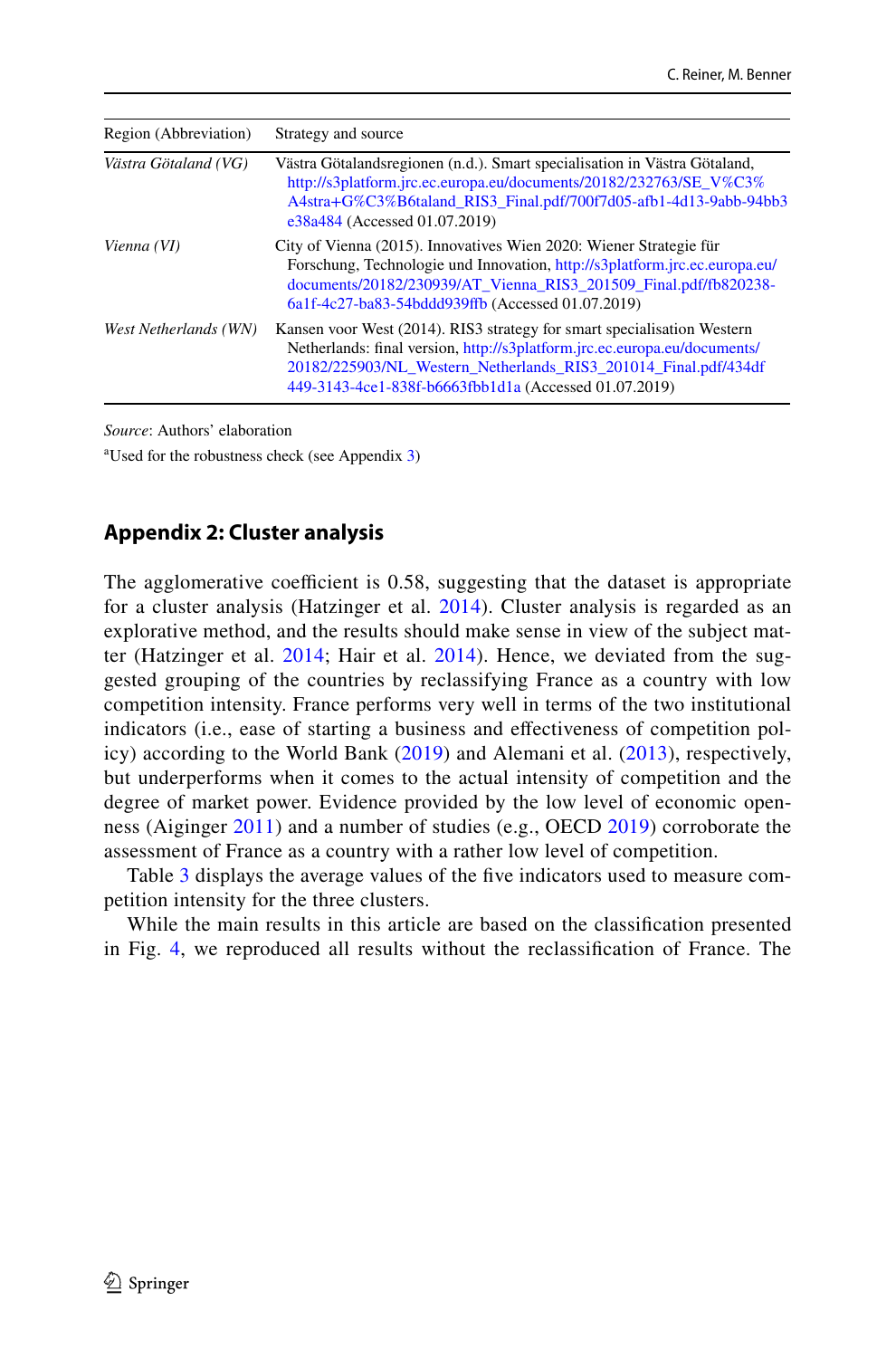| Region (Abbreviation) | Strategy and source                                                                                                                                                                                                                                                              |
|-----------------------|----------------------------------------------------------------------------------------------------------------------------------------------------------------------------------------------------------------------------------------------------------------------------------|
| Västra Götaland (VG)  | Västra Götalandsregionen (n.d.). Smart specialisation in Västra Götaland,<br>http://s3platform.jrc.ec.europa.eu/documents/20182/232763/SE V%C3%<br>A4stra+G%C3%B6taland_RIS3_Final.pdf/700f7d05-afb1-4d13-9abb-94bb3<br>e38a484 (Accessed 01.07.2019)                            |
| Vienna (VI)           | City of Vienna (2015). Innovatives Wien 2020: Wiener Strategie für<br>Forschung, Technologie und Innovation, http://s3platform.jrc.ec.europa.eu/<br>documents/20182/230939/AT_Vienna_RIS3_201509_Final.pdf/fb820238-<br>6a1f-4c27-ba83-54bddd939ffb (Accessed 01.07.2019)        |
| West Netherlands (WN) | Kansen voor West (2014). RIS3 strategy for smart specialisation Western<br>Netherlands: final version, http://s3platform.jrc.ec.europa.eu/documents/<br>20182/225903/NL_Western_Netherlands_RIS3_201014_Final.pdf/434df<br>449-3143-4ce1-838f-b6663fbb1d1a (Accessed 01.07.2019) |

*Source*: Authors' elaboration

a Used for the robustness check (see Appendix [3\)](#page-24-0)

#### <span id="page-21-0"></span>**Appendix 2: Cluster analysis**

The agglomerative coefficient is  $0.58$ , suggesting that the dataset is appropriate for a cluster analysis (Hatzinger et al. [2014](#page-31-32)). Cluster analysis is regarded as an explorative method, and the results should make sense in view of the subject mat-ter (Hatzinger et al. [2014](#page-31-32); Hair et al. [2014\)](#page-31-27). Hence, we deviated from the suggested grouping of the countries by reclassifying France as a country with low competition intensity. France performs very well in terms of the two institutional indicators (i.e., ease of starting a business and efectiveness of competition policy) according to the World Bank ([2019\)](#page-33-25) and Alemani et al. [\(2013\)](#page-30-21), respectively, but underperforms when it comes to the actual intensity of competition and the degree of market power. Evidence provided by the low level of economic openness (Aiginger [2011](#page-30-27)) and a number of studies (e.g., OECD [2019\)](#page-32-29) corroborate the assessment of France as a country with a rather low level of competition.

Table [3](#page-22-0) displays the average values of the five indicators used to measure competition intensity for the three clusters.

While the main results in this article are based on the classifcation presented in Fig. [4,](#page-23-0) we reproduced all results without the reclassifcation of France. The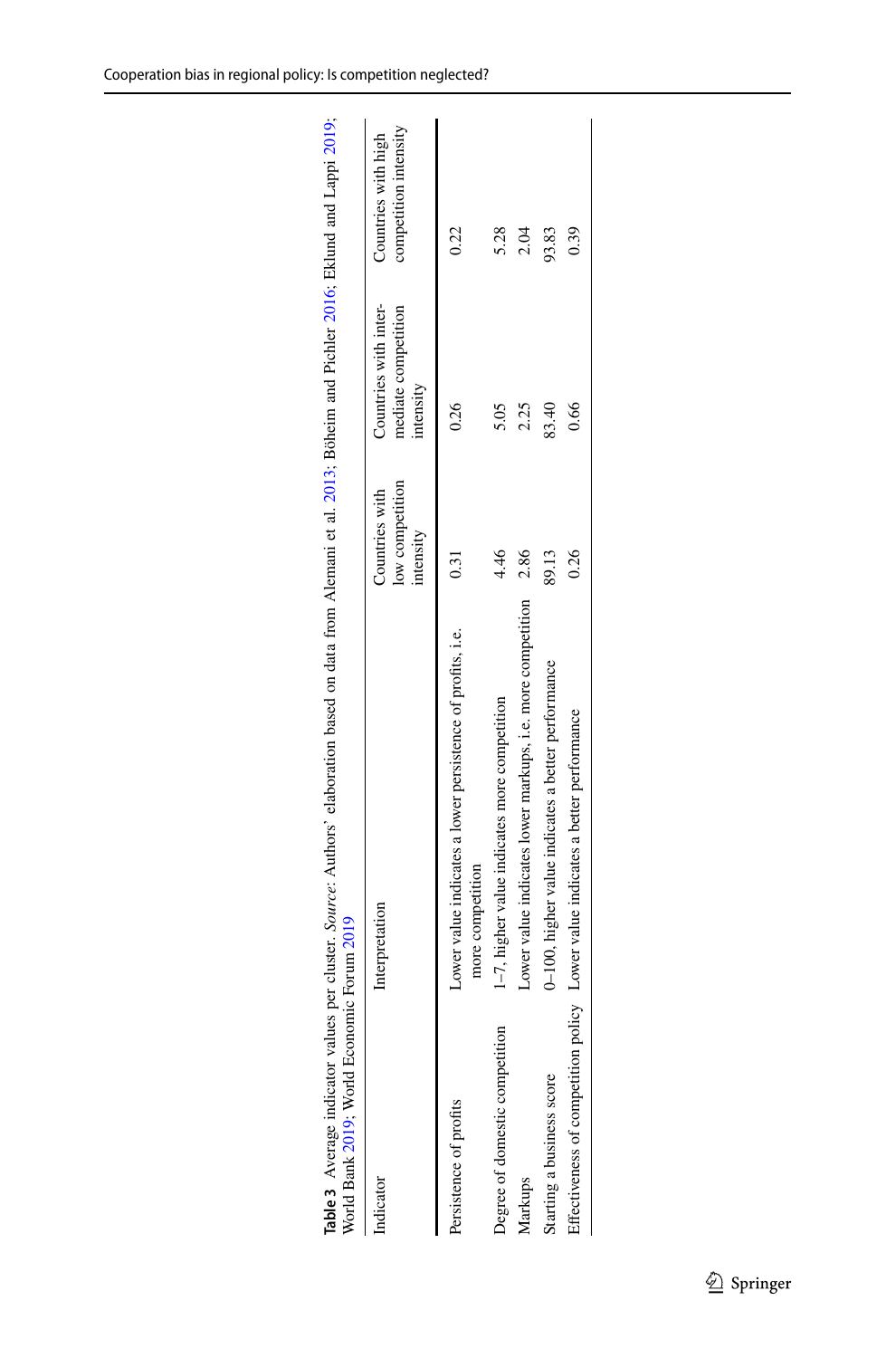<span id="page-22-0"></span>

| World Bank 2019; World Economic Forum 2019 | Table 3 Average indicator values per cluster. Source: Authors' elaboration based on data from Alemani et al. 2013; Böheim and Pichler 2016, Eklund and Lappi 2019; |                                                |                                                           |                                              |
|--------------------------------------------|--------------------------------------------------------------------------------------------------------------------------------------------------------------------|------------------------------------------------|-----------------------------------------------------------|----------------------------------------------|
| Indicator                                  | Interpretation                                                                                                                                                     | low competition<br>Countries with<br>intensity | Countries with inter-<br>mediate competition<br>intensity | competition intensity<br>Countries with high |
| Persistence of profits                     | Lower value indicates a lower persistence of profits, i.e.<br>more competition                                                                                     | 0.31                                           | 0.26                                                      | 0.22                                         |
| Degree of domestic competition             | 1-7, higher value indicates more competition                                                                                                                       | 4.46                                           | 5.05                                                      | 5.28                                         |
| Markups                                    | Lower value indicates lower markups, i.e. more competition                                                                                                         | <b>2.86</b>                                    | 2.25                                                      | 2.04                                         |
| Starting a business score                  | 0-100, higher value indicates a better performance                                                                                                                 | 89.13                                          | 83.40                                                     | 93.83                                        |
|                                            | Effectiveness of competition policy Lower value indicates a better performance                                                                                     | 0.26                                           | 0.66                                                      | 0.39                                         |
|                                            |                                                                                                                                                                    |                                                |                                                           |                                              |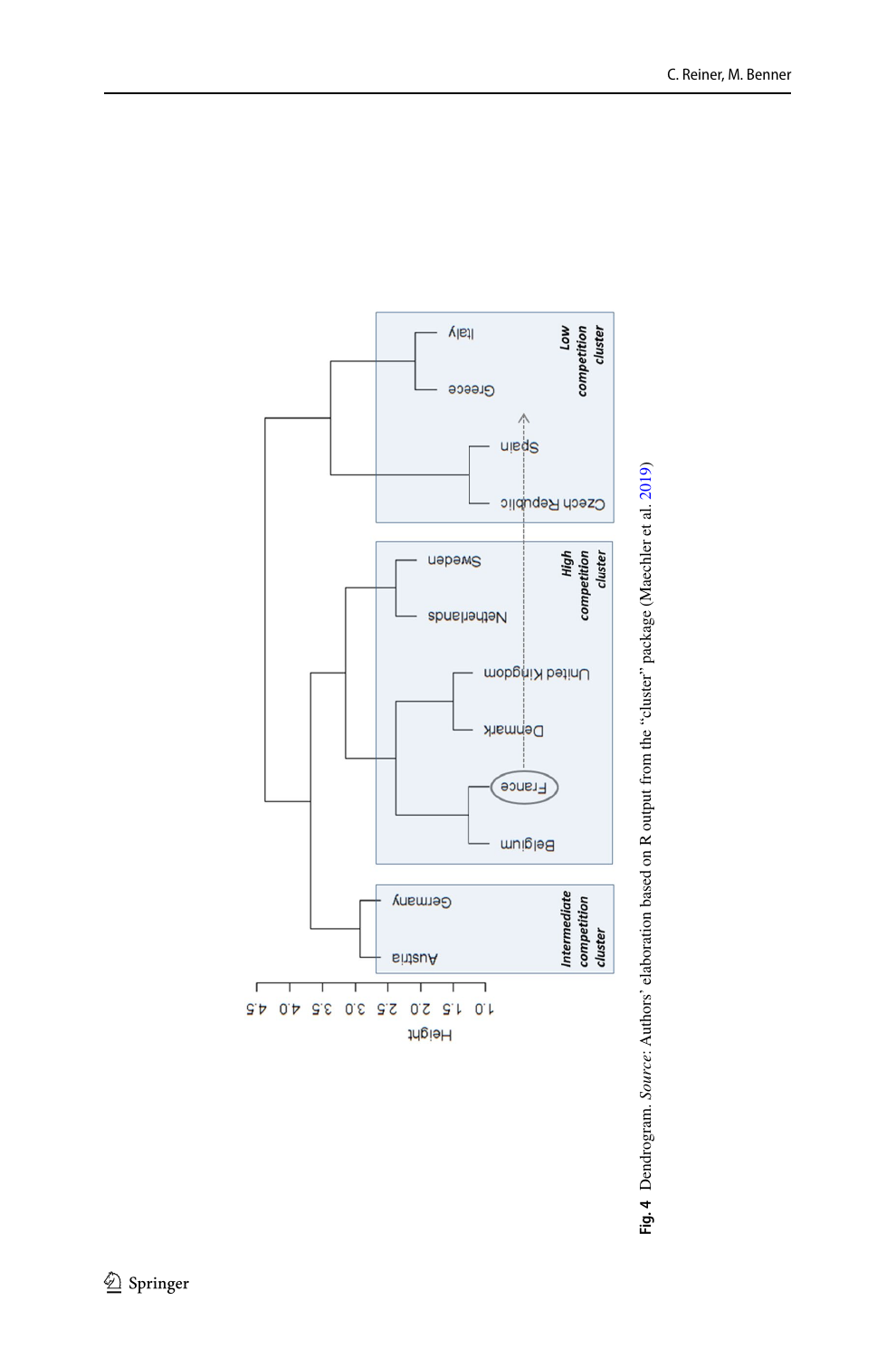

<span id="page-23-0"></span>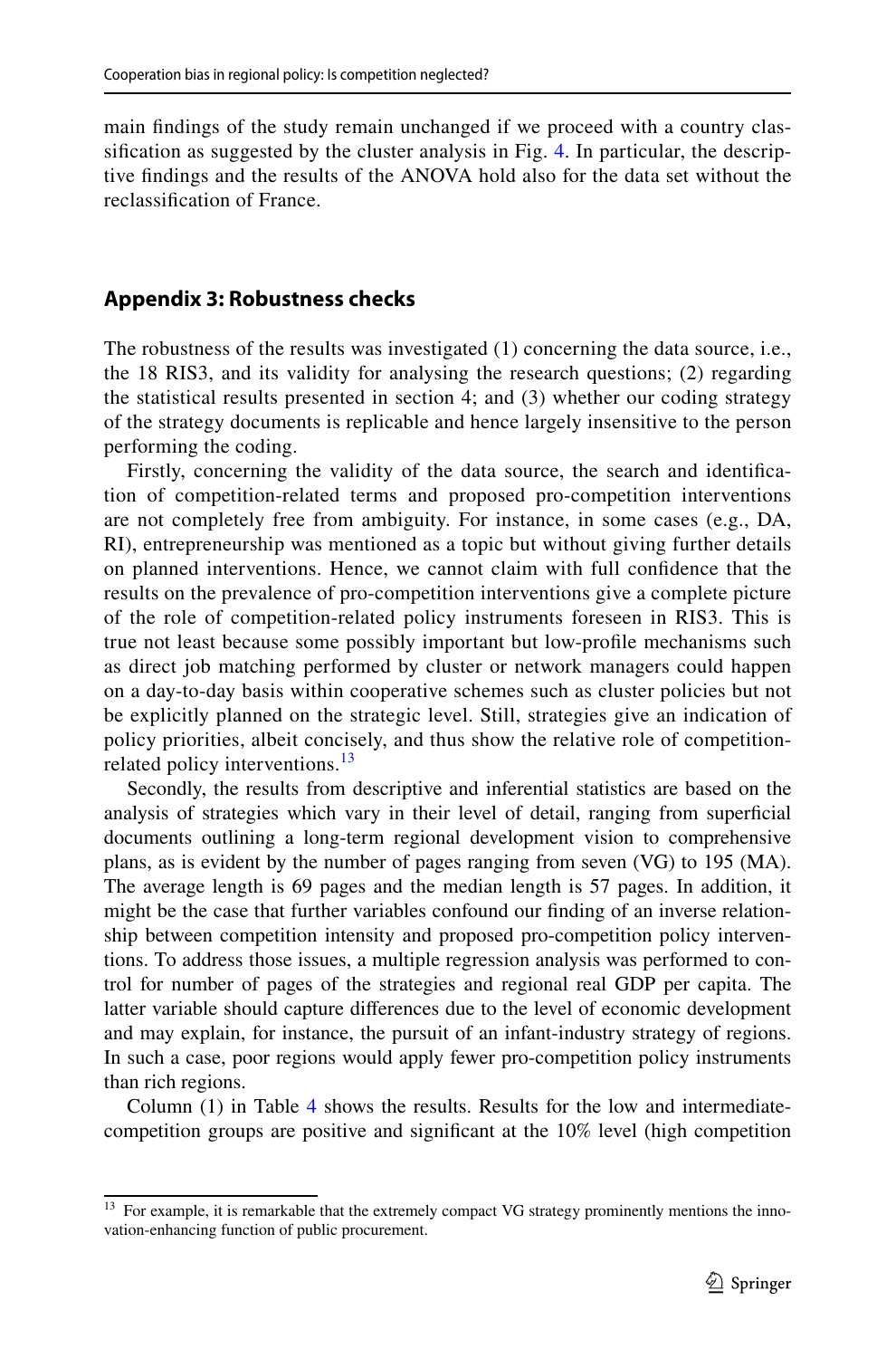main fndings of the study remain unchanged if we proceed with a country classifcation as suggested by the cluster analysis in Fig. [4](#page-23-0). In particular, the descriptive fndings and the results of the ANOVA hold also for the data set without the reclassifcation of France.

#### <span id="page-24-0"></span>**Appendix 3: Robustness checks**

The robustness of the results was investigated (1) concerning the data source, i.e., the 18 RIS3, and its validity for analysing the research questions; (2) regarding the statistical results presented in section 4; and (3) whether our coding strategy of the strategy documents is replicable and hence largely insensitive to the person performing the coding.

Firstly, concerning the validity of the data source, the search and identifcation of competition-related terms and proposed pro-competition interventions are not completely free from ambiguity. For instance, in some cases (e.g., DA, RI), entrepreneurship was mentioned as a topic but without giving further details on planned interventions. Hence, we cannot claim with full confdence that the results on the prevalence of pro-competition interventions give a complete picture of the role of competition-related policy instruments foreseen in RIS3. This is true not least because some possibly important but low-profle mechanisms such as direct job matching performed by cluster or network managers could happen on a day-to-day basis within cooperative schemes such as cluster policies but not be explicitly planned on the strategic level. Still, strategies give an indication of policy priorities, albeit concisely, and thus show the relative role of competition-related policy interventions.<sup>[13](#page-24-1)</sup>

Secondly, the results from descriptive and inferential statistics are based on the analysis of strategies which vary in their level of detail, ranging from superfcial documents outlining a long-term regional development vision to comprehensive plans, as is evident by the number of pages ranging from seven (VG) to 195 (MA). The average length is 69 pages and the median length is 57 pages. In addition, it might be the case that further variables confound our fnding of an inverse relationship between competition intensity and proposed pro-competition policy interventions. To address those issues, a multiple regression analysis was performed to control for number of pages of the strategies and regional real GDP per capita. The latter variable should capture diferences due to the level of economic development and may explain, for instance, the pursuit of an infant-industry strategy of regions. In such a case, poor regions would apply fewer pro-competition policy instruments than rich regions.

Column (1) in Table [4](#page-25-0) shows the results. Results for the low and intermediatecompetition groups are positive and signifcant at the 10% level (high competition

<span id="page-24-1"></span><sup>&</sup>lt;sup>13</sup> For example, it is remarkable that the extremely compact VG strategy prominently mentions the innovation-enhancing function of public procurement.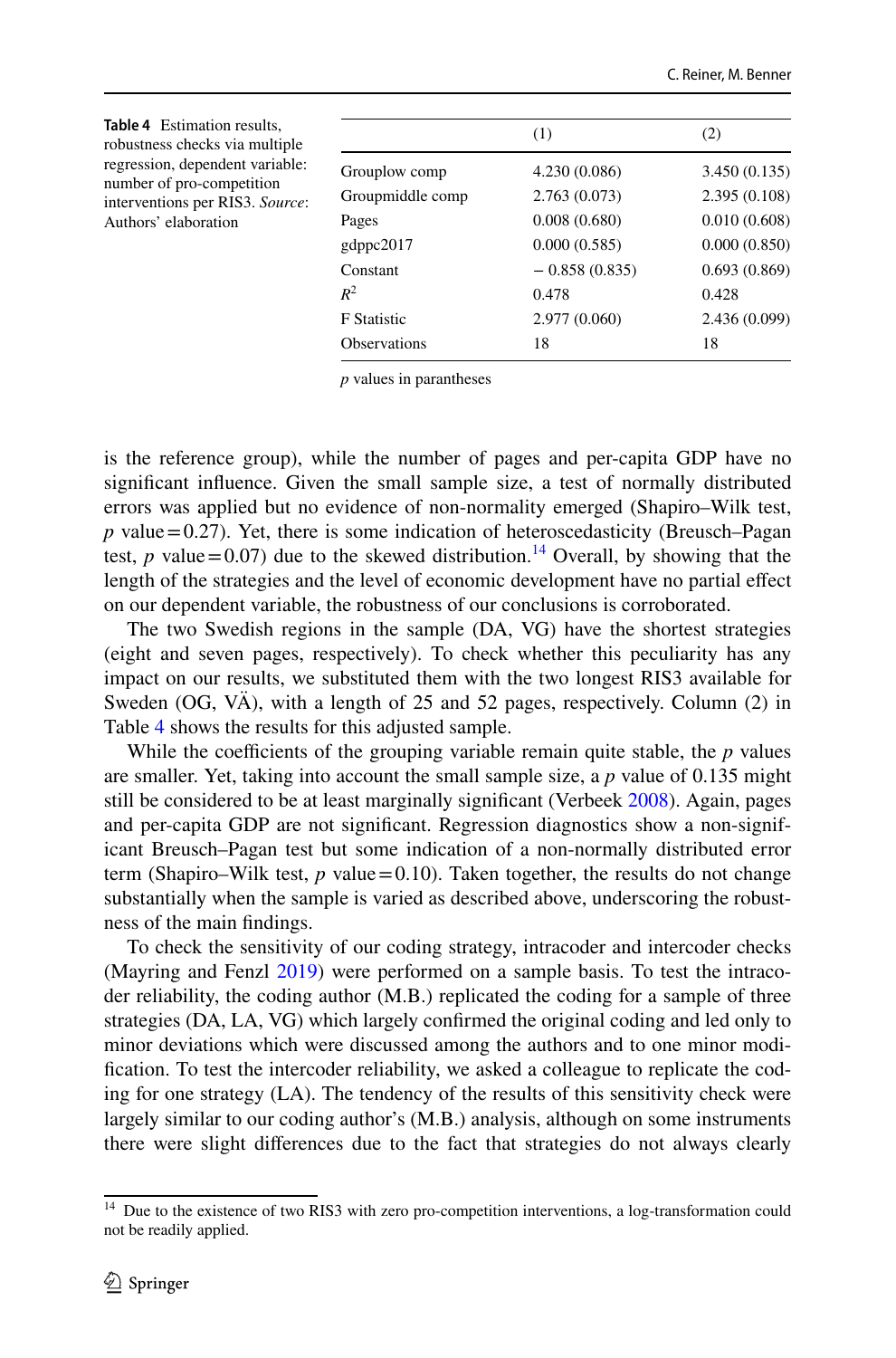<span id="page-25-0"></span>

| <b>Table 4</b> Estimation results,<br>robustness checks via multiple |                     | (1)             | (2)           |
|----------------------------------------------------------------------|---------------------|-----------------|---------------|
| regression, dependent variable:                                      | Grouplow comp       | 4.230 (0.086)   | 3.450(0.135)  |
| number of pro-competition<br>interventions per RIS3. Source:         | Groupmiddle comp    | 2.763(0.073)    | 2.395(0.108)  |
| Authors' elaboration                                                 | Pages               | 0.008(0.680)    | 0.010(0.608)  |
|                                                                      | gdppc2017           | 0.000(0.585)    | 0.000(0.850)  |
|                                                                      | Constant            | $-0.858(0.835)$ | 0.693(0.869)  |
|                                                                      | $R^2$               | 0.478           | 0.428         |
|                                                                      | <b>F</b> Statistic  | 2.977(0.060)    | 2.436 (0.099) |
|                                                                      | <b>Observations</b> | 18              | 18            |

*p* values in parantheses

is the reference group), while the number of pages and per-capita GDP have no signifcant infuence. Given the small sample size, a test of normally distributed errors was applied but no evidence of non-normality emerged (Shapiro–Wilk test,  $p$  value = 0.27). Yet, there is some indication of heteroscedasticity (Breusch–Pagan test, *p* value=0.07) due to the skewed distribution.<sup>14</sup> Overall, by showing that the length of the strategies and the level of economic development have no partial efect on our dependent variable, the robustness of our conclusions is corroborated.

The two Swedish regions in the sample (DA, VG) have the shortest strategies (eight and seven pages, respectively). To check whether this peculiarity has any impact on our results, we substituted them with the two longest RIS3 available for Sweden (OG, VÄ), with a length of 25 and 52 pages, respectively. Column (2) in Table [4](#page-25-0) shows the results for this adjusted sample.

While the coefficients of the grouping variable remain quite stable, the  $p$  values are smaller. Yet, taking into account the small sample size, a *p* value of 0.135 might still be considered to be at least marginally signifcant (Verbeek [2008](#page-33-32)). Again, pages and per-capita GDP are not signifcant. Regression diagnostics show a non-significant Breusch–Pagan test but some indication of a non-normally distributed error term (Shapiro–Wilk test,  $p$  value = 0.10). Taken together, the results do not change substantially when the sample is varied as described above, underscoring the robustness of the main fndings.

To check the sensitivity of our coding strategy, intracoder and intercoder checks (Mayring and Fenzl [2019\)](#page-32-26) were performed on a sample basis. To test the intracoder reliability, the coding author (M.B.) replicated the coding for a sample of three strategies (DA, LA, VG) which largely confrmed the original coding and led only to minor deviations which were discussed among the authors and to one minor modifcation. To test the intercoder reliability, we asked a colleague to replicate the coding for one strategy (LA). The tendency of the results of this sensitivity check were largely similar to our coding author's (M.B.) analysis, although on some instruments there were slight diferences due to the fact that strategies do not always clearly

<span id="page-25-1"></span><sup>&</sup>lt;sup>14</sup> Due to the existence of two RIS3 with zero pro-competition interventions, a log-transformation could not be readily applied.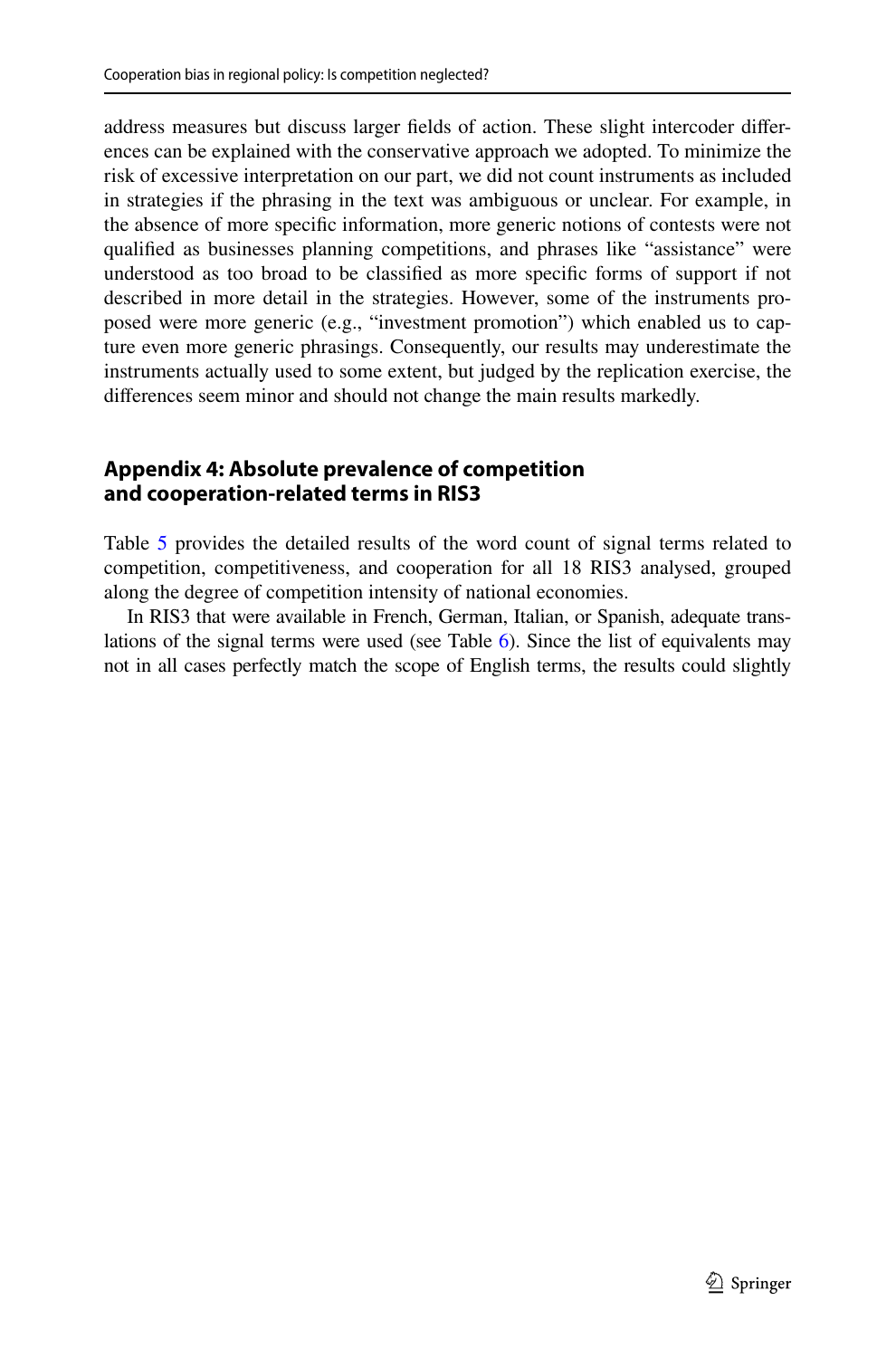address measures but discuss larger felds of action. These slight intercoder diferences can be explained with the conservative approach we adopted. To minimize the risk of excessive interpretation on our part, we did not count instruments as included in strategies if the phrasing in the text was ambiguous or unclear. For example, in the absence of more specifc information, more generic notions of contests were not qualifed as businesses planning competitions, and phrases like "assistance" were understood as too broad to be classifed as more specifc forms of support if not described in more detail in the strategies. However, some of the instruments proposed were more generic (e.g., "investment promotion") which enabled us to capture even more generic phrasings. Consequently, our results may underestimate the instruments actually used to some extent, but judged by the replication exercise, the diferences seem minor and should not change the main results markedly.

# <span id="page-26-0"></span>**Appendix 4: Absolute prevalence of competition and cooperation‑related terms in RIS3**

Table [5](#page-27-0) provides the detailed results of the word count of signal terms related to competition, competitiveness, and cooperation for all 18 RIS3 analysed, grouped along the degree of competition intensity of national economies.

In RIS3 that were available in French, German, Italian, or Spanish, adequate translations of the signal terms were used (see Table [6\)](#page-28-0). Since the list of equivalents may not in all cases perfectly match the scope of English terms, the results could slightly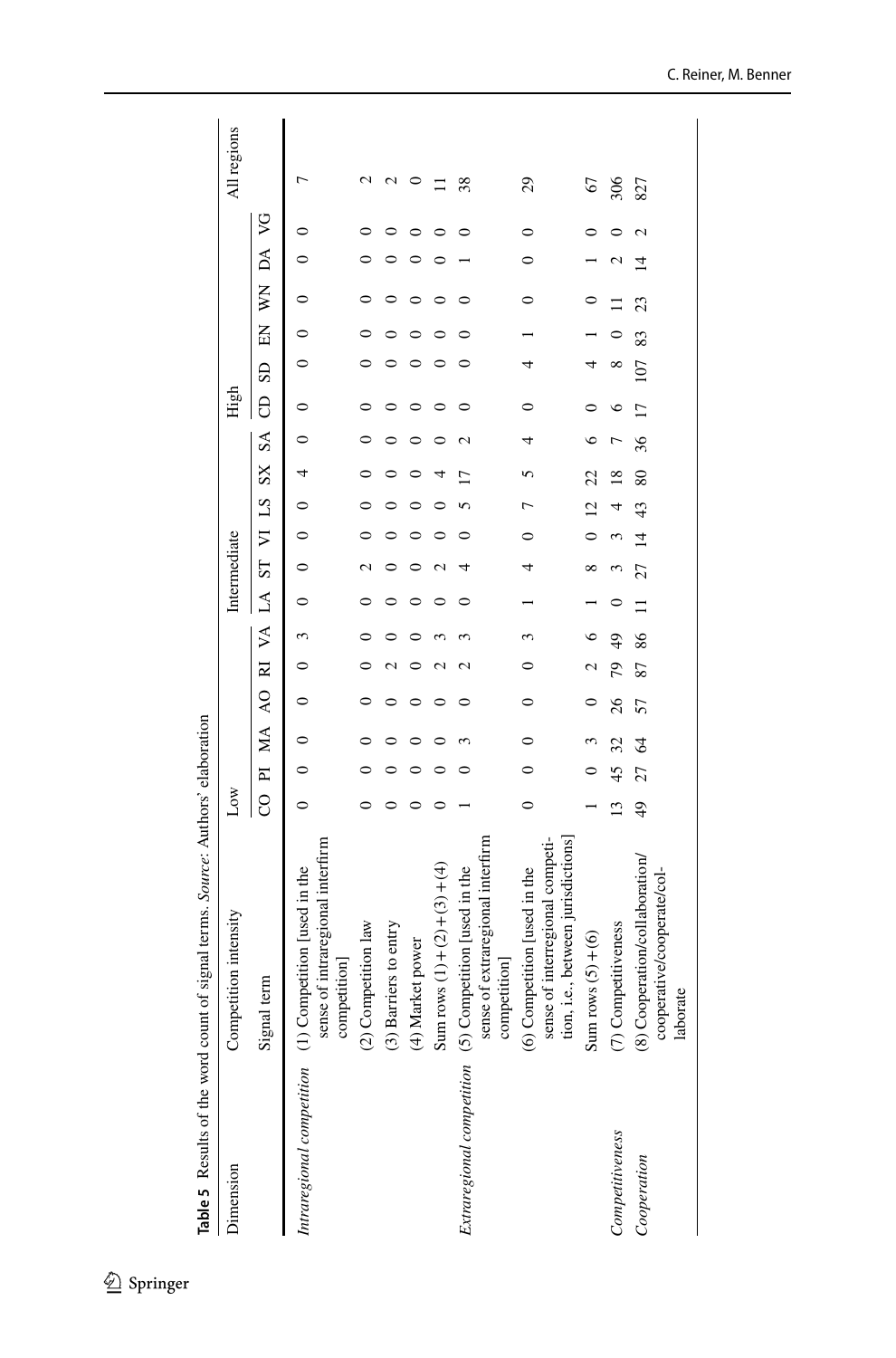<span id="page-27-0"></span>

|                               | Table 5 Results of the word count of signal terms. Source: Authors' elaboration                       |                 |         |                  |                |                         |           |          |              |                |                |              |         |      |                         |         |    |                 |         |             |  |
|-------------------------------|-------------------------------------------------------------------------------------------------------|-----------------|---------|------------------|----------------|-------------------------|-----------|----------|--------------|----------------|----------------|--------------|---------|------|-------------------------|---------|----|-----------------|---------|-------------|--|
| Dimension                     | Competition intensity                                                                                 | Low             |         |                  |                |                         |           |          | Intermediate |                |                |              |         | High |                         |         |    |                 |         | All regions |  |
|                               | Signal term                                                                                           | 8               |         | PI MA            | $\overline{6}$ | $\overline{\mathbf{z}}$ | $\lambda$ | $\Delta$ | $S_{\rm T}$  |                | VI LS          | $\mathbf{S}$ | $S_A$   | 8    | $\overline{\mathbf{S}}$ | 叾       | ķ  | ÞA              | S       |             |  |
| Intraregional competition (1) | sense of intraregional interfirm<br>Competition [used in the<br>competition]                          | 0               | $\circ$ | 0                | ∊              |                         | 3         | 0        | 0            | $\circ$        | $\circ$        | 4            | $\circ$ | 0    | $\circ$                 | $\circ$ | 0  | $\circ$         | $\circ$ | ┌           |  |
|                               | (2) Competition law                                                                                   |                 |         |                  |                |                         |           |          |              |                |                |              |         |      |                         |         |    |                 |         | 2           |  |
|                               | (3) Barriers to entry                                                                                 |                 |         |                  |                |                         |           |          |              |                |                |              |         |      |                         |         |    |                 |         | N           |  |
|                               | Market power<br>$\hat{\mathbf{t}}$                                                                    |                 |         |                  |                |                         |           |          |              |                |                |              |         |      |                         |         |    |                 |         | 0           |  |
|                               | Sum rows $(1)+(2)+(4)$                                                                                |                 |         |                  |                |                         |           |          |              |                |                |              |         |      |                         |         |    |                 |         | $\equiv$    |  |
| Extraregional competition (5) | sense of extraregional interfirm<br>Competition [used in the<br>competition                           |                 |         |                  |                | c                       |           | ⊂        |              |                |                | n            | N       |      |                         |         |    |                 |         | 38          |  |
|                               | sense of interregional competi-<br>tion, i.e., between jurisdictions)<br>(6) Competition [used in the | $\circ$         |         | $\mathbf{\circ}$ | 0              |                         | 3         |          |              | 0              |                |              | 4       | 0    | 4                       |         | 0  | $\circ$         | 0       | 29          |  |
|                               | Sum rows $(5)+(6)$                                                                                    |                 |         |                  |                |                         | $\circ$   |          | ∞            |                | $\overline{c}$ | 22           | ७       |      | 4                       |         |    |                 | 0       | 67          |  |
| Competitiveness               | (7) Competitiveness                                                                                   | $\overline{13}$ | 45      | 32               | 26             | 79                      | 49        |          |              |                |                | ∝            |         | ७    | $\infty$                |         |    | $\mathbf{\sim}$ | ⊂       | 306         |  |
| Cooperation                   | Cooperation/collaboration/<br>cooperative/cooperate/col-<br>laborate<br>$\sum_{i=1}^{\infty}$         | $^{49}$         | 27      | 2                | 57             | 87                      | 86        | $\Xi$    | 27           | $\overline{4}$ | 43             | 80           | 36      | 17   | 107                     | 83      | 23 | $\overline{4}$  | 2       | 827         |  |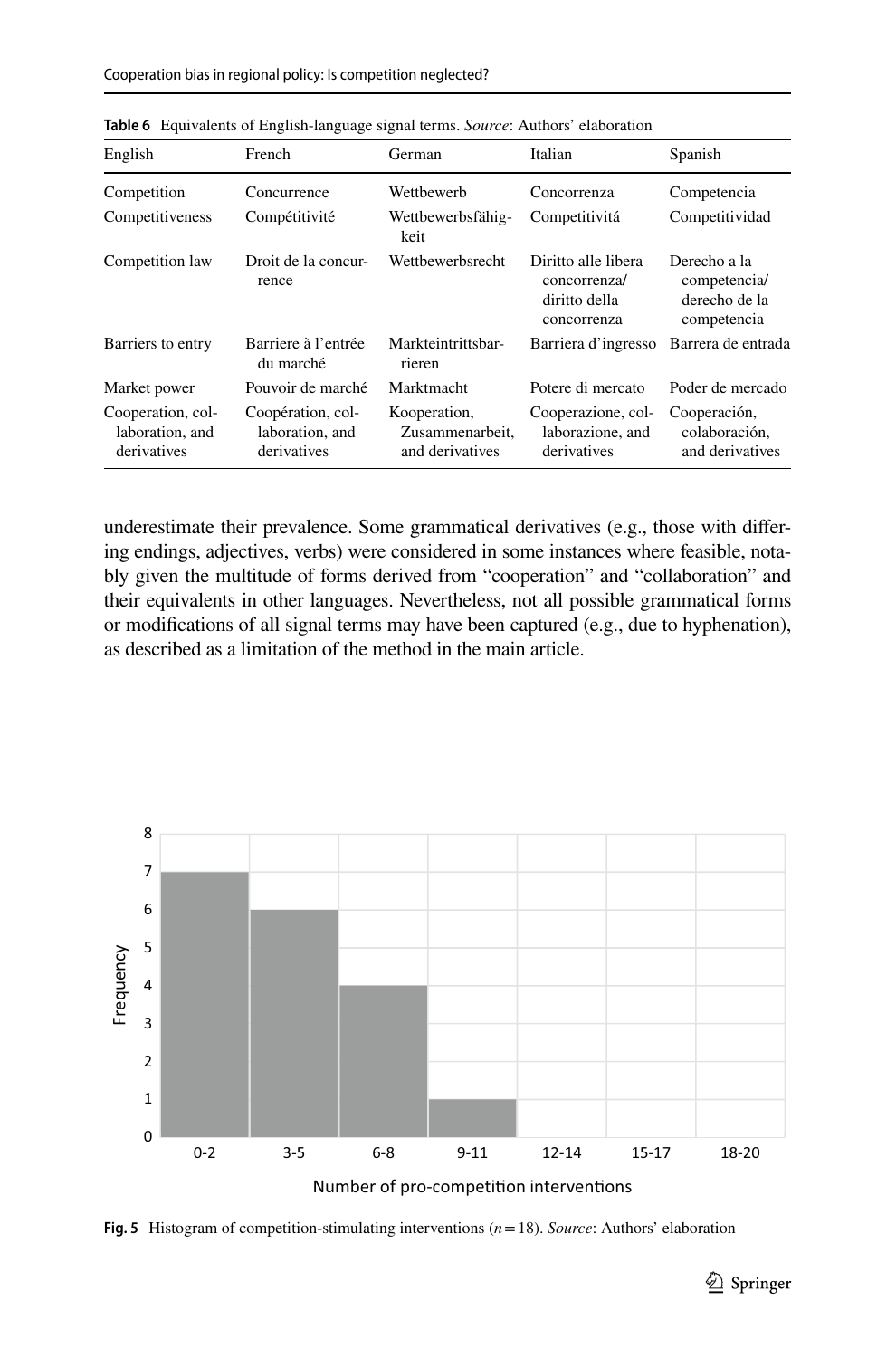| English                                             | French                                              | German                                             | Italian                                                             | Spanish                                                      |
|-----------------------------------------------------|-----------------------------------------------------|----------------------------------------------------|---------------------------------------------------------------------|--------------------------------------------------------------|
| Competition                                         | Concurrence                                         | Wetthewerh                                         | Concorrenza                                                         | Competencia                                                  |
| Competitiveness                                     | Compétitivité                                       | Wettbewerbsfähig-<br>keit                          | Competitivitá                                                       | Competitividad                                               |
| Competition law                                     | Droit de la concur-<br>rence                        | Wettbewerbsrecht                                   | Diritto alle libera<br>concorrenza/<br>diritto della<br>concorrenza | Derecho a la<br>competencia/<br>derecho de la<br>competencia |
| Barriers to entry                                   | Barriere à l'entrée<br>du marché                    | Markteintrittsbar-<br>rieren                       | Barriera d'ingresso                                                 | Barrera de entrada                                           |
| Market power                                        | Pouvoir de marché                                   | Marktmacht                                         | Potere di mercato                                                   | Poder de mercado                                             |
| Cooperation, col-<br>laboration, and<br>derivatives | Coopération, col-<br>laboration, and<br>derivatives | Kooperation,<br>Zusammenarbeit.<br>and derivatives | Cooperazione, col-<br>laborazione, and<br>derivatives               | Cooperación,<br>colaboración,<br>and derivatives             |

<span id="page-28-0"></span>**Table 6** Equivalents of English-language signal terms. *Source*: Authors' elaboration

underestimate their prevalence. Some grammatical derivatives (e.g., those with difering endings, adjectives, verbs) were considered in some instances where feasible, notably given the multitude of forms derived from "cooperation" and "collaboration" and their equivalents in other languages. Nevertheless, not all possible grammatical forms or modifcations of all signal terms may have been captured (e.g., due to hyphenation), as described as a limitation of the method in the main article.



<span id="page-28-1"></span>**Fig. 5** Histogram of competition-stimulating interventions (*n*=18). *Source*: Authors' elaboration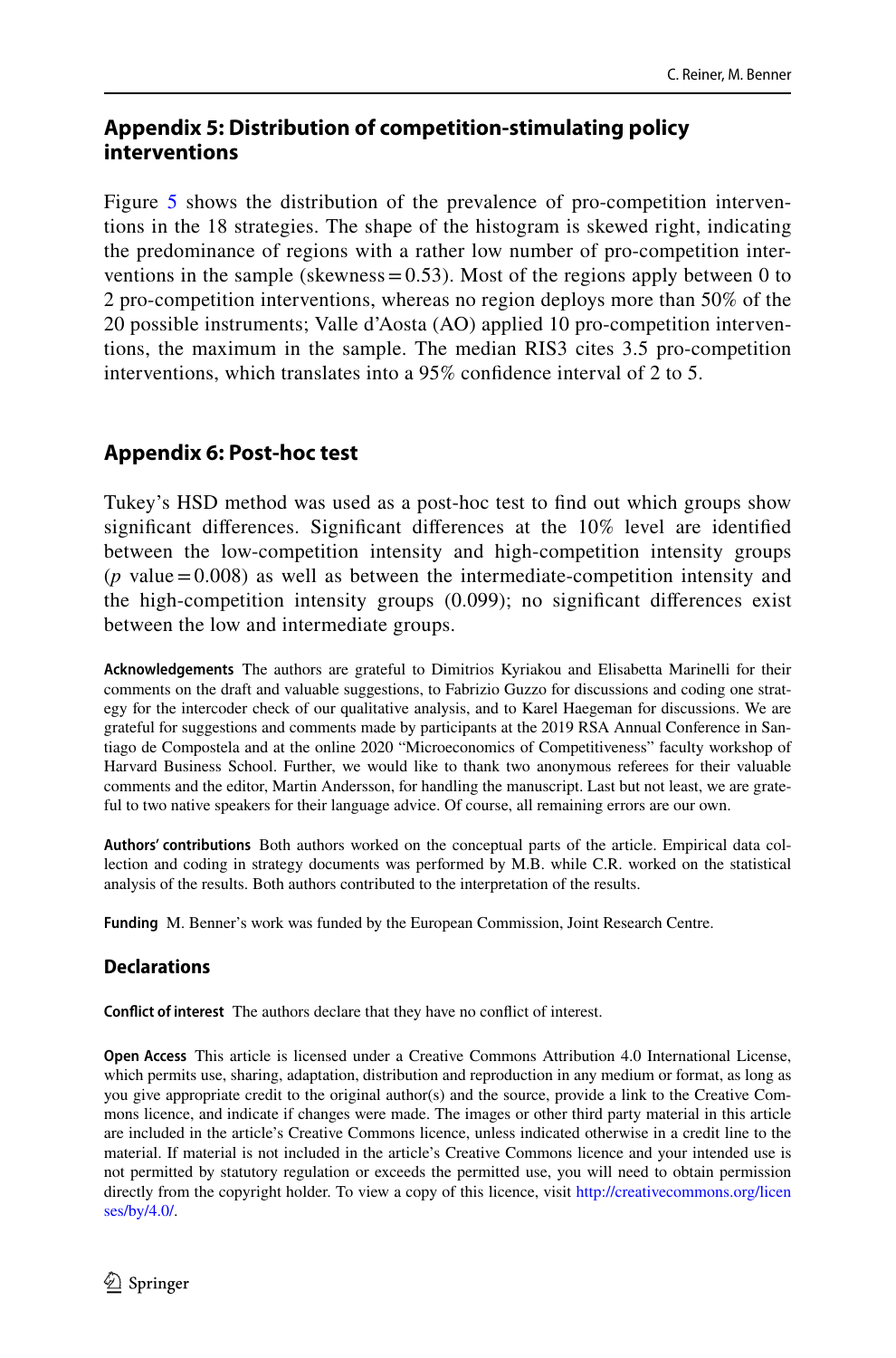# <span id="page-29-0"></span>**Appendix 5: Distribution of competition‑stimulating policy interventions**

Figure [5](#page-28-1) shows the distribution of the prevalence of pro-competition interventions in the 18 strategies. The shape of the histogram is skewed right, indicating the predominance of regions with a rather low number of pro-competition interventions in the sample (skewness =  $0.53$ ). Most of the regions apply between 0 to 2 pro-competition interventions, whereas no region deploys more than 50% of the 20 possible instruments; Valle d'Aosta (AO) applied 10 pro-competition interventions, the maximum in the sample. The median RIS3 cites 3.5 pro-competition interventions, which translates into a 95% confdence interval of 2 to 5.

# <span id="page-29-1"></span>**Appendix 6: Post‑hoc test**

Tukey's HSD method was used as a post-hoc test to fnd out which groups show signifcant diferences. Signifcant diferences at the 10% level are identifed between the low-competition intensity and high-competition intensity groups  $(p$  value = 0.008) as well as between the intermediate-competition intensity and the high-competition intensity groups (0.099); no signifcant diferences exist between the low and intermediate groups.

**Acknowledgements** The authors are grateful to Dimitrios Kyriakou and Elisabetta Marinelli for their comments on the draft and valuable suggestions, to Fabrizio Guzzo for discussions and coding one strategy for the intercoder check of our qualitative analysis, and to Karel Haegeman for discussions. We are grateful for suggestions and comments made by participants at the 2019 RSA Annual Conference in Santiago de Compostela and at the online 2020 "Microeconomics of Competitiveness" faculty workshop of Harvard Business School. Further, we would like to thank two anonymous referees for their valuable comments and the editor, Martin Andersson, for handling the manuscript. Last but not least, we are grateful to two native speakers for their language advice. Of course, all remaining errors are our own.

**Authors' contributions** Both authors worked on the conceptual parts of the article. Empirical data collection and coding in strategy documents was performed by M.B. while C.R. worked on the statistical analysis of the results. Both authors contributed to the interpretation of the results.

**Funding** M. Benner's work was funded by the European Commission, Joint Research Centre.

### **Declarations**

**Confict of interest** The authors declare that they have no confict of interest.

**Open Access** This article is licensed under a Creative Commons Attribution 4.0 International License, which permits use, sharing, adaptation, distribution and reproduction in any medium or format, as long as you give appropriate credit to the original author(s) and the source, provide a link to the Creative Commons licence, and indicate if changes were made. The images or other third party material in this article are included in the article's Creative Commons licence, unless indicated otherwise in a credit line to the material. If material is not included in the article's Creative Commons licence and your intended use is not permitted by statutory regulation or exceeds the permitted use, you will need to obtain permission directly from the copyright holder. To view a copy of this licence, visit [http://creativecommons.org/licen](http://creativecommons.org/licenses/by/4.0/) [ses/by/4.0/](http://creativecommons.org/licenses/by/4.0/).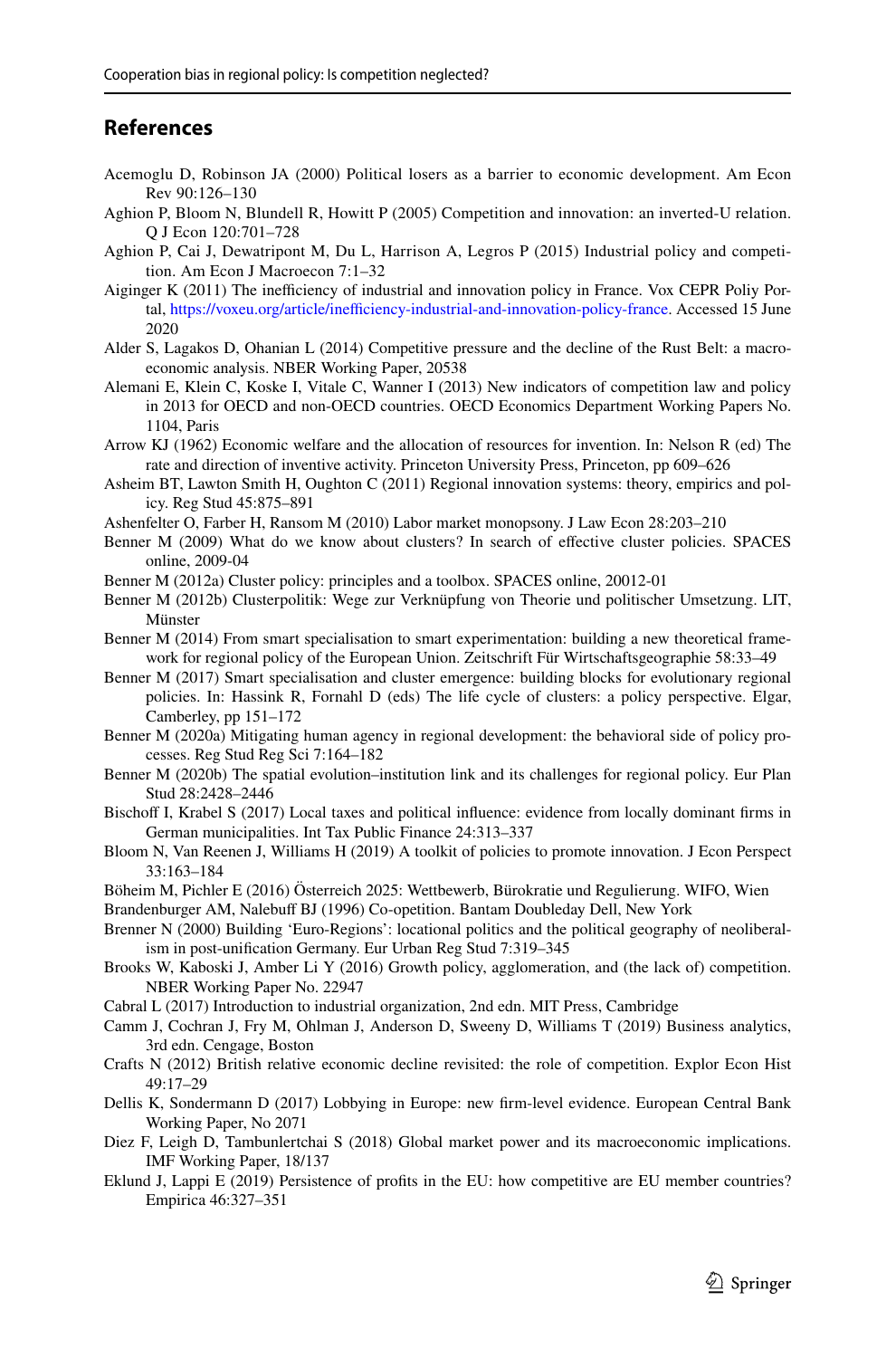## **References**

- <span id="page-30-17"></span>Acemoglu D, Robinson JA (2000) Political losers as a barrier to economic development. Am Econ Rev 90:126–130
- <span id="page-30-8"></span>Aghion P, Bloom N, Blundell R, Howitt P (2005) Competition and innovation: an inverted-U relation. Q J Econ 120:701–728
- <span id="page-30-10"></span>Aghion P, Cai J, Dewatripont M, Du L, Harrison A, Legros P (2015) Industrial policy and competition. Am Econ J Macroecon 7:1–32
- <span id="page-30-27"></span>Aiginger K (2011) The inefficiency of industrial and innovation policy in France. Vox CEPR Poliy Portal, [https://voxeu.org/article/inefficiency-industrial-and-innovation-policy-france.](https://voxeu.org/article/inefficiency-industrial-and-innovation-policy-france) Accessed 15 June 2020
- <span id="page-30-2"></span>Alder S, Lagakos D, Ohanian L (2014) Competitive pressure and the decline of the Rust Belt: a macroeconomic analysis. NBER Working Paper, 20538
- <span id="page-30-21"></span>Alemani E, Klein C, Koske I, Vitale C, Wanner I (2013) New indicators of competition law and policy in 2013 for OECD and non-OECD countries. OECD Economics Department Working Papers No. 1104, Paris
- <span id="page-30-7"></span>Arrow KJ (1962) Economic welfare and the allocation of resources for invention. In: Nelson R (ed) The rate and direction of inventive activity. Princeton University Press, Princeton, pp 609–626
- <span id="page-30-4"></span>Asheim BT, Lawton Smith H, Oughton C (2011) Regional innovation systems: theory, empirics and policy. Reg Stud 45:875–891
- <span id="page-30-26"></span>Ashenfelter O, Farber H, Ransom M (2010) Labor market monopsony. J Law Econ 28:203–210
- <span id="page-30-11"></span>Benner M (2009) What do we know about clusters? In search of efective cluster policies. SPACES online, 2009-04
- <span id="page-30-14"></span>Benner M (2012a) Cluster policy: principles and a toolbox. SPACES online, 20012-01
- <span id="page-30-12"></span>Benner M (2012b) Clusterpolitik: Wege zur Verknüpfung von Theorie und politischer Umsetzung. LIT, Münster
- <span id="page-30-24"></span>Benner M (2014) From smart specialisation to smart experimentation: building a new theoretical framework for regional policy of the European Union. Zeitschrift Für Wirtschaftsgeographie 58:33–49
- <span id="page-30-25"></span>Benner M (2017) Smart specialisation and cluster emergence: building blocks for evolutionary regional policies. In: Hassink R, Fornahl D (eds) The life cycle of clusters: a policy perspective. Elgar, Camberley, pp 151–172
- <span id="page-30-19"></span>Benner M (2020a) Mitigating human agency in regional development: the behavioral side of policy processes. Reg Stud Reg Sci 7:164–182
- <span id="page-30-20"></span>Benner M (2020b) The spatial evolution–institution link and its challenges for regional policy. Eur Plan Stud 28:2428–2446
- <span id="page-30-16"></span>Bischof I, Krabel S (2017) Local taxes and political infuence: evidence from locally dominant frms in German municipalities. Int Tax Public Finance 24:313–337
- <span id="page-30-9"></span>Bloom N, Van Reenen J, Williams H (2019) A toolkit of policies to promote innovation. J Econ Perspect 33:163–184
- <span id="page-30-22"></span>Böheim M, Pichler E (2016) Österreich 2025: Wettbewerb, Bürokratie und Regulierung. WIFO, Wien
- <span id="page-30-5"></span>Brandenburger AM, Nalebuf BJ (1996) Co-opetition. Bantam Doubleday Dell, New York
- <span id="page-30-15"></span>Brenner N (2000) Building 'Euro-Regions': locational politics and the political geography of neoliberalism in post-unifcation Germany. Eur Urban Reg Stud 7:319–345
- <span id="page-30-13"></span>Brooks W, Kaboski J, Amber Li Y (2016) Growth policy, agglomeration, and (the lack of) competition. NBER Working Paper No. 22947
- <span id="page-30-6"></span>Cabral L (2017) Introduction to industrial organization, 2nd edn. MIT Press, Cambridge
- <span id="page-30-23"></span>Camm J, Cochran J, Fry M, Ohlman J, Anderson D, Sweeny D, Williams T (2019) Business analytics, 3rd edn. Cengage, Boston
- <span id="page-30-1"></span>Crafts N (2012) British relative economic decline revisited: the role of competition. Explor Econ Hist 49:17–29
- <span id="page-30-18"></span>Dellis K, Sondermann D (2017) Lobbying in Europe: new frm-level evidence. European Central Bank Working Paper, No 2071
- <span id="page-30-0"></span>Diez F, Leigh D, Tambunlertchai S (2018) Global market power and its macroeconomic implications. IMF Working Paper, 18/137
- <span id="page-30-3"></span>Eklund J, Lappi E (2019) Persistence of profts in the EU: how competitive are EU member countries? Empirica 46:327–351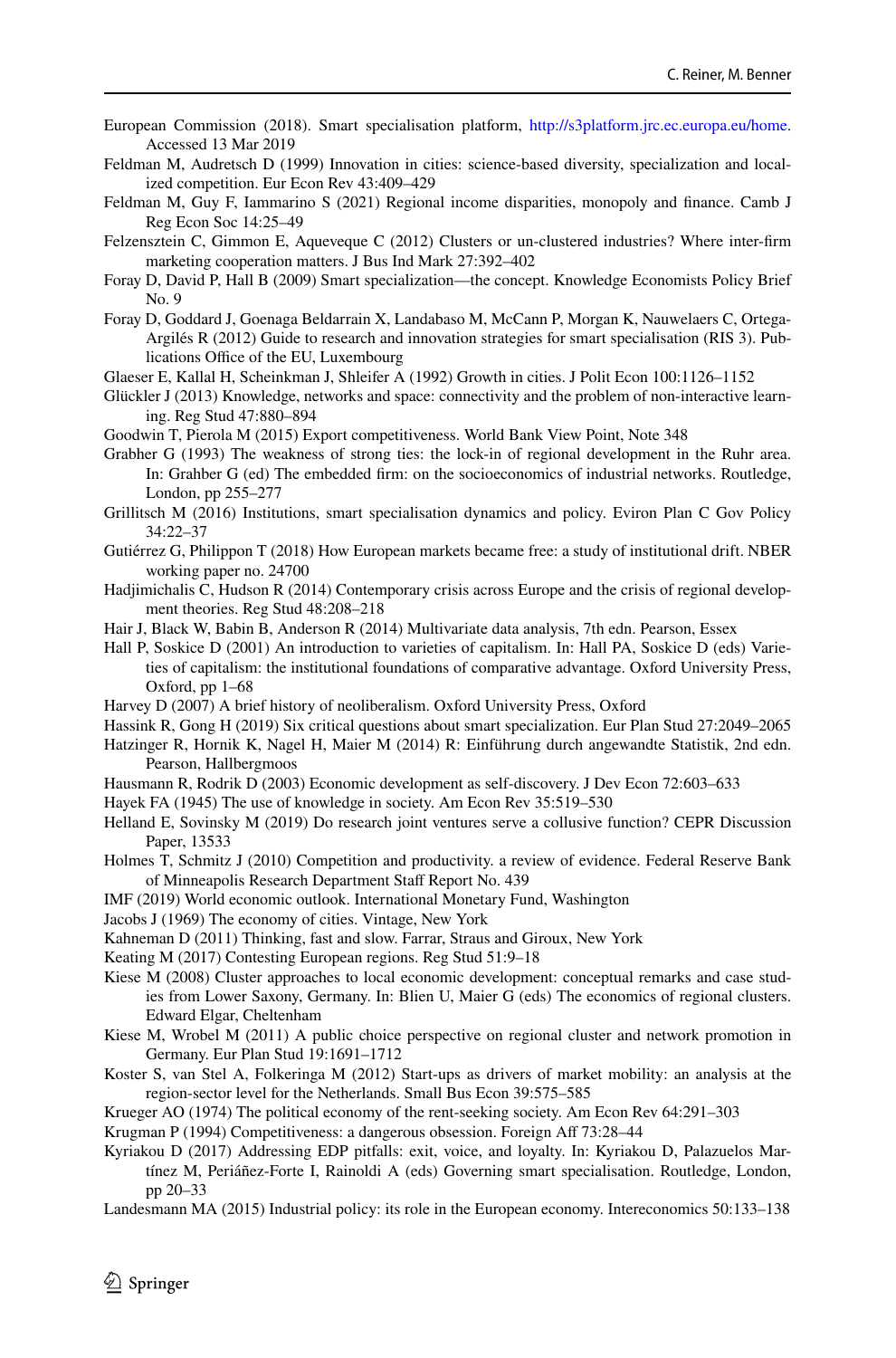- <span id="page-31-26"></span>European Commission (2018). Smart specialisation platform, <http://s3platform.jrc.ec.europa.eu/home>. Accessed 13 Mar 2019
- <span id="page-31-12"></span>Feldman M, Audretsch D (1999) Innovation in cities: science-based diversity, specialization and localized competition. Eur Econ Rev 43:409–429
- <span id="page-31-1"></span>Feldman M, Guy F, Iammarino S (2021) Regional income disparities, monopoly and fnance. Camb J Reg Econ Soc 14:25–49
- <span id="page-31-15"></span>Felzensztein C, Gimmon E, Aqueveque C (2012) Clusters or un-clustered industries? Where inter-frm marketing cooperation matters. J Bus Ind Mark 27:392–402
- <span id="page-31-5"></span>Foray D, David P, Hall B (2009) Smart specialization—the concept. Knowledge Economists Policy Brief No. 9
- <span id="page-31-24"></span>Foray D, Goddard J, Goenaga Beldarrain X, Landabaso M, McCann P, Morgan K, Nauwelaers C, Ortega-Argilés R (2012) Guide to research and innovation strategies for smart specialisation (RIS 3). Publications Office of the EU, Luxembourg
- <span id="page-31-11"></span>Glaeser E, Kallal H, Scheinkman J, Shleifer A (1992) Growth in cities. J Polit Econ 100:1126–1152
- <span id="page-31-14"></span>Glückler J (2013) Knowledge, networks and space: connectivity and the problem of non-interactive learning. Reg Stud 47:880–894
- <span id="page-31-13"></span>Goodwin T, Pierola M (2015) Export competitiveness. World Bank View Point, Note 348
- <span id="page-31-8"></span>Grabher G (1993) The weakness of strong ties: the lock-in of regional development in the Ruhr area. In: Grahber G (ed) The embedded frm: on the socioeconomics of industrial networks. Routledge, London, pp 255–277
- <span id="page-31-22"></span>Grillitsch M (2016) Institutions, smart specialisation dynamics and policy. Eviron Plan C Gov Policy 34:22–37
- <span id="page-31-29"></span>Gutiérrez G, Philippon T (2018) How European markets became free: a study of institutional drift. NBER working paper no. 24700
- <span id="page-31-21"></span>Hadjimichalis C, Hudson R (2014) Contemporary crisis across Europe and the crisis of regional development theories. Reg Stud 48:208–218
- <span id="page-31-27"></span>Hair J, Black W, Babin B, Anderson R (2014) Multivariate data analysis, 7th edn. Pearson, Essex
- <span id="page-31-31"></span>Hall P, Soskice D (2001) An introduction to varieties of capitalism. In: Hall PA, Soskice D (eds) Varieties of capitalism: the institutional foundations of comparative advantage. Oxford University Press, Oxford, pp 1–68
- <span id="page-31-19"></span>Harvey D (2007) A brief history of neoliberalism. Oxford University Press, Oxford
- <span id="page-31-25"></span>Hassink R, Gong H (2019) Six critical questions about smart specialization. Eur Plan Stud 27:2049–2065
- <span id="page-31-32"></span>Hatzinger R, Hornik K, Nagel H, Maier M (2014) R: Einführung durch angewandte Statistik, 2nd edn. Pearson, Hallbergmoos
- <span id="page-31-9"></span>Hausmann R, Rodrik D (2003) Economic development as self-discovery. J Dev Econ 72:603–633
- <span id="page-31-6"></span>Hayek FA (1945) The use of knowledge in society. Am Econ Rev 35:519–530
- <span id="page-31-16"></span>Helland E, Sovinsky M (2019) Do research joint ventures serve a collusive function? CEPR Discussion Paper, 13533
- <span id="page-31-7"></span>Holmes T, Schmitz J (2010) Competition and productivity. a review of evidence. Federal Reserve Bank of Minneapolis Research Department Staff Report No. 439
- <span id="page-31-0"></span>IMF (2019) World economic outlook. International Monetary Fund, Washington
- <span id="page-31-4"></span>Jacobs J (1969) The economy of cities. Vintage, New York
- <span id="page-31-23"></span>Kahneman D (2011) Thinking, fast and slow. Farrar, Straus and Giroux, New York
- <span id="page-31-20"></span>Keating M (2017) Contesting European regions. Reg Stud 51:9–18
- <span id="page-31-17"></span>Kiese M (2008) Cluster approaches to local economic development: conceptual remarks and case studies from Lower Saxony, Germany. In: Blien U, Maier G (eds) The economics of regional clusters. Edward Elgar, Cheltenham
- <span id="page-31-18"></span>Kiese M, Wrobel M (2011) A public choice perspective on regional cluster and network promotion in Germany. Eur Plan Stud 19:1691–1712
- <span id="page-31-3"></span>Koster S, van Stel A, Folkeringa M (2012) Start-ups as drivers of market mobility: an analysis at the region-sector level for the Netherlands. Small Bus Econ 39:575–585
- <span id="page-31-30"></span>Krueger AO (1974) The political economy of the rent-seeking society. Am Econ Rev 64:291–303
- <span id="page-31-28"></span>Krugman P (1994) Competitiveness: a dangerous obsession. Foreign Aff 73:28-44
- <span id="page-31-10"></span>Kyriakou D (2017) Addressing EDP pitfalls: exit, voice, and loyalty. In: Kyriakou D, Palazuelos Martínez M, Periáñez-Forte I, Rainoldi A (eds) Governing smart specialisation. Routledge, London, pp 20–33
- <span id="page-31-2"></span>Landesmann MA (2015) Industrial policy: its role in the European economy. Intereconomics 50:133–138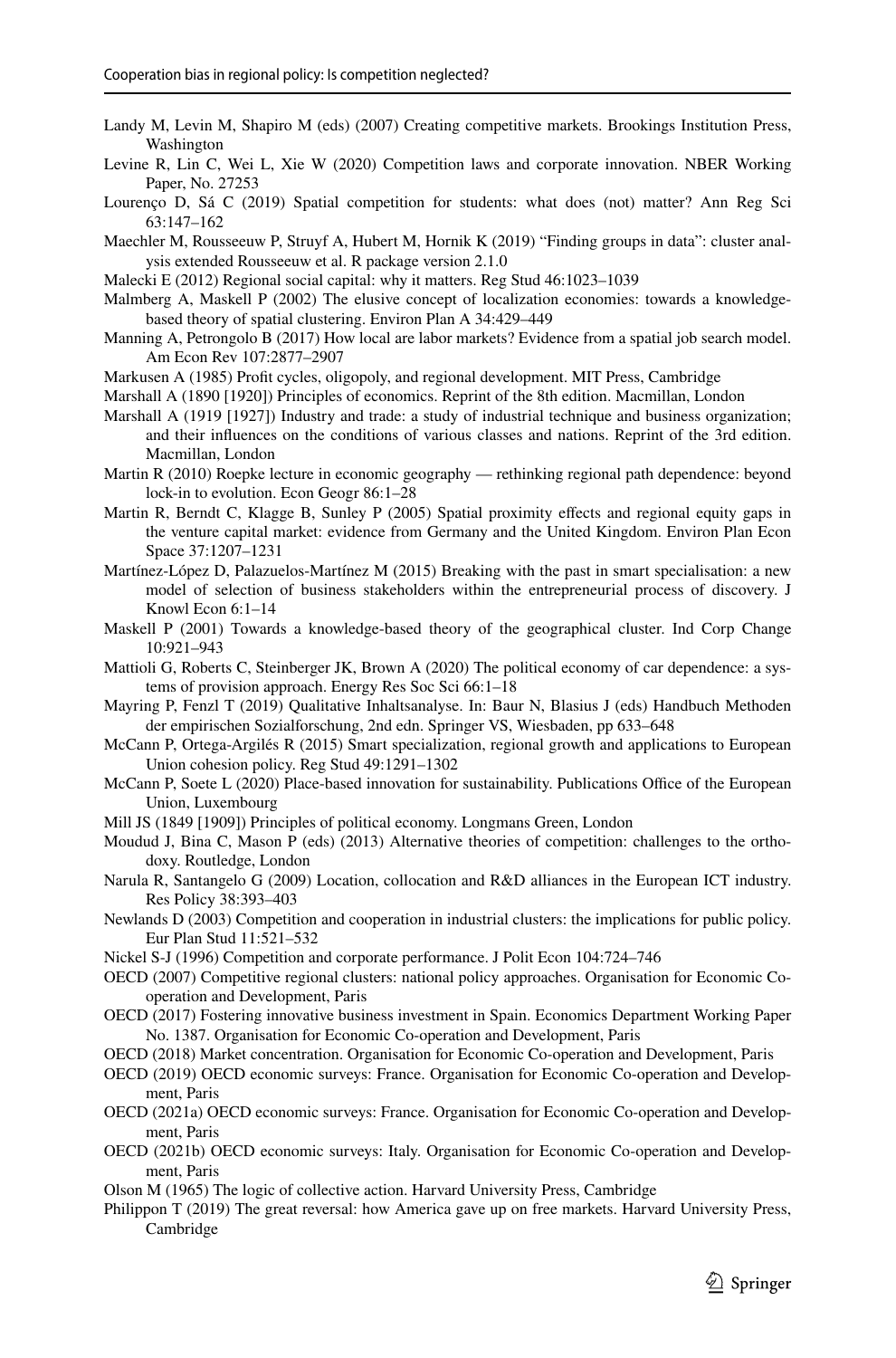- <span id="page-32-22"></span>Landy M, Levin M, Shapiro M (eds) (2007) Creating competitive markets. Brookings Institution Press, Washington
- <span id="page-32-9"></span>Levine R, Lin C, Wei L, Xie W (2020) Competition laws and corporate innovation. NBER Working Paper, No. 27253
- <span id="page-32-4"></span>Lourenço D, Sá C (2019) Spatial competition for students: what does (not) matter? Ann Reg Sci 63:147–162

<span id="page-32-30"></span>Maechler M, Rousseeuw P, Struyf A, Hubert M, Hornik K (2019) "Finding groups in data": cluster analysis extended Rousseeuw et al. R package version 2.1.0

<span id="page-32-10"></span>Malecki E (2012) Regional social capital: why it matters. Reg Stud 46:1023–1039

<span id="page-32-18"></span>Malmberg A, Maskell P (2002) The elusive concept of localization economies: towards a knowledgebased theory of spatial clustering. Environ Plan A 34:429–449

- <span id="page-32-6"></span>Manning A, Petrongolo B (2017) How local are labor markets? Evidence from a spatial job search model. Am Econ Rev 107:2877–2907
- <span id="page-32-16"></span>Markusen A (1985) Proft cycles, oligopoly, and regional development. MIT Press, Cambridge
- <span id="page-32-13"></span>Marshall A (1890 [1920]) Principles of economics. Reprint of the 8th edition. Macmillan, London
- <span id="page-32-14"></span>Marshall A (1919 [1927]) Industry and trade: a study of industrial technique and business organization; and their infuences on the conditions of various classes and nations. Reprint of the 3rd edition. Macmillan, London
- <span id="page-32-15"></span>Martin R (2010) Roepke lecture in economic geography — rethinking regional path dependence: beyond lock-in to evolution. Econ Geogr 86:1–28
- <span id="page-32-5"></span>Martin R, Berndt C, Klagge B, Sunley P (2005) Spatial proximity efects and regional equity gaps in the venture capital market: evidence from Germany and the United Kingdom. Environ Plan Econ Space 37:1207–1231
- <span id="page-32-11"></span>Martínez-López D, Palazuelos-Martínez M (2015) Breaking with the past in smart specialisation: a new model of selection of business stakeholders within the entrepreneurial process of discovery. J Knowl Econ 6:1–14
- <span id="page-32-17"></span>Maskell P (2001) Towards a knowledge-based theory of the geographical cluster. Ind Corp Change 10:921–943
- <span id="page-32-28"></span>Mattioli G, Roberts C, Steinberger JK, Brown A (2020) The political economy of car dependence: a systems of provision approach. Energy Res Soc Sci 66:1–18
- <span id="page-32-26"></span>Mayring P, Fenzl T (2019) Qualitative Inhaltsanalyse. In: Baur N, Blasius J (eds) Handbuch Methoden der empirischen Sozialforschung, 2nd edn. Springer VS, Wiesbaden, pp 633–648
- <span id="page-32-1"></span>McCann P, Ortega-Argilés R (2015) Smart specialization, regional growth and applications to European Union cohesion policy. Reg Stud 49:1291–1302
- <span id="page-32-27"></span>McCann P, Soete L (2020) Place-based innovation for sustainability. Publications Office of the European Union, Luxembourg
- <span id="page-32-12"></span>Mill JS (1849 [1909]) Principles of political economy. Longmans Green, London
- <span id="page-32-3"></span>Moudud J, Bina C, Mason P (eds) (2013) Alternative theories of competition: challenges to the orthodoxy. Routledge, London
- <span id="page-32-19"></span>Narula R, Santangelo G (2009) Location, collocation and R&D alliances in the European ICT industry. Res Policy 38:393–403
- <span id="page-32-2"></span>Newlands D (2003) Competition and cooperation in industrial clusters: the implications for public policy. Eur Plan Stud 11:521–532
- <span id="page-32-7"></span>Nickel S-J (1996) Competition and corporate performance. J Polit Econ 104:724–746
- <span id="page-32-20"></span>OECD (2007) Competitive regional clusters: national policy approaches. Organisation for Economic Cooperation and Development, Paris
- <span id="page-32-23"></span>OECD (2017) Fostering innovative business investment in Spain. Economics Department Working Paper No. 1387. Organisation for Economic Co-operation and Development, Paris
- <span id="page-32-0"></span>OECD (2018) Market concentration. Organisation for Economic Co-operation and Development, Paris
- <span id="page-32-29"></span>OECD (2019) OECD economic surveys: France. Organisation for Economic Co-operation and Development, Paris
- <span id="page-32-24"></span>OECD (2021a) OECD economic surveys: France. Organisation for Economic Co-operation and Development, Paris
- <span id="page-32-25"></span>OECD (2021b) OECD economic surveys: Italy. Organisation for Economic Co-operation and Development, Paris
- <span id="page-32-21"></span>Olson M (1965) The logic of collective action. Harvard University Press, Cambridge
- <span id="page-32-8"></span>Philippon T (2019) The great reversal: how America gave up on free markets. Harvard University Press, Cambridge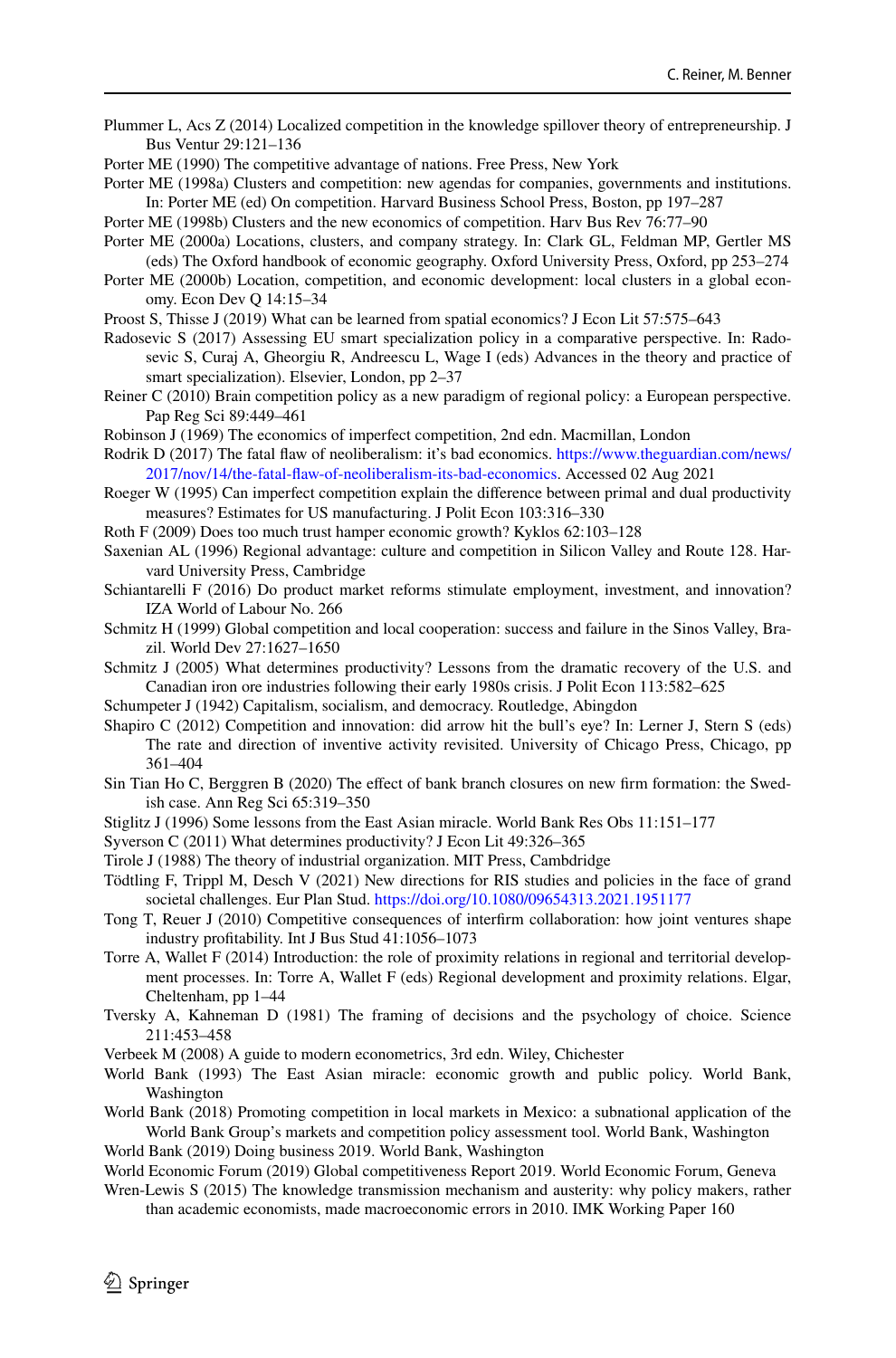<span id="page-33-1"></span>Plummer L, Acs Z (2014) Localized competition in the knowledge spillover theory of entrepreneurship. J Bus Ventur 29:121–136

<span id="page-33-2"></span>Porter ME (1990) The competitive advantage of nations. Free Press, New York

<span id="page-33-3"></span>Porter ME (1998a) Clusters and competition: new agendas for companies, governments and institutions. In: Porter ME (ed) On competition. Harvard Business School Press, Boston, pp 197–287

<span id="page-33-18"></span>Porter ME (1998b) Clusters and the new economics of competition. Harv Bus Rev 76:77–90

- <span id="page-33-20"></span>Porter ME (2000a) Locations, clusters, and company strategy. In: Clark GL, Feldman MP, Gertler MS (eds) The Oxford handbook of economic geography. Oxford University Press, Oxford, pp 253–274
- <span id="page-33-17"></span>Porter ME (2000b) Location, competition, and economic development: local clusters in a global economy. Econ Dev Q 14:15–34
- <span id="page-33-5"></span>Proost S, Thisse J (2019) What can be learned from spatial economics? J Econ Lit 57:575–643
- <span id="page-33-0"></span>Radosevic S (2017) Assessing EU smart specialization policy in a comparative perspective. In: Radosevic S, Curaj A, Gheorgiu R, Andreescu L, Wage I (eds) Advances in the theory and practice of smart specialization). Elsevier, London, pp 2–37
- <span id="page-33-4"></span>Reiner C (2010) Brain competition policy as a new paradigm of regional policy: a European perspective. Pap Reg Sci 89:449–461
- <span id="page-33-31"></span>Robinson J (1969) The economics of imperfect competition, 2nd edn. Macmillan, London
- <span id="page-33-29"></span>Rodrik D (2017) The fatal faw of neoliberalism: it's bad economics. [https://www.theguardian.com/news/](https://www.theguardian.com/news/2017/nov/14/the-fatal-flaw-of-neoliberalism-its-bad-economics) [2017/nov/14/the-fatal-faw-of-neoliberalism-its-bad-economics](https://www.theguardian.com/news/2017/nov/14/the-fatal-flaw-of-neoliberalism-its-bad-economics). Accessed 02 Aug 2021
- <span id="page-33-27"></span>Roeger W (1995) Can imperfect competition explain the diference between primal and dual productivity measures? Estimates for US manufacturing. J Polit Econ 103:316–330
- <span id="page-33-13"></span>Roth F (2009) Does too much trust hamper economic growth? Kyklos 62:103–128
- <span id="page-33-19"></span>Saxenian AL (1996) Regional advantage: culture and competition in Silicon Valley and Route 128. Harvard University Press, Cambridge
- <span id="page-33-30"></span>Schiantarelli F (2016) Do product market reforms stimulate employment, investment, and innovation? IZA World of Labour No. 266
- <span id="page-33-12"></span>Schmitz H (1999) Global competition and local cooperation: success and failure in the Sinos Valley, Brazil. World Dev 27:1627–1650
- <span id="page-33-9"></span>Schmitz J (2005) What determines productivity? Lessons from the dramatic recovery of the U.S. and Canadian iron ore industries following their early 1980s crisis. J Polit Econ 113:582–625
- <span id="page-33-7"></span>Schumpeter J (1942) Capitalism, socialism, and democracy. Routledge, Abingdon
- <span id="page-33-11"></span>Shapiro C (2012) Competition and innovation: did arrow hit the bull's eye? In: Lerner J, Stern S (eds) The rate and direction of inventive activity revisited. University of Chicago Press, Chicago, pp 361–404
- <span id="page-33-6"></span>Sin Tian Ho C, Berggren B (2020) The effect of bank branch closures on new firm formation: the Swedish case. Ann Reg Sci 65:319–350
- <span id="page-33-14"></span>Stiglitz J (1996) Some lessons from the East Asian miracle. World Bank Res Obs 11:151–177
- <span id="page-33-10"></span>Syverson C (2011) What determines productivity? J Econ Lit 49:326–365
- <span id="page-33-8"></span>Tirole J (1988) The theory of industrial organization. MIT Press, Cambdridge
- <span id="page-33-28"></span>Tödtling F, Trippl M, Desch V (2021) New directions for RIS studies and policies in the face of grand societal challenges. Eur Plan Stud. <https://doi.org/10.1080/09654313.2021.1951177>
- <span id="page-33-21"></span>Tong T, Reuer J (2010) Competitive consequences of interfrm collaboration: how joint ventures shape industry proftability. Int J Bus Stud 41:1056–1073
- <span id="page-33-16"></span>Torre A, Wallet F (2014) Introduction: the role of proximity relations in regional and territorial development processes. In: Torre A, Wallet F (eds) Regional development and proximity relations. Elgar, Cheltenham, pp 1–44
- <span id="page-33-22"></span>Tversky A, Kahneman D (1981) The framing of decisions and the psychology of choice. Science 211:453–458
- <span id="page-33-32"></span>Verbeek M (2008) A guide to modern econometrics, 3rd edn. Wiley, Chichester
- <span id="page-33-15"></span>World Bank (1993) The East Asian miracle: economic growth and public policy. World Bank, Washington

<span id="page-33-23"></span>World Bank (2018) Promoting competition in local markets in Mexico: a subnational application of the World Bank Group's markets and competition policy assessment tool. World Bank, Washington

<span id="page-33-25"></span>World Bank (2019) Doing business 2019. World Bank, Washington

<span id="page-33-26"></span>World Economic Forum (2019) Global competitiveness Report 2019. World Economic Forum, Geneva

<span id="page-33-24"></span>Wren-Lewis S (2015) The knowledge transmission mechanism and austerity: why policy makers, rather than academic economists, made macroeconomic errors in 2010. IMK Working Paper 160